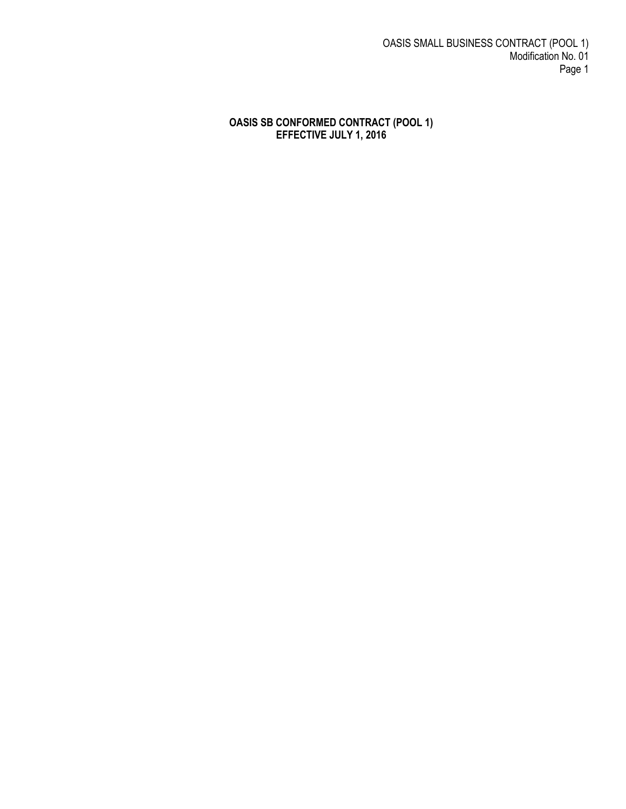OASIS SMALL BUSINESS CONTRACT (POOL 1) Modification No. 01 Page 1

#### **OASIS SB CONFORMED CONTRACT (POOL 1) EFFECTIVE JULY 1, 2016**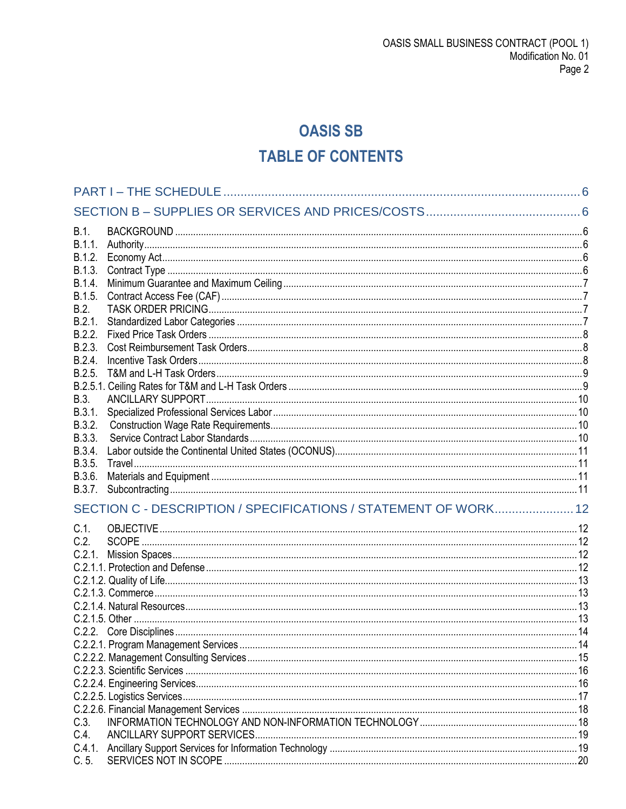# **OASIS SB TABLE OF CONTENTS**

| B.1.    |                                                                 |     |
|---------|-----------------------------------------------------------------|-----|
| B.1.1.  |                                                                 |     |
| B.1.2.  |                                                                 |     |
| B.1.3.  |                                                                 |     |
| B.1.4.  |                                                                 |     |
| B.1.5.  |                                                                 |     |
| B.2.    |                                                                 |     |
| B.2.1.  |                                                                 |     |
| B.2.2.  |                                                                 |     |
| B.2.3.  |                                                                 |     |
| B.2.4.  |                                                                 |     |
| B.2.5.  |                                                                 |     |
|         |                                                                 |     |
| B.3.    |                                                                 |     |
| B.3.1.  |                                                                 |     |
| B.3.2.  |                                                                 |     |
| B.3.3.  |                                                                 |     |
| B.3.4.  |                                                                 |     |
| B.3.5.  |                                                                 |     |
| B.3.6.  |                                                                 |     |
| B.3.7.  |                                                                 |     |
|         | SECTION C - DESCRIPTION / SPECIFICATIONS / STATEMENT OF WORK 12 |     |
|         |                                                                 |     |
| $C.1$ . |                                                                 |     |
| C.2.    |                                                                 |     |
|         |                                                                 |     |
|         |                                                                 |     |
|         |                                                                 |     |
|         |                                                                 |     |
|         |                                                                 |     |
|         |                                                                 |     |
|         | C.2.2. Core Disciplines                                         | -14 |
|         |                                                                 |     |
|         |                                                                 |     |
|         |                                                                 |     |
|         |                                                                 |     |
|         |                                                                 |     |
|         |                                                                 |     |
| C.3.    |                                                                 |     |
| C.4.    |                                                                 |     |
| C.4.1.  |                                                                 |     |
| C.5.    |                                                                 |     |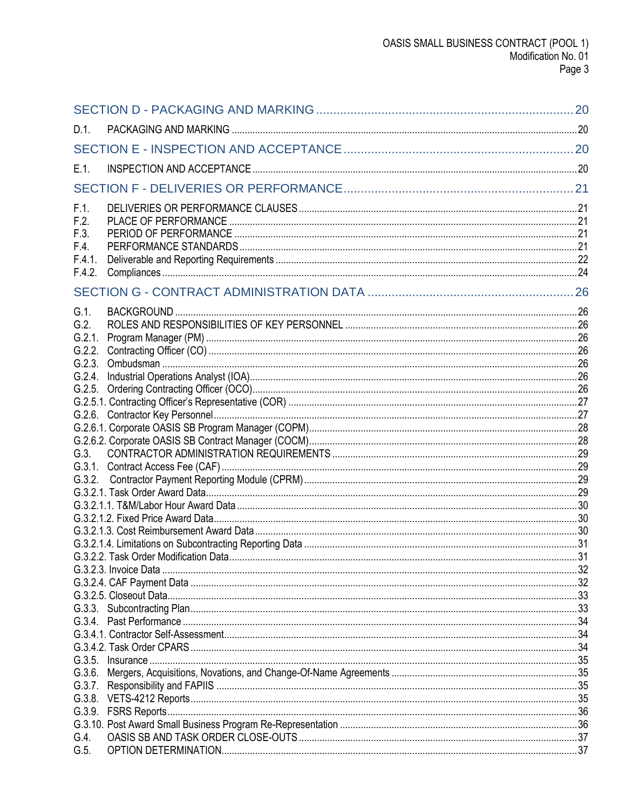| $D.1$ . |  |
|---------|--|
|         |  |
| $E.1$ . |  |
|         |  |
| F.1.    |  |
| F.2.    |  |
| F.3.    |  |
| F.4.    |  |
| F.4.1.  |  |
| F.4.2.  |  |
|         |  |
| $G.1$ . |  |
| G.2.    |  |
| G.2.1.  |  |
| G.2.2.  |  |
|         |  |
|         |  |
|         |  |
|         |  |
|         |  |
|         |  |
| $G.3$ . |  |
|         |  |
|         |  |
|         |  |
|         |  |
|         |  |
|         |  |
|         |  |
|         |  |
|         |  |
|         |  |
|         |  |
|         |  |
|         |  |
|         |  |
|         |  |
|         |  |
|         |  |
|         |  |
|         |  |
|         |  |
| G.4.    |  |
| G.5.    |  |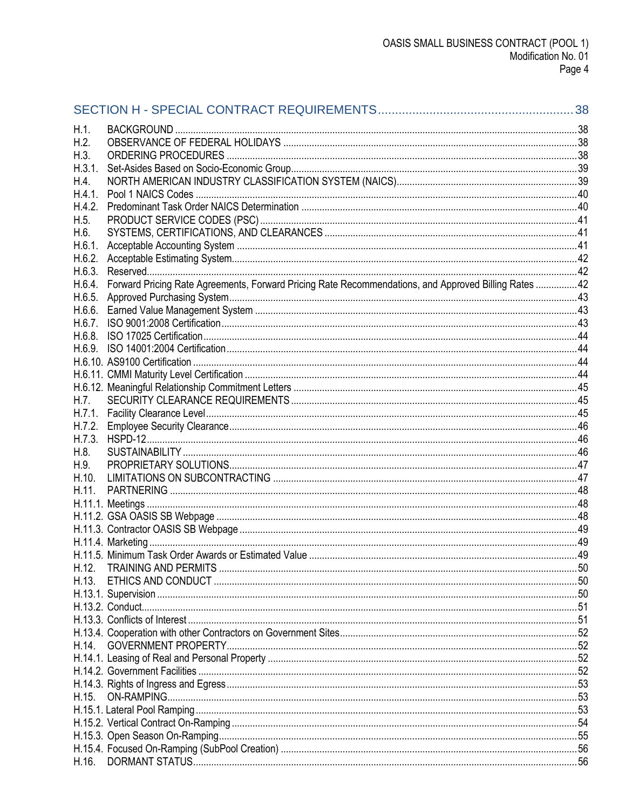| H.1.   |                                                                                                      |    |
|--------|------------------------------------------------------------------------------------------------------|----|
| H.2.   |                                                                                                      |    |
| H.3.   |                                                                                                      |    |
| H.3.1. |                                                                                                      |    |
| H.4.   |                                                                                                      |    |
| H.4.1. |                                                                                                      |    |
| H.4.2. |                                                                                                      |    |
| H.5.   |                                                                                                      |    |
| H.6.   |                                                                                                      |    |
| H.6.1. |                                                                                                      |    |
| H.6.2. |                                                                                                      |    |
| H.6.3. |                                                                                                      |    |
| H.6.4. | Forward Pricing Rate Agreements, Forward Pricing Rate Recommendations, and Approved Billing Rates 42 |    |
| H.6.5. |                                                                                                      |    |
| H.6.6. |                                                                                                      |    |
| H.6.7. |                                                                                                      |    |
| H.6.8. |                                                                                                      |    |
|        |                                                                                                      |    |
|        |                                                                                                      |    |
|        |                                                                                                      |    |
|        |                                                                                                      |    |
| H.7.   |                                                                                                      |    |
| H.7.1. |                                                                                                      |    |
| H.7.2. |                                                                                                      |    |
| H.7.3. |                                                                                                      |    |
| H.8.   |                                                                                                      |    |
| H.9.   |                                                                                                      |    |
| H.10.  |                                                                                                      |    |
| H.11.  |                                                                                                      |    |
|        |                                                                                                      |    |
|        |                                                                                                      |    |
|        |                                                                                                      |    |
|        |                                                                                                      |    |
|        | H.11.5. Minimum Task Order Awards or Estimated Value                                                 | 49 |
| H.12.  |                                                                                                      |    |
|        |                                                                                                      |    |
|        |                                                                                                      |    |
|        |                                                                                                      |    |
|        |                                                                                                      |    |
|        |                                                                                                      |    |
| H.14.  | <b>GOVERNMENT PROPERTY</b>                                                                           |    |
|        |                                                                                                      |    |
|        |                                                                                                      |    |
|        |                                                                                                      |    |
| H.15.  |                                                                                                      |    |
|        |                                                                                                      |    |
|        |                                                                                                      |    |
|        |                                                                                                      |    |
|        |                                                                                                      |    |
| H.16.  |                                                                                                      |    |
|        |                                                                                                      |    |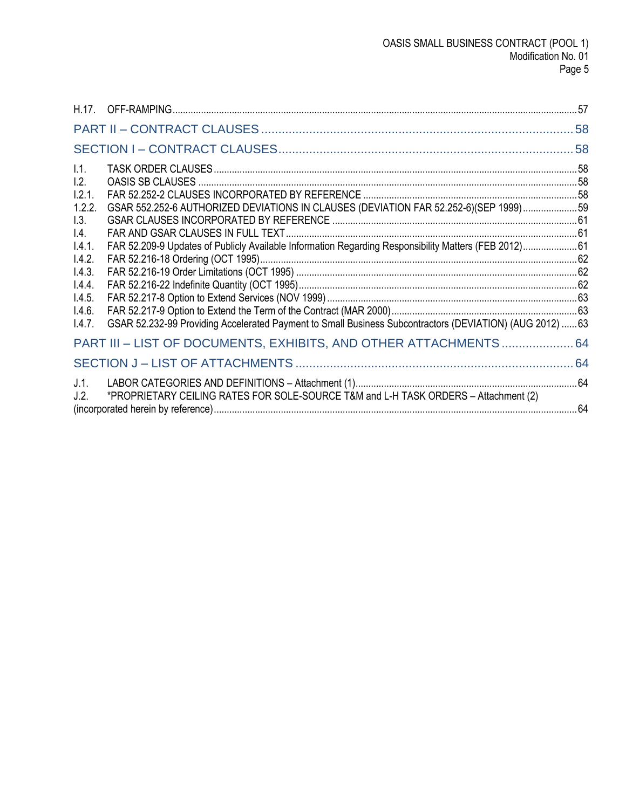| 1.1.            |                                                                                                          |  |
|-----------------|----------------------------------------------------------------------------------------------------------|--|
| 1.2.            |                                                                                                          |  |
| 1.2.1.          |                                                                                                          |  |
| 1.2.2.          | GSAR 552.252-6 AUTHORIZED DEVIATIONS IN CLAUSES (DEVIATION FAR 52.252-6)(SEP 1999) 59                    |  |
| 1.3.            |                                                                                                          |  |
| $\mathsf{I}4$ . |                                                                                                          |  |
| 1.4.1.          | FAR 52.209-9 Updates of Publicly Available Information Regarding Responsibility Matters (FEB 2012)61     |  |
| 1.4.2.          |                                                                                                          |  |
| 1.4.3.          |                                                                                                          |  |
| 1.4.4.          |                                                                                                          |  |
| 1.4.5.          |                                                                                                          |  |
| 1.4.6.          |                                                                                                          |  |
| 1.4.7.          | GSAR 52.232-99 Providing Accelerated Payment to Small Business Subcontractors (DEVIATION) (AUG 2012)  63 |  |
|                 | PART III - LIST OF DOCUMENTS, EXHIBITS, AND OTHER ATTACHMENTS  64                                        |  |
|                 |                                                                                                          |  |
| J.1.            |                                                                                                          |  |
| J.2.            | *PROPRIETARY CEILING RATES FOR SOLE-SOURCE T&M and L-H TASK ORDERS - Attachment (2)                      |  |
|                 |                                                                                                          |  |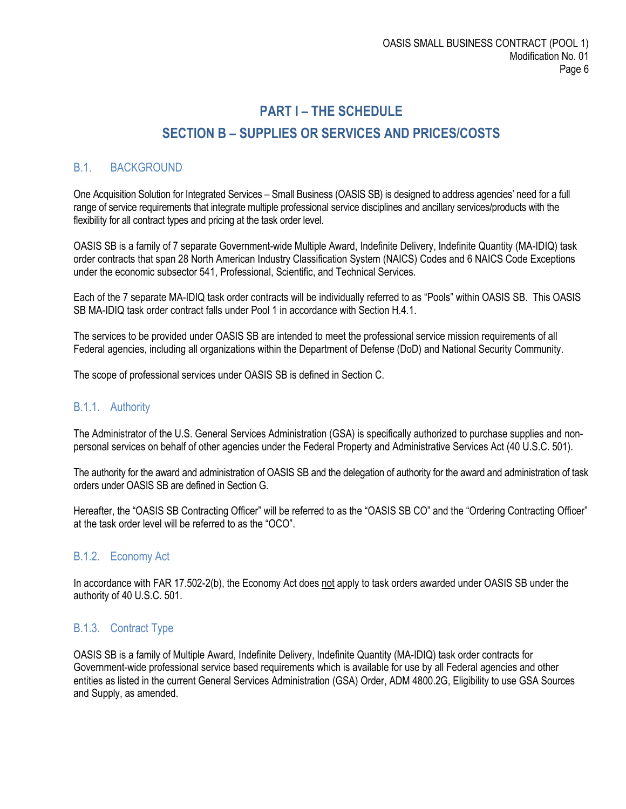# **PART I – THE SCHEDULE SECTION B – SUPPLIES OR SERVICES AND PRICES/COSTS**

# <span id="page-5-2"></span><span id="page-5-1"></span><span id="page-5-0"></span>B.1. BACKGROUND

One Acquisition Solution for Integrated Services – Small Business (OASIS SB) is designed to address agencies' need for a full range of service requirements that integrate multiple professional service disciplines and ancillary services/products with the flexibility for all contract types and pricing at the task order level.

OASIS SB is a family of 7 separate Government-wide Multiple Award, Indefinite Delivery, Indefinite Quantity (MA-IDIQ) task order contracts that span 28 North American Industry Classification System (NAICS) Codes and 6 NAICS Code Exceptions under the economic subsector 541, Professional, Scientific, and Technical Services.

Each of the 7 separate MA-IDIQ task order contracts will be individually referred to as "Pools" within OASIS SB. This OASIS SB MA-IDIQ task order contract falls under Pool 1 in accordance with Section H.4.1.

The services to be provided under OASIS SB are intended to meet the professional service mission requirements of all Federal agencies, including all organizations within the Department of Defense (DoD) and National Security Community.

The scope of professional services under OASIS SB is defined in Section C.

## <span id="page-5-3"></span>B.1.1. Authority

The Administrator of the U.S. General Services Administration (GSA) is specifically authorized to purchase supplies and nonpersonal services on behalf of other agencies under the Federal Property and Administrative Services Act (40 U.S.C. 501).

The authority for the award and administration of OASIS SB and the delegation of authority for the award and administration of task orders under OASIS SB are defined in Section G.

Hereafter, the "OASIS SB Contracting Officer" will be referred to as the "OASIS SB CO" and the "Ordering Contracting Officer" at the task order level will be referred to as the "OCO".

#### <span id="page-5-4"></span>B.1.2. Economy Act

In accordance with FAR 17.502-2(b), the Economy Act does not apply to task orders awarded under OASIS SB under the authority of 40 U.S.C. 501.

## <span id="page-5-5"></span>B.1.3. Contract Type

OASIS SB is a family of Multiple Award, Indefinite Delivery, Indefinite Quantity (MA-IDIQ) task order contracts for Government-wide professional service based requirements which is available for use by all Federal agencies and other entities as listed in the current General Services Administration (GSA) Order, ADM 4800.2G, Eligibility to use GSA Sources and Supply, as amended.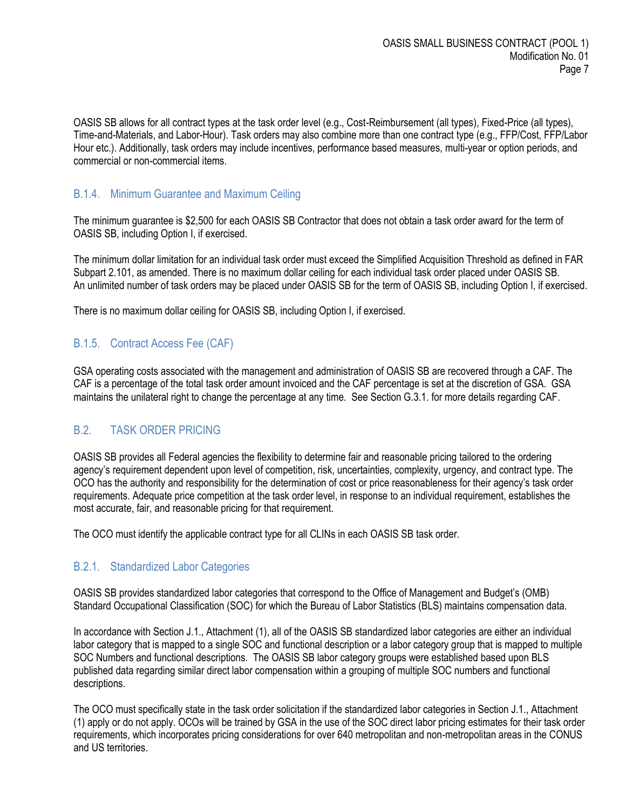OASIS SB allows for all contract types at the task order level (e.g., Cost-Reimbursement (all types), Fixed-Price (all types), Time-and-Materials, and Labor-Hour). Task orders may also combine more than one contract type (e.g., FFP/Cost, FFP/Labor Hour etc.). Additionally, task orders may include incentives, performance based measures, multi-year or option periods, and commercial or non-commercial items.

#### <span id="page-6-0"></span>B.1.4. Minimum Guarantee and Maximum Ceiling

The minimum guarantee is \$2,500 for each OASIS SB Contractor that does not obtain a task order award for the term of OASIS SB, including Option I, if exercised.

The minimum dollar limitation for an individual task order must exceed the Simplified Acquisition Threshold as defined in FAR Subpart 2.101, as amended. There is no maximum dollar ceiling for each individual task order placed under OASIS SB. An unlimited number of task orders may be placed under OASIS SB for the term of OASIS SB, including Option I, if exercised.

There is no maximum dollar ceiling for OASIS SB, including Option I, if exercised.

## <span id="page-6-1"></span>B.1.5. Contract Access Fee (CAF)

GSA operating costs associated with the management and administration of OASIS SB are recovered through a CAF. The CAF is a percentage of the total task order amount invoiced and the CAF percentage is set at the discretion of GSA. GSA maintains the unilateral right to change the percentage at any time. See Section G.3.1. for more details regarding CAF.

## <span id="page-6-2"></span>B.2. TASK ORDER PRICING

OASIS SB provides all Federal agencies the flexibility to determine fair and reasonable pricing tailored to the ordering agency's requirement dependent upon level of competition, risk, uncertainties, complexity, urgency, and contract type. The OCO has the authority and responsibility for the determination of cost or price reasonableness for their agency's task order requirements. Adequate price competition at the task order level, in response to an individual requirement, establishes the most accurate, fair, and reasonable pricing for that requirement.

The OCO must identify the applicable contract type for all CLINs in each OASIS SB task order.

#### <span id="page-6-3"></span>B.2.1. Standardized Labor Categories

OASIS SB provides standardized labor categories that correspond to the Office of Management and Budget's (OMB) Standard Occupational Classification (SOC) for which the Bureau of Labor Statistics (BLS) maintains compensation data.

In accordance with Section J.1., Attachment (1), all of the OASIS SB standardized labor categories are either an individual labor category that is mapped to a single SOC and functional description or a labor category group that is mapped to multiple SOC Numbers and functional descriptions. The OASIS SB labor category groups were established based upon BLS published data regarding similar direct labor compensation within a grouping of multiple SOC numbers and functional descriptions.

The OCO must specifically state in the task order solicitation if the standardized labor categories in Section J.1., Attachment (1) apply or do not apply. OCOs will be trained by GSA in the use of the SOC direct labor pricing estimates for their task order requirements, which incorporates pricing considerations for over 640 metropolitan and non-metropolitan areas in the CONUS and US territories.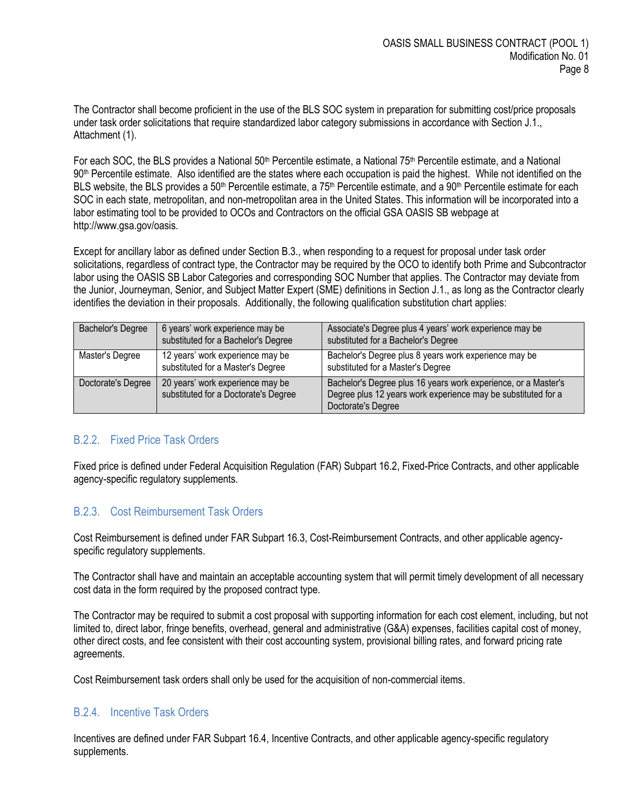The Contractor shall become proficient in the use of the BLS SOC system in preparation for submitting cost/price proposals under task order solicitations that require standardized labor category submissions in accordance with Section J.1., Attachment (1).

For each SOC, the BLS provides a National 50<sup>th</sup> Percentile estimate, a National 75<sup>th</sup> Percentile estimate, and a National 90th Percentile estimate. Also identified are the states where each occupation is paid the highest. While not identified on the BLS website, the BLS provides a 50<sup>th</sup> Percentile estimate, a 75<sup>th</sup> Percentile estimate, and a 90<sup>th</sup> Percentile estimate for each SOC in each state, metropolitan, and non-metropolitan area in the United States. This information will be incorporated into a labor estimating tool to be provided to OCOs and Contractors on the official GSA OASIS SB webpage at http://www.gsa.gov/oasis.

Except for ancillary labor as defined under Section B.3., when responding to a request for proposal under task order solicitations, regardless of contract type, the Contractor may be required by the OCO to identify both Prime and Subcontractor labor using the OASIS SB Labor Categories and corresponding SOC Number that applies. The Contractor may deviate from the Junior, Journeyman, Senior, and Subject Matter Expert (SME) definitions in Section J.1., as long as the Contractor clearly identifies the deviation in their proposals. Additionally, the following qualification substitution chart applies:

| Bachelor's Degree  | 6 years' work experience may be<br>substituted for a Bachelor's Degree   | Associate's Degree plus 4 years' work experience may be<br>substituted for a Bachelor's Degree                                                        |
|--------------------|--------------------------------------------------------------------------|-------------------------------------------------------------------------------------------------------------------------------------------------------|
| Master's Degree    | 12 years' work experience may be<br>substituted for a Master's Degree    | Bachelor's Degree plus 8 years work experience may be<br>substituted for a Master's Degree                                                            |
| Doctorate's Degree | 20 years' work experience may be<br>substituted for a Doctorate's Degree | Bachelor's Degree plus 16 years work experience, or a Master's<br>Degree plus 12 years work experience may be substituted for a<br>Doctorate's Degree |

## <span id="page-7-0"></span>B.2.2. Fixed Price Task Orders

Fixed price is defined under Federal Acquisition Regulation (FAR) Subpart 16.2, Fixed-Price Contracts, and other applicable agency-specific regulatory supplements.

## <span id="page-7-1"></span>B.2.3. Cost Reimbursement Task Orders

Cost Reimbursement is defined under FAR Subpart 16.3, Cost-Reimbursement Contracts, and other applicable agencyspecific regulatory supplements.

The Contractor shall have and maintain an acceptable accounting system that will permit timely development of all necessary cost data in the form required by the proposed contract type.

The Contractor may be required to submit a cost proposal with supporting information for each cost element, including, but not limited to, direct labor, fringe benefits, overhead, general and administrative (G&A) expenses, facilities capital cost of money, other direct costs, and fee consistent with their cost accounting system, provisional billing rates, and forward pricing rate agreements.

Cost Reimbursement task orders shall only be used for the acquisition of non-commercial items.

#### <span id="page-7-2"></span>B.2.4. Incentive Task Orders

Incentives are defined under FAR Subpart 16.4, Incentive Contracts, and other applicable agency-specific regulatory supplements.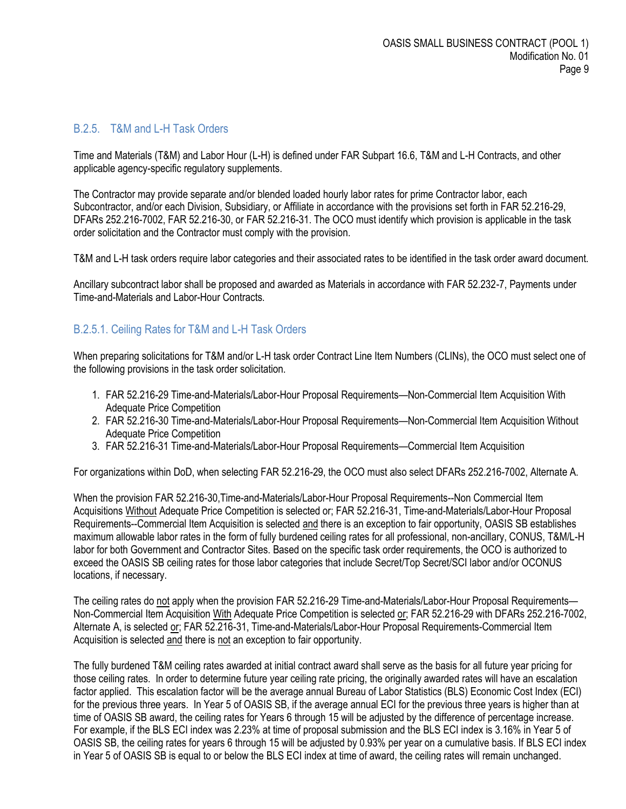#### <span id="page-8-0"></span>B.2.5. T&M and L-H Task Orders

Time and Materials (T&M) and Labor Hour (L-H) is defined under FAR Subpart 16.6, T&M and L-H Contracts, and other applicable agency-specific regulatory supplements.

The Contractor may provide separate and/or blended loaded hourly labor rates for prime Contractor labor, each Subcontractor, and/or each Division, Subsidiary, or Affiliate in accordance with the provisions set forth in FAR 52.216-29, DFARs 252.216-7002, FAR 52.216-30, or FAR 52.216-31. The OCO must identify which provision is applicable in the task order solicitation and the Contractor must comply with the provision.

T&M and L-H task orders require labor categories and their associated rates to be identified in the task order award document.

Ancillary subcontract labor shall be proposed and awarded as Materials in accordance with FAR 52.232-7, Payments under Time-and-Materials and Labor-Hour Contracts.

#### <span id="page-8-1"></span>B.2.5.1. Ceiling Rates for T&M and L-H Task Orders

When preparing solicitations for T&M and/or L-H task order Contract Line Item Numbers (CLINs), the OCO must select one of the following provisions in the task order solicitation.

- 1. FAR 52.216-29 Time-and-Materials/Labor-Hour Proposal Requirements—Non-Commercial Item Acquisition With Adequate Price Competition
- 2. FAR 52.216-30 Time-and-Materials/Labor-Hour Proposal Requirements—Non-Commercial Item Acquisition Without Adequate Price Competition
- 3. FAR 52.216-31 Time-and-Materials/Labor-Hour Proposal Requirements—Commercial Item Acquisition

For organizations within DoD, when selecting FAR 52.216-29, the OCO must also select DFARs 252.216-7002, Alternate A.

When the provision FAR 52.216-30,Time-and-Materials/Labor-Hour Proposal Requirements--Non Commercial Item Acquisitions Without Adequate Price Competition is selected or; FAR 52.216-31, Time-and-Materials/Labor-Hour Proposal Requirements--Commercial Item Acquisition is selected and there is an exception to fair opportunity, OASIS SB establishes maximum allowable labor rates in the form of fully burdened ceiling rates for all professional, non-ancillary, CONUS, T&M/L-H labor for both Government and Contractor Sites. Based on the specific task order requirements, the OCO is authorized to exceed the OASIS SB ceiling rates for those labor categories that include Secret/Top Secret/SCI labor and/or OCONUS locations, if necessary.

The ceiling rates do not apply when the provision FAR 52.216-29 Time-and-Materials/Labor-Hour Proposal Requirements— Non-Commercial Item Acquisition With Adequate Price Competition is selected or; FAR 52.216-29 with DFARs 252.216-7002, Alternate A, is selected or; FAR 52.216-31, Time-and-Materials/Labor-Hour Proposal Requirements-Commercial Item Acquisition is selected and there is not an exception to fair opportunity.

The fully burdened T&M ceiling rates awarded at initial contract award shall serve as the basis for all future year pricing for those ceiling rates. In order to determine future year ceiling rate pricing, the originally awarded rates will have an escalation factor applied. This escalation factor will be the average annual Bureau of Labor Statistics (BLS) Economic Cost Index (ECI) for the previous three years. In Year 5 of OASIS SB, if the average annual ECI for the previous three years is higher than at time of OASIS SB award, the ceiling rates for Years 6 through 15 will be adjusted by the difference of percentage increase. For example, if the BLS ECI index was 2.23% at time of proposal submission and the BLS ECI index is 3.16% in Year 5 of OASIS SB, the ceiling rates for years 6 through 15 will be adjusted by 0.93% per year on a cumulative basis. If BLS ECI index in Year 5 of OASIS SB is equal to or below the BLS ECI index at time of award, the ceiling rates will remain unchanged.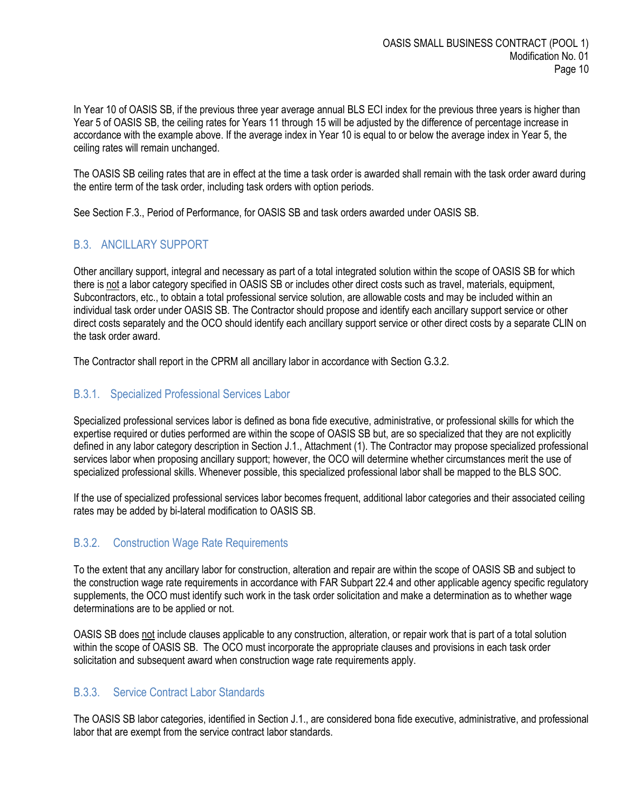In Year 10 of OASIS SB, if the previous three year average annual BLS ECI index for the previous three years is higher than Year 5 of OASIS SB, the ceiling rates for Years 11 through 15 will be adjusted by the difference of percentage increase in accordance with the example above. If the average index in Year 10 is equal to or below the average index in Year 5, the ceiling rates will remain unchanged.

The OASIS SB ceiling rates that are in effect at the time a task order is awarded shall remain with the task order award during the entire term of the task order, including task orders with option periods.

See Section F.3., Period of Performance, for OASIS SB and task orders awarded under OASIS SB.

# <span id="page-9-0"></span>B.3. ANCILLARY SUPPORT

Other ancillary support, integral and necessary as part of a total integrated solution within the scope of OASIS SB for which there is not a labor category specified in OASIS SB or includes other direct costs such as travel, materials, equipment, Subcontractors, etc., to obtain a total professional service solution, are allowable costs and may be included within an individual task order under OASIS SB. The Contractor should propose and identify each ancillary support service or other direct costs separately and the OCO should identify each ancillary support service or other direct costs by a separate CLIN on the task order award.

The Contractor shall report in the CPRM all ancillary labor in accordance with Section G.3.2.

## <span id="page-9-1"></span>B.3.1. Specialized Professional Services Labor

Specialized professional services labor is defined as bona fide executive, administrative, or professional skills for which the expertise required or duties performed are within the scope of OASIS SB but, are so specialized that they are not explicitly defined in any labor category description in Section J.1., Attachment (1). The Contractor may propose specialized professional services labor when proposing ancillary support; however, the OCO will determine whether circumstances merit the use of specialized professional skills. Whenever possible, this specialized professional labor shall be mapped to the BLS SOC.

If the use of specialized professional services labor becomes frequent, additional labor categories and their associated ceiling rates may be added by bi-lateral modification to OASIS SB.

## <span id="page-9-2"></span>B.3.2. Construction Wage Rate Requirements

To the extent that any ancillary labor for construction, alteration and repair are within the scope of OASIS SB and subject to the construction wage rate requirements in accordance with FAR Subpart 22.4 and other applicable agency specific regulatory supplements, the OCO must identify such work in the task order solicitation and make a determination as to whether wage determinations are to be applied or not.

OASIS SB does not include clauses applicable to any construction, alteration, or repair work that is part of a total solution within the scope of OASIS SB. The OCO must incorporate the appropriate clauses and provisions in each task order solicitation and subsequent award when construction wage rate requirements apply.

## <span id="page-9-3"></span>B.3.3. Service Contract Labor Standards

The OASIS SB labor categories, identified in Section J.1., are considered bona fide executive, administrative, and professional labor that are exempt from the service contract labor standards.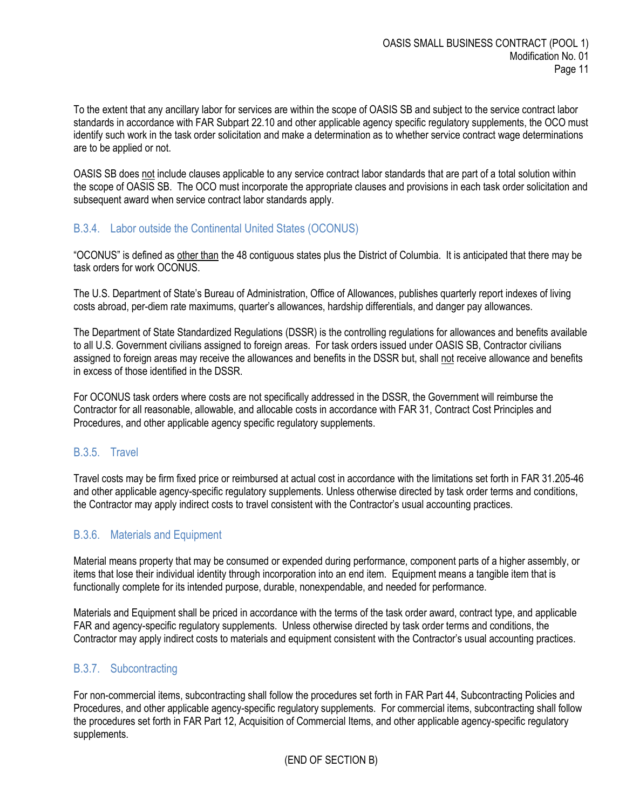To the extent that any ancillary labor for services are within the scope of OASIS SB and subject to the service contract labor standards in accordance with FAR Subpart 22.10 and other applicable agency specific regulatory supplements, the OCO must identify such work in the task order solicitation and make a determination as to whether service contract wage determinations are to be applied or not.

OASIS SB does not include clauses applicable to any service contract labor standards that are part of a total solution within the scope of OASIS SB. The OCO must incorporate the appropriate clauses and provisions in each task order solicitation and subsequent award when service contract labor standards apply.

## <span id="page-10-0"></span>B.3.4. Labor outside the Continental United States (OCONUS)

"OCONUS" is defined as other than the 48 contiguous states plus the District of Columbia. It is anticipated that there may be task orders for work OCONUS.

The U.S. Department of State's Bureau of Administration, Office of Allowances, publishes quarterly report indexes of living costs abroad, per-diem rate maximums, quarter's allowances, hardship differentials, and danger pay allowances.

The Department of State Standardized Regulations (DSSR) is the controlling regulations for allowances and benefits available to all U.S. Government civilians assigned to foreign areas. For task orders issued under OASIS SB, Contractor civilians assigned to foreign areas may receive the allowances and benefits in the DSSR but, shall not receive allowance and benefits in excess of those identified in the DSSR.

For OCONUS task orders where costs are not specifically addressed in the DSSR, the Government will reimburse the Contractor for all reasonable, allowable, and allocable costs in accordance with FAR 31, Contract Cost Principles and Procedures, and other applicable agency specific regulatory supplements.

#### <span id="page-10-1"></span>B.3.5. Travel

Travel costs may be firm fixed price or reimbursed at actual cost in accordance with the limitations set forth in FAR 31.205-46 and other applicable agency-specific regulatory supplements. Unless otherwise directed by task order terms and conditions, the Contractor may apply indirect costs to travel consistent with the Contractor's usual accounting practices.

## <span id="page-10-2"></span>B.3.6. Materials and Equipment

Material means property that may be consumed or expended during performance, component parts of a higher assembly, or items that lose their individual identity through incorporation into an end item. Equipment means a tangible item that is functionally complete for its intended purpose, durable, nonexpendable, and needed for performance.

Materials and Equipment shall be priced in accordance with the terms of the task order award, contract type, and applicable FAR and agency-specific regulatory supplements. Unless otherwise directed by task order terms and conditions, the Contractor may apply indirect costs to materials and equipment consistent with the Contractor's usual accounting practices.

#### <span id="page-10-3"></span>B.3.7. Subcontracting

For non-commercial items, subcontracting shall follow the procedures set forth in FAR Part 44, Subcontracting Policies and Procedures, and other applicable agency-specific regulatory supplements. For commercial items, subcontracting shall follow the procedures set forth in FAR Part 12, Acquisition of Commercial Items, and other applicable agency-specific regulatory supplements.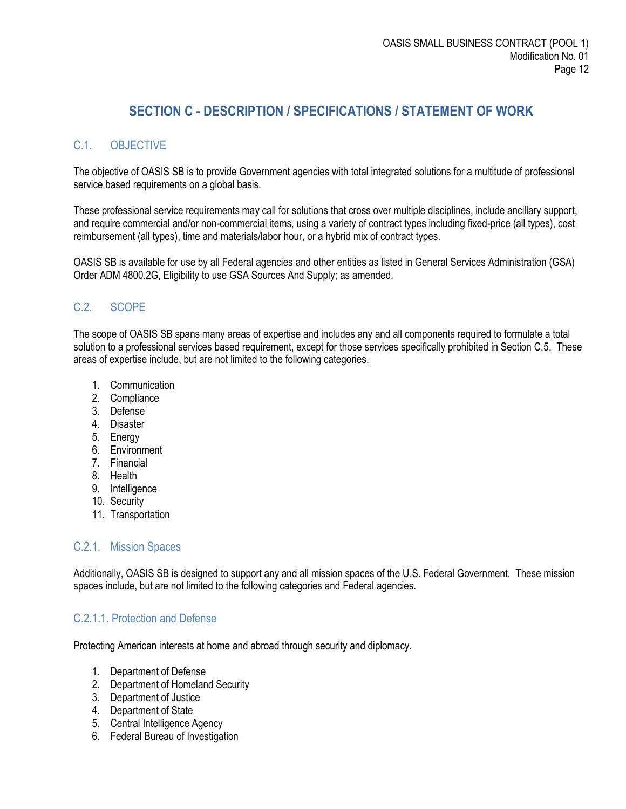# **SECTION C - DESCRIPTION / SPECIFICATIONS / STATEMENT OF WORK**

# <span id="page-11-1"></span><span id="page-11-0"></span>C.1. OBJECTIVE

The objective of OASIS SB is to provide Government agencies with total integrated solutions for a multitude of professional service based requirements on a global basis.

These professional service requirements may call for solutions that cross over multiple disciplines, include ancillary support, and require commercial and/or non-commercial items, using a variety of contract types including fixed-price (all types), cost reimbursement (all types), time and materials/labor hour, or a hybrid mix of contract types.

OASIS SB is available for use by all Federal agencies and other entities as listed in General Services Administration (GSA) Order ADM 4800.2G, Eligibility to use GSA Sources And Supply; as amended.

## <span id="page-11-2"></span>C.2. SCOPE

The scope of OASIS SB spans many areas of expertise and includes any and all components required to formulate a total solution to a professional services based requirement, except for those services specifically prohibited in Section C.5. These areas of expertise include, but are not limited to the following categories.

- 1. Communication
- 2. Compliance
- 3. Defense
- 4. Disaster
- 5. Energy
- 6. Environment
- 7. Financial
- 8. Health
- 9. Intelligence
- 10. Security
- 11. Transportation

## <span id="page-11-3"></span>C.2.1. Mission Spaces

Additionally, OASIS SB is designed to support any and all mission spaces of the U.S. Federal Government. These mission spaces include, but are not limited to the following categories and Federal agencies.

## <span id="page-11-4"></span>C.2.1.1. Protection and Defense

Protecting American interests at home and abroad through security and diplomacy.

- 1. Department of Defense
- 2. Department of Homeland Security
- 3. Department of Justice
- 4. Department of State
- 5. Central Intelligence Agency
- 6. Federal Bureau of Investigation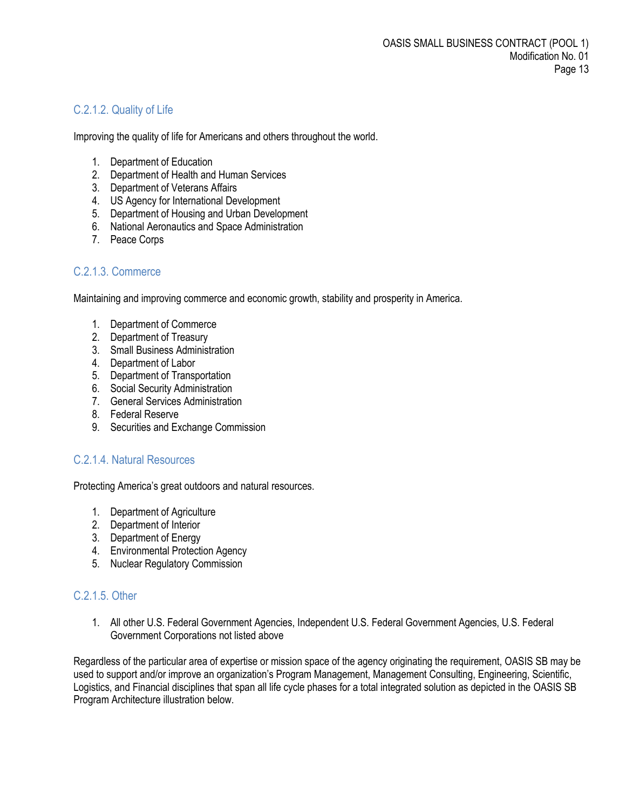# <span id="page-12-0"></span>C.2.1.2. Quality of Life

Improving the quality of life for Americans and others throughout the world.

- 1. Department of Education
- 2. Department of Health and Human Services
- 3. Department of Veterans Affairs
- 4. US Agency for International Development
- 5. Department of Housing and Urban Development
- 6. National Aeronautics and Space Administration
- 7. Peace Corps

## <span id="page-12-1"></span>C.2.1.3. Commerce

Maintaining and improving commerce and economic growth, stability and prosperity in America.

- 1. Department of Commerce
- 2. Department of Treasury
- 3. Small Business Administration
- 4. Department of Labor
- 5. Department of Transportation
- 6. Social Security Administration
- 7. General Services Administration
- 8. Federal Reserve
- 9. Securities and Exchange Commission

#### <span id="page-12-2"></span>C.2.1.4. Natural Resources

Protecting America's great outdoors and natural resources.

- 1. Department of Agriculture
- 2. Department of Interior
- 3. Department of Energy
- 4. Environmental Protection Agency
- 5. Nuclear Regulatory Commission

## <span id="page-12-3"></span>C.2.1.5. Other

1. All other U.S. Federal Government Agencies, Independent U.S. Federal Government Agencies, U.S. Federal Government Corporations not listed above

Regardless of the particular area of expertise or mission space of the agency originating the requirement, OASIS SB may be used to support and/or improve an organization's Program Management, Management Consulting, Engineering, Scientific, Logistics, and Financial disciplines that span all life cycle phases for a total integrated solution as depicted in the OASIS SB Program Architecture illustration below.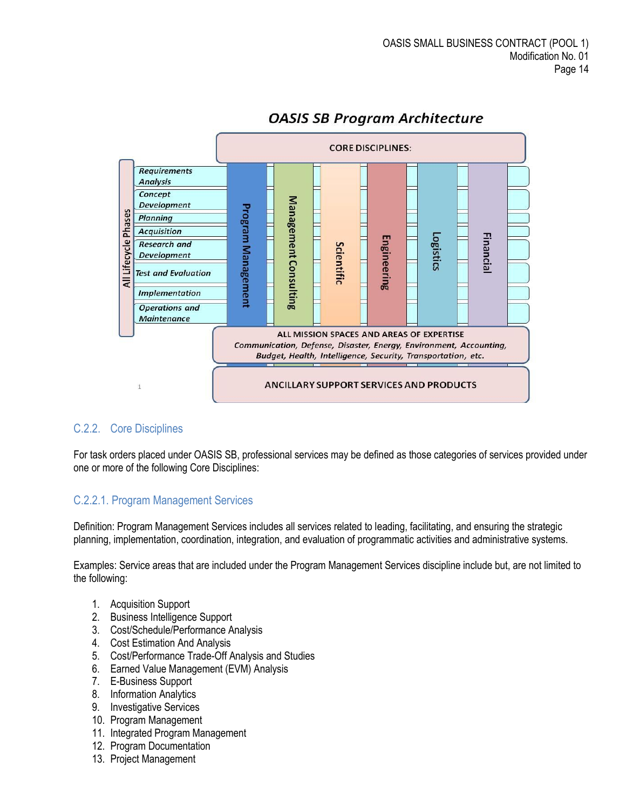

# **OASIS SB Program Architecture**

## <span id="page-13-0"></span>C.2.2. Core Disciplines

For task orders placed under OASIS SB, professional services may be defined as those categories of services provided under one or more of the following Core Disciplines:

## <span id="page-13-1"></span>C.2.2.1. Program Management Services

Definition: Program Management Services includes all services related to leading, facilitating, and ensuring the strategic planning, implementation, coordination, integration, and evaluation of programmatic activities and administrative systems.

Examples: Service areas that are included under the Program Management Services discipline include but, are not limited to the following:

- 1. Acquisition Support
- 2. Business Intelligence Support
- 3. Cost/Schedule/Performance Analysis
- 4. Cost Estimation And Analysis
- 5. Cost/Performance Trade-Off Analysis and Studies
- 6. Earned Value Management (EVM) Analysis
- 7. E-Business Support
- 8. Information Analytics
- 9. Investigative Services
- 10. Program Management
- 11. Integrated Program Management
- 12. Program Documentation
- 13. Project Management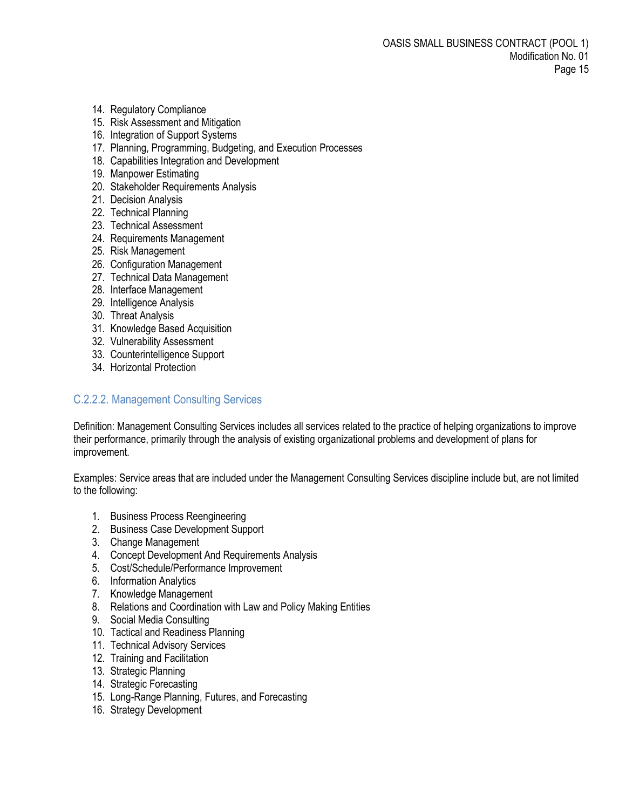- 14. Regulatory Compliance
- 15. Risk Assessment and Mitigation
- 16. Integration of Support Systems
- 17. Planning, Programming, Budgeting, and Execution Processes
- 18. Capabilities Integration and Development
- 19. Manpower Estimating
- 20. Stakeholder Requirements Analysis
- 21. Decision Analysis
- 22. Technical Planning
- 23. Technical Assessment
- 24. Requirements Management
- 25. Risk Management
- 26. Configuration Management
- 27. Technical Data Management
- 28. Interface Management
- 29. Intelligence Analysis
- 30. Threat Analysis
- 31. Knowledge Based Acquisition
- 32. Vulnerability Assessment
- 33. Counterintelligence Support
- 34. Horizontal Protection

## <span id="page-14-0"></span>C.2.2.2. Management Consulting Services

Definition: Management Consulting Services includes all services related to the practice of helping organizations to improve their performance, primarily through the analysis of existing organizational problems and development of plans for improvement.

Examples: Service areas that are included under the Management Consulting Services discipline include but, are not limited to the following:

- 1. Business Process Reengineering
- 2. Business Case Development Support
- 3. Change Management
- 4. Concept Development And Requirements Analysis
- 5. Cost/Schedule/Performance Improvement
- 6. Information Analytics
- 7. Knowledge Management
- 8. Relations and Coordination with Law and Policy Making Entities
- 9. Social Media Consulting
- 10. Tactical and Readiness Planning
- 11. Technical Advisory Services
- 12. Training and Facilitation
- 13. Strategic Planning
- 14. Strategic Forecasting
- 15. Long-Range Planning, Futures, and Forecasting
- 16. Strategy Development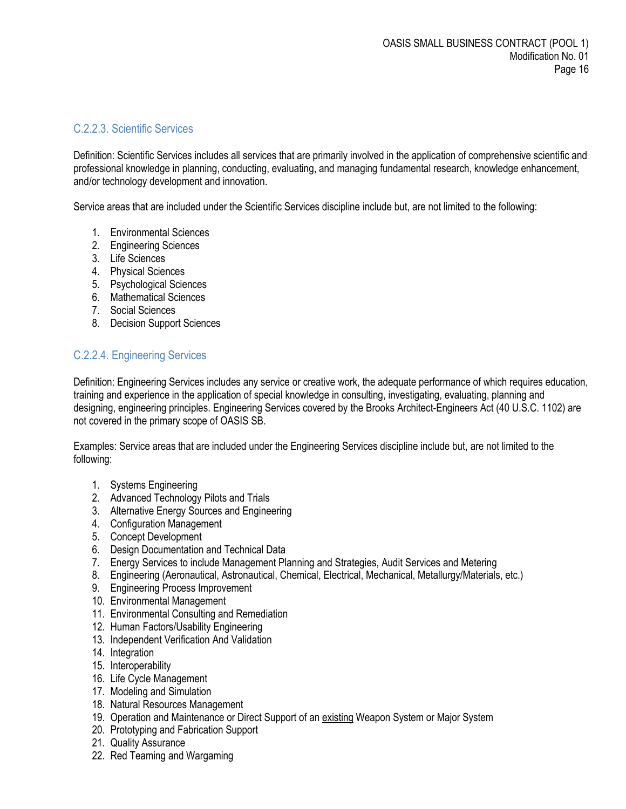#### <span id="page-15-0"></span>C.2.2.3. Scientific Services

Definition: Scientific Services includes all services that are primarily involved in the application of comprehensive scientific and professional knowledge in planning, conducting, evaluating, and managing fundamental research, knowledge enhancement, and/or technology development and innovation.

Service areas that are included under the Scientific Services discipline include but, are not limited to the following:

- 1. Environmental Sciences
- 2. Engineering Sciences
- 3. Life Sciences
- 4. Physical Sciences
- 5. Psychological Sciences
- 6. Mathematical Sciences
- 7. Social Sciences
- 8. Decision Support Sciences

## <span id="page-15-1"></span>C.2.2.4. Engineering Services

Definition: Engineering Services includes any service or creative work, the adequate performance of which requires education, training and experience in the application of special knowledge in consulting, investigating, evaluating, planning and designing, engineering principles. Engineering Services covered by the Brooks Architect-Engineers Act (40 U.S.C. 1102) are not covered in the primary scope of OASIS SB.

Examples: Service areas that are included under the Engineering Services discipline include but, are not limited to the following:

- 1. Systems Engineering
- 2. Advanced Technology Pilots and Trials
- 3. Alternative Energy Sources and Engineering
- 4. Configuration Management
- 5. Concept Development
- 6. Design Documentation and Technical Data
- 7. Energy Services to include Management Planning and Strategies, Audit Services and Metering
- 8. Engineering (Aeronautical, Astronautical, Chemical, Electrical, Mechanical, Metallurgy/Materials, etc.)
- 9. Engineering Process Improvement
- 10. Environmental Management
- 11. Environmental Consulting and Remediation
- 12. Human Factors/Usability Engineering
- 13. Independent Verification And Validation
- 14. Integration
- 15. Interoperability
- 16. Life Cycle Management
- 17. Modeling and Simulation
- 18. Natural Resources Management
- 19. Operation and Maintenance or Direct Support of an existing Weapon System or Major System
- 20. Prototyping and Fabrication Support
- 21. Quality Assurance
- 22. Red Teaming and Wargaming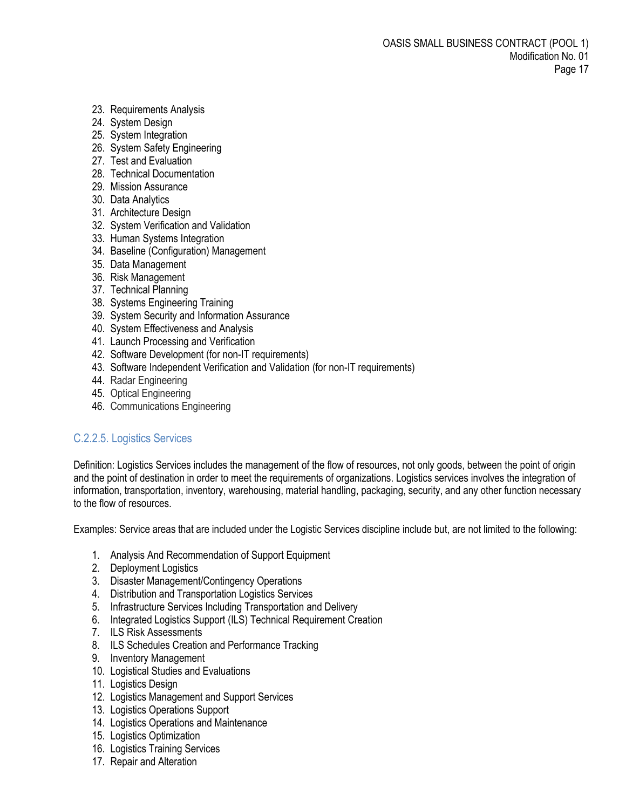- 23. Requirements Analysis
- 24. System Design
- 25. System Integration
- 26. System Safety Engineering
- 27. Test and Evaluation
- 28. Technical Documentation
- 29. Mission Assurance
- 30. Data Analytics
- 31. Architecture Design
- 32. System Verification and Validation
- 33. Human Systems Integration
- 34. Baseline (Configuration) Management
- 35. Data Management
- 36. Risk Management
- 37. Technical Planning
- 38. Systems Engineering Training
- 39. System Security and Information Assurance
- 40. System Effectiveness and Analysis
- 41. Launch Processing and Verification
- 42. Software Development (for non-IT requirements)
- 43. Software Independent Verification and Validation (for non-IT requirements)
- 44. Radar Engineering
- 45. Optical Engineering
- 46. Communications Engineering

## <span id="page-16-0"></span>C.2.2.5. Logistics Services

Definition: Logistics Services includes the management of the flow of resources, not only goods, between the point of origin and the point of destination in order to meet the requirements of organizations. Logistics services involves the integration of information[, transportation,](http://en.wikipedia.org/wiki/Transportation) [inventory,](http://en.wikipedia.org/wiki/Inventory) [warehousing,](http://en.wikipedia.org/wiki/Warehousing) [material handling,](http://en.wikipedia.org/wiki/Materials_management) [packaging,](http://en.wikipedia.org/wiki/Packaging) [security,](http://en.wikipedia.org/wiki/Security) and any other function necessary to the flow of resources.

Examples: Service areas that are included under the Logistic Services discipline include but, are not limited to the following:

- 1. Analysis And Recommendation of Support Equipment
- 2. Deployment Logistics
- 3. Disaster Management/Contingency Operations
- 4. Distribution and Transportation Logistics Services
- 5. Infrastructure Services Including Transportation and Delivery
- 6. Integrated Logistics Support (ILS) Technical Requirement Creation
- 7. ILS Risk Assessments
- 8. ILS Schedules Creation and Performance Tracking
- 9. Inventory Management
- 10. Logistical Studies and Evaluations
- 11. Logistics Design
- 12. Logistics Management and Support Services
- 13. Logistics Operations Support
- 14. Logistics Operations and Maintenance
- 15. Logistics Optimization
- 16. Logistics Training Services
- 17. Repair and Alteration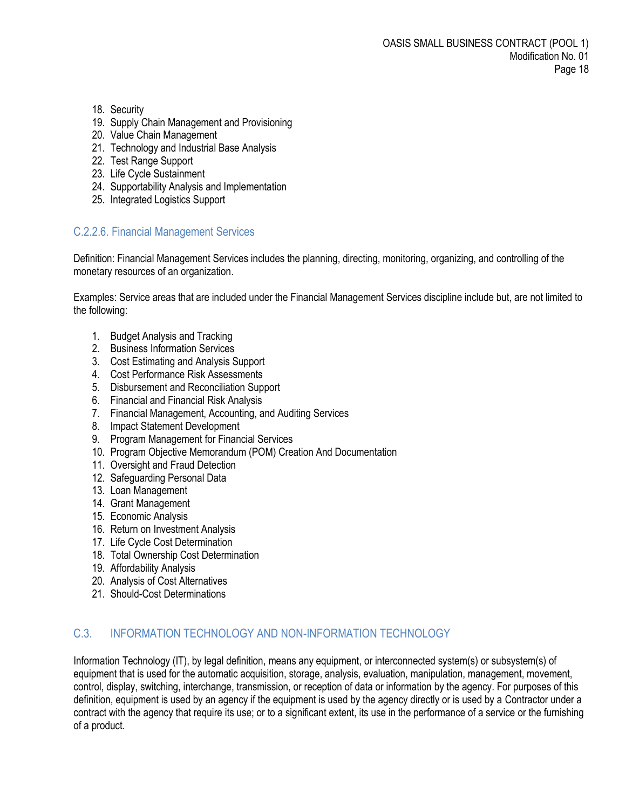- 18. Security
- 19. Supply Chain Management and Provisioning
- 20. Value Chain Management
- 21. Technology and Industrial Base Analysis
- 22. Test Range Support
- 23. Life Cycle Sustainment
- 24. Supportability Analysis and Implementation
- 25. Integrated Logistics Support

## <span id="page-17-0"></span>C.2.2.6. Financial Management Services

Definition: Financial Management Services includes the [planning,](http://www.businessdictionary.com/definition/planning.html) [directing,](http://www.businessdictionary.com/definition/directing.html) [monitoring,](http://www.businessdictionary.com/definition/monitoring.html) [organizing,](http://www.businessdictionary.com/definition/organizing.html) an[d controlling](http://www.businessdictionary.com/definition/controlling.html) of the [monetary](http://www.businessdictionary.com/definition/monetary.html) [resources](http://www.businessdictionary.com/definition/resource.html) of an [organization.](http://www.businessdictionary.com/definition/organization.html)

Examples: Service areas that are included under the Financial Management Services discipline include but, are not limited to the following:

- 1. Budget Analysis and Tracking
- 2. Business Information Services
- 3. Cost Estimating and Analysis Support
- 4. Cost Performance Risk Assessments
- 5. Disbursement and Reconciliation Support
- 6. Financial and Financial Risk Analysis
- 7. Financial Management, Accounting, and Auditing Services
- 8. Impact Statement Development
- 9. Program Management for Financial Services
- 10. Program Objective Memorandum (POM) Creation And Documentation
- 11. Oversight and Fraud Detection
- 12. Safeguarding Personal Data
- 13. Loan Management
- 14. Grant Management
- 15. Economic Analysis
- 16. Return on Investment Analysis
- 17. Life Cycle Cost Determination
- 18. Total Ownership Cost Determination
- 19. Affordability Analysis
- 20. Analysis of Cost Alternatives
- 21. Should-Cost Determinations

## <span id="page-17-1"></span>C.3. INFORMATION TECHNOLOGY AND NON-INFORMATION TECHNOLOGY

Information Technology (IT), by legal definition, means any equipment, or interconnected system(s) or subsystem(s) of equipment that is used for the automatic acquisition, storage, analysis, evaluation, manipulation, management, movement, control, display, switching, interchange, transmission, or reception of data or information by the agency. For purposes of this definition, equipment is used by an agency if the equipment is used by the agency directly or is used by a Contractor under a contract with the agency that require its use; or to a significant extent, its use in the performance of a service or the furnishing of a product.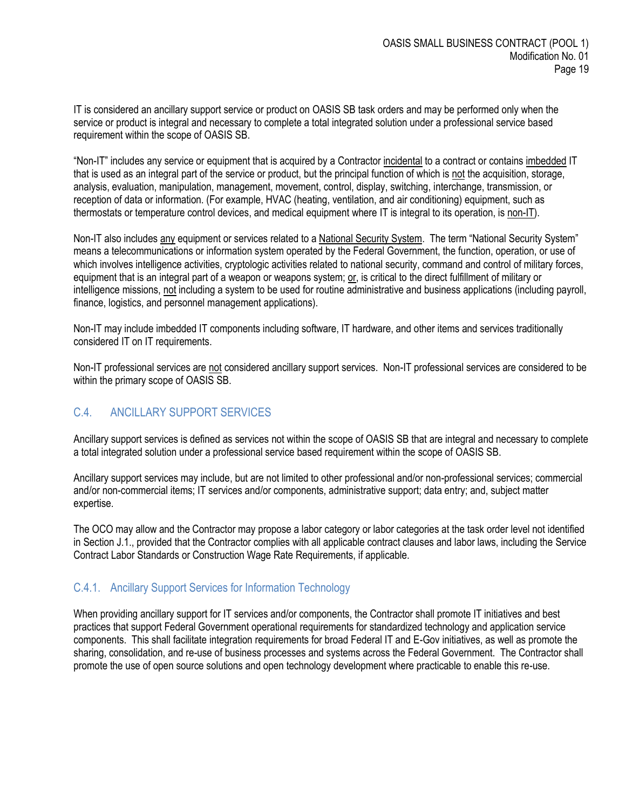IT is considered an ancillary support service or product on OASIS SB task orders and may be performed only when the service or product is integral and necessary to complete a total integrated solution under a professional service based requirement within the scope of OASIS SB.

"Non-IT" includes any service or equipment that is acquired by a Contractor incidental to a contract or contains imbedded IT that is used as an integral part of the service or product, but the principal function of which is not the acquisition, storage, analysis, evaluation, manipulation, management, movement, control, display, switching, interchange, transmission, or reception of data or information. (For example, HVAC (heating, ventilation, and air conditioning) equipment, such as thermostats or temperature control devices, and medical equipment where IT is integral to its operation, is non-IT).

Non-IT also includes any equipment or services related to a National Security System. The term "National Security System" means a telecommunications or information system operated by the Federal Government, the function, operation, or use of which involves intelligence activities, cryptologic activities related to national security, command and control of military forces, equipment that is an integral part of a weapon or weapons system; or, is critical to the direct fulfillment of military or intelligence missions, not including a system to be used for routine administrative and business applications (including payroll, finance, logistics, and personnel management applications).

Non-IT may include imbedded IT components including software, IT hardware, and other items and services traditionally considered IT on IT requirements.

Non-IT professional services are not considered ancillary support services. Non-IT professional services are considered to be within the primary scope of OASIS SB.

# <span id="page-18-0"></span>C.4. ANCILLARY SUPPORT SERVICES

Ancillary support services is defined as services not within the scope of OASIS SB that are integral and necessary to complete a total integrated solution under a professional service based requirement within the scope of OASIS SB.

Ancillary support services may include, but are not limited to other professional and/or non-professional services; commercial and/or non-commercial items; IT services and/or components, administrative support; data entry; and, subject matter expertise.

The OCO may allow and the Contractor may propose a labor category or labor categories at the task order level not identified in Section J.1., provided that the Contractor complies with all applicable contract clauses and labor laws, including the Service Contract Labor Standards or Construction Wage Rate Requirements, if applicable.

## <span id="page-18-1"></span>C.4.1. Ancillary Support Services for Information Technology

When providing ancillary support for IT services and/or components, the Contractor shall promote IT initiatives and best practices that support Federal Government operational requirements for standardized technology and application service components. This shall facilitate integration requirements for broad Federal IT and E-Gov initiatives, as well as promote the sharing, consolidation, and re-use of business processes and systems across the Federal Government. The Contractor shall promote the use of open source solutions and open technology development where practicable to enable this re-use.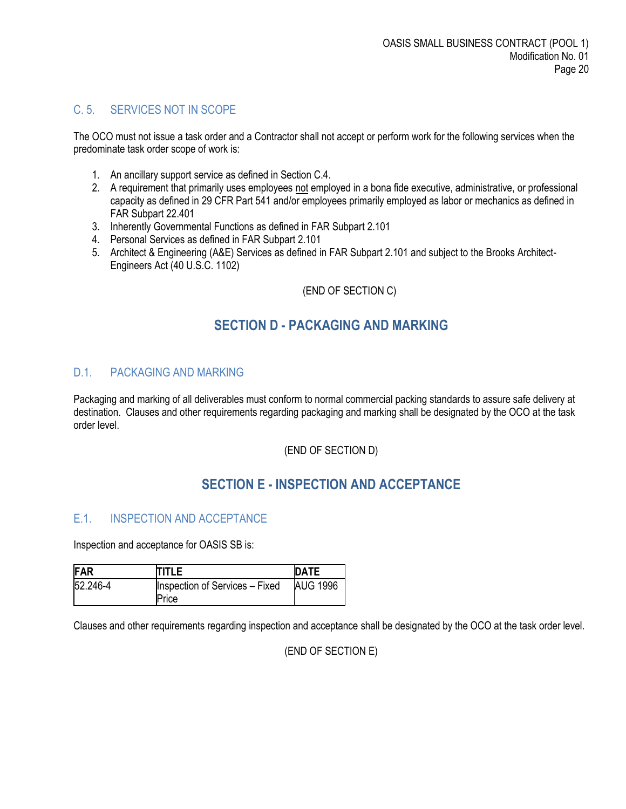# <span id="page-19-0"></span>C. 5. SERVICES NOT IN SCOPE

The OCO must not issue a task order and a Contractor shall not accept or perform work for the following services when the predominate task order scope of work is:

- 1. An ancillary support service as defined in Section C.4.
- 2. A requirement that primarily uses employees not employed in a bona fide executive, administrative, or professional capacity as defined in 29 CFR Part 541 and/or employees primarily employed as labor or mechanics as defined in FAR Subpart 22.401
- 3. Inherently Governmental Functions as defined in FAR Subpart 2.101
- 4. Personal Services as defined in FAR Subpart 2.101
- 5. Architect & Engineering (A&E) Services as defined in FAR Subpart 2.101 and subject to the Brooks Architect-Engineers Act (40 U.S.C. 1102)

#### (END OF SECTION C)

# **SECTION D - PACKAGING AND MARKING**

## <span id="page-19-2"></span><span id="page-19-1"></span>D.1. PACKAGING AND MARKING

Packaging and marking of all deliverables must conform to normal commercial packing standards to assure safe delivery at destination. Clauses and other requirements regarding packaging and marking shall be designated by the OCO at the task order level.

(END OF SECTION D)

# **SECTION E - INSPECTION AND ACCEPTANCE**

## <span id="page-19-4"></span><span id="page-19-3"></span>E.1. INSPECTION AND ACCEPTANCE

Inspection and acceptance for OASIS SB is:

| FAR      | <b>ITITLE</b>                  | <b>DATE</b>     |
|----------|--------------------------------|-----------------|
| 52.246-4 | Inspection of Services - Fixed | <b>AUG 1996</b> |
|          | Price                          |                 |

Clauses and other requirements regarding inspection and acceptance shall be designated by the OCO at the task order level.

(END OF SECTION E)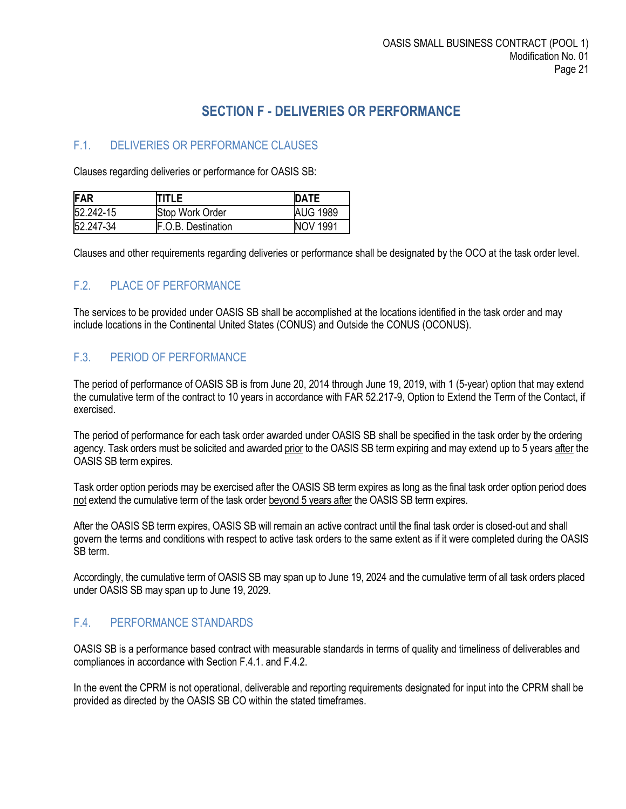# **SECTION F - DELIVERIES OR PERFORMANCE**

# <span id="page-20-1"></span><span id="page-20-0"></span>F.1. DELIVERIES OR PERFORMANCE CLAUSES

Clauses regarding deliveries or performance for OASIS SB:

| FAR       | TITLE                     | <b>IDATE</b>    |
|-----------|---------------------------|-----------------|
| 52.242-15 | Stop Work Order           | <b>AUG 1989</b> |
| 52.247-34 | <b>F.O.B.</b> Destination | <b>NOV 1991</b> |

Clauses and other requirements regarding deliveries or performance shall be designated by the OCO at the task order level.

# <span id="page-20-2"></span>F.2. PLACE OF PERFORMANCE

The services to be provided under OASIS SB shall be accomplished at the locations identified in the task order and may include locations in the Continental United States (CONUS) and Outside the CONUS (OCONUS).

## <span id="page-20-3"></span>F.3. PERIOD OF PERFORMANCE

The period of performance of OASIS SB is from June 20, 2014 through June 19, 2019, with 1 (5-year) option that may extend the cumulative term of the contract to 10 years in accordance with FAR 52.217-9, Option to Extend the Term of the Contact, if exercised.

The period of performance for each task order awarded under OASIS SB shall be specified in the task order by the ordering agency. Task orders must be solicited and awarded prior to the OASIS SB term expiring and may extend up to 5 years after the OASIS SB term expires.

Task order option periods may be exercised after the OASIS SB term expires as long as the final task order option period does not extend the cumulative term of the task order beyond 5 years after the OASIS SB term expires.

After the OASIS SB term expires, OASIS SB will remain an active contract until the final task order is closed-out and shall govern the terms and conditions with respect to active task orders to the same extent as if it were completed during the OASIS SB term.

Accordingly, the cumulative term of OASIS SB may span up to June 19, 2024 and the cumulative term of all task orders placed under OASIS SB may span up to June 19, 2029.

## <span id="page-20-4"></span>F.4. PERFORMANCE STANDARDS

OASIS SB is a performance based contract with measurable standards in terms of quality and timeliness of deliverables and compliances in accordance with Section F.4.1. and F.4.2.

In the event the CPRM is not operational, deliverable and reporting requirements designated for input into the CPRM shall be provided as directed by the OASIS SB CO within the stated timeframes.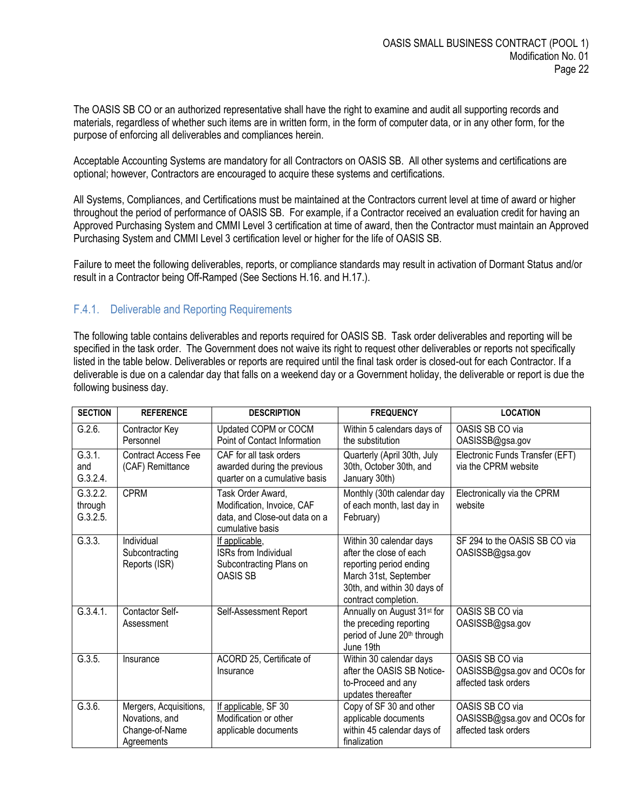The OASIS SB CO or an authorized representative shall have the right to examine and audit all supporting records and materials, regardless of whether such items are in written form, in the form of computer data, or in any other form, for the purpose of enforcing all deliverables and compliances herein.

Acceptable Accounting Systems are mandatory for all Contractors on OASIS SB. All other systems and certifications are optional; however, Contractors are encouraged to acquire these systems and certifications.

All Systems, Compliances, and Certifications must be maintained at the Contractors current level at time of award or higher throughout the period of performance of OASIS SB. For example, if a Contractor received an evaluation credit for having an Approved Purchasing System and CMMI Level 3 certification at time of award, then the Contractor must maintain an Approved Purchasing System and CMMI Level 3 certification level or higher for the life of OASIS SB.

Failure to meet the following deliverables, reports, or compliance standards may result in activation of Dormant Status and/or result in a Contractor being Off-Ramped (See Sections H.16. and H.17.).

#### <span id="page-21-0"></span>F.4.1. Deliverable and Reporting Requirements

The following table contains deliverables and reports required for OASIS SB. Task order deliverables and reporting will be specified in the task order. The Government does not waive its right to request other deliverables or reports not specifically listed in the table below. Deliverables or reports are required until the final task order is closed-out for each Contractor. If a deliverable is due on a calendar day that falls on a weekend day or a Government holiday, the deliverable or report is due the following business day.

| <b>SECTION</b>                                                                                                                                         | <b>REFERENCE</b>                                                         | <b>DESCRIPTION</b>                                                                      | <b>FREQUENCY</b>                                                                                                                                              | <b>LOCATION</b>                                                         |
|--------------------------------------------------------------------------------------------------------------------------------------------------------|--------------------------------------------------------------------------|-----------------------------------------------------------------------------------------|---------------------------------------------------------------------------------------------------------------------------------------------------------------|-------------------------------------------------------------------------|
| G.2.6.                                                                                                                                                 | Contractor Key<br>Personnel                                              | Updated COPM or COCM<br>Point of Contact Information                                    | Within 5 calendars days of<br>the substitution                                                                                                                | OASIS SB CO via<br>OASISSB@gsa.gov                                      |
| G.3.1.<br>and<br>G.3.2.4.                                                                                                                              | <b>Contract Access Fee</b><br>(CAF) Remittance                           | CAF for all task orders<br>awarded during the previous<br>quarter on a cumulative basis | Quarterly (April 30th, July<br>30th, October 30th, and<br>January 30th)                                                                                       | Electronic Funds Transfer (EFT)<br>via the CPRM website                 |
| G.3.2.2.<br><b>CPRM</b><br>Task Order Award,<br>Modification, Invoice, CAF<br>through<br>G.3.2.5.<br>data, and Close-out data on a<br>cumulative basis |                                                                          | Monthly (30th calendar day<br>of each month, last day in<br>February)                   | Electronically via the CPRM<br>website                                                                                                                        |                                                                         |
| G.3.3.                                                                                                                                                 | Individual<br>Subcontracting<br>Reports (ISR)                            | If applicable,<br><b>ISRs from Individual</b><br>Subcontracting Plans on<br>OASIS SB    | Within 30 calendar days<br>after the close of each<br>reporting period ending<br>March 31st, September<br>30th, and within 30 days of<br>contract completion. | SF 294 to the OASIS SB CO via<br>OASISSB@gsa.gov                        |
| G.3.4.1.                                                                                                                                               | Contactor Self-<br>Assessment                                            | Self-Assessment Report                                                                  | Annually on August 31 <sup>st</sup> for<br>the preceding reporting<br>period of June 20th through<br>June 19th                                                | OASIS SB CO via<br>OASISSB@gsa.gov                                      |
| G.3.5.                                                                                                                                                 | Insurance                                                                | ACORD 25, Certificate of<br>Insurance                                                   | Within 30 calendar days<br>after the OASIS SB Notice-<br>to-Proceed and any<br>updates thereafter                                                             | OASIS SB CO via<br>OASISSB@gsa.gov and OCOs for<br>affected task orders |
| G.3.6.                                                                                                                                                 | Mergers, Acquisitions,<br>Novations, and<br>Change-of-Name<br>Agreements | If applicable, SF 30<br>Modification or other<br>applicable documents                   | Copy of SF 30 and other<br>applicable documents<br>within 45 calendar days of<br>finalization                                                                 | OASIS SB CO via<br>OASISSB@gsa.gov and OCOs for<br>affected task orders |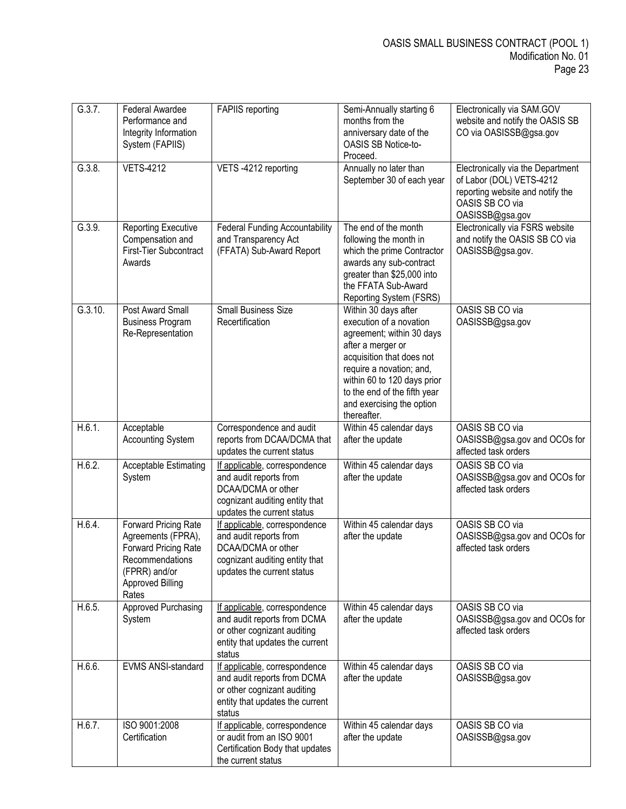| G.3.7.  | Federal Awardee<br>Performance and<br>Integrity Information<br>System (FAPIIS)                                                      | <b>FAPIIS</b> reporting                                                                                                                       | Semi-Annually starting 6<br>months from the<br>anniversary date of the<br>OASIS SB Notice-to-<br>Proceed.                                                                                                                                                             | Electronically via SAM.GOV<br>website and notify the OASIS SB<br>CO via OASISSB@gsa.gov                                                 |
|---------|-------------------------------------------------------------------------------------------------------------------------------------|-----------------------------------------------------------------------------------------------------------------------------------------------|-----------------------------------------------------------------------------------------------------------------------------------------------------------------------------------------------------------------------------------------------------------------------|-----------------------------------------------------------------------------------------------------------------------------------------|
| G.3.8.  | <b>VETS-4212</b>                                                                                                                    | VETS-4212 reporting                                                                                                                           | Annually no later than<br>September 30 of each year                                                                                                                                                                                                                   | Electronically via the Department<br>of Labor (DOL) VETS-4212<br>reporting website and notify the<br>OASIS SB CO via<br>OASISSB@gsa.gov |
| G.3.9.  | <b>Reporting Executive</b><br>Compensation and<br>First-Tier Subcontract<br>Awards                                                  | <b>Federal Funding Accountability</b><br>and Transparency Act<br>(FFATA) Sub-Award Report                                                     | The end of the month<br>following the month in<br>which the prime Contractor<br>awards any sub-contract<br>greater than \$25,000 into<br>the FFATA Sub-Award<br>Reporting System (FSRS)                                                                               | Electronically via FSRS website<br>and notify the OASIS SB CO via<br>OASISSB@gsa.gov.                                                   |
| G.3.10. | Post Award Small<br><b>Business Program</b><br>Re-Representation                                                                    | <b>Small Business Size</b><br>Recertification                                                                                                 | Within 30 days after<br>execution of a novation<br>agreement; within 30 days<br>after a merger or<br>acquisition that does not<br>require a novation; and,<br>within 60 to 120 days prior<br>to the end of the fifth year<br>and exercising the option<br>thereafter. | OASIS SB CO via<br>OASISSB@gsa.gov                                                                                                      |
| H.6.1.  | Acceptable<br><b>Accounting System</b>                                                                                              | Correspondence and audit<br>reports from DCAA/DCMA that<br>updates the current status                                                         | Within 45 calendar days<br>after the update                                                                                                                                                                                                                           | OASIS SB CO via<br>OASISSB@gsa.gov and OCOs for<br>affected task orders                                                                 |
| H.6.2.  | Acceptable Estimating<br>System                                                                                                     | If applicable, correspondence<br>and audit reports from<br>DCAA/DCMA or other<br>cognizant auditing entity that<br>updates the current status | Within 45 calendar days<br>after the update                                                                                                                                                                                                                           | OASIS SB CO via<br>OASISSB@gsa.gov and OCOs for<br>affected task orders                                                                 |
| H.6.4.  | Forward Pricing Rate<br>Agreements (FPRA),<br>Forward Pricing Rate<br>Recommendations<br>(FPRR) and/or<br>Approved Billing<br>Rates | If applicable, correspondence<br>and audit reports from<br>DCAA/DCMA or other<br>cognizant auditing entity that<br>updates the current status | Within 45 calendar days<br>after the update                                                                                                                                                                                                                           | OASIS SB CO via<br>OASISSB@gsa.gov and OCOs for<br>affected task orders                                                                 |
| H.6.5.  | <b>Approved Purchasing</b><br>System                                                                                                | If applicable, correspondence<br>and audit reports from DCMA<br>or other cognizant auditing<br>entity that updates the current<br>status      | Within 45 calendar days<br>after the update                                                                                                                                                                                                                           | OASIS SB CO via<br>OASISSB@gsa.gov and OCOs for<br>affected task orders                                                                 |
| H.6.6.  | EVMS ANSI-standard                                                                                                                  | If applicable, correspondence<br>and audit reports from DCMA<br>or other cognizant auditing<br>entity that updates the current<br>status      | Within 45 calendar days<br>after the update                                                                                                                                                                                                                           | OASIS SB CO via<br>OASISSB@gsa.gov                                                                                                      |
| H.6.7.  | ISO 9001:2008<br>Certification                                                                                                      | If applicable, correspondence<br>or audit from an ISO 9001<br>Certification Body that updates<br>the current status                           | Within 45 calendar days<br>after the update                                                                                                                                                                                                                           | OASIS SB CO via<br>OASISSB@gsa.gov                                                                                                      |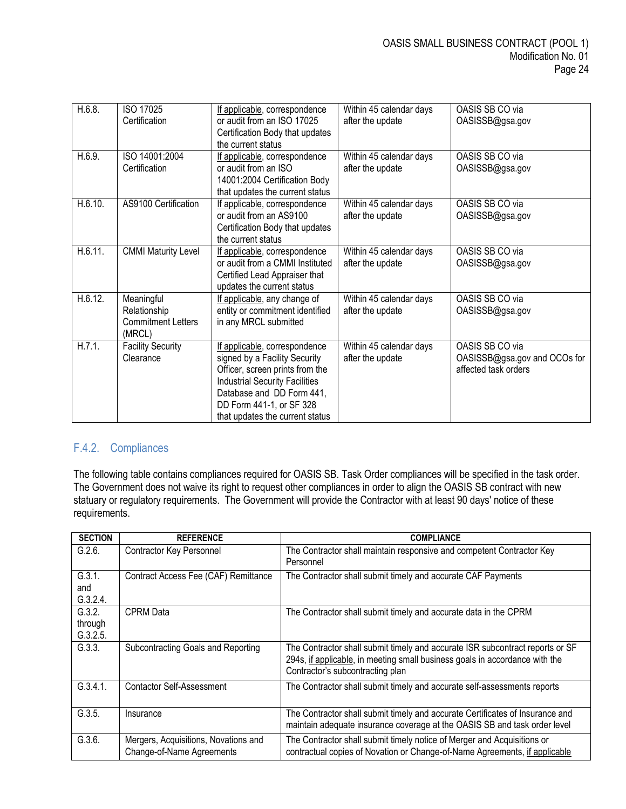| H.6.8.  | ISO 17025                  | If applicable, correspondence                            | Within 45 calendar days | OASIS SB CO via              |
|---------|----------------------------|----------------------------------------------------------|-------------------------|------------------------------|
|         | Certification              | or audit from an ISO 17025                               | after the update        | OASISSB@gsa.gov              |
|         |                            | Certification Body that updates                          |                         |                              |
|         |                            | the current status                                       |                         |                              |
| H.6.9.  | ISO 14001:2004             | If applicable, correspondence                            | Within 45 calendar days | OASIS SB CO via              |
|         | Certification              | or audit from an ISO                                     | after the update        | OASISSB@gsa.gov              |
|         |                            | 14001:2004 Certification Body                            |                         |                              |
|         |                            | that updates the current status                          |                         |                              |
| H.6.10. | AS9100 Certification       | If applicable, correspondence<br>or audit from an AS9100 | Within 45 calendar days | OASIS SB CO via              |
|         |                            |                                                          | after the update        | OASISSB@gsa.gov              |
|         |                            | Certification Body that updates<br>the current status    |                         |                              |
| H.6.11. | <b>CMMI Maturity Level</b> | If applicable, correspondence                            | Within 45 calendar days | OASIS SB CO via              |
|         |                            | or audit from a CMMI Instituted                          | after the update        | OASISSB@gsa.gov              |
|         |                            | Certified Lead Appraiser that                            |                         |                              |
|         |                            | updates the current status                               |                         |                              |
| H.6.12. | Meaningful                 | If applicable, any change of                             | Within 45 calendar days | OASIS SB CO via              |
|         | Relationship               | entity or commitment identified                          | after the update        | OASISSB@gsa.gov              |
|         | <b>Commitment Letters</b>  | in any MRCL submitted                                    |                         |                              |
|         | (MRCL)                     |                                                          |                         |                              |
| H.7.1.  | <b>Facility Security</b>   | If applicable, correspondence                            | Within 45 calendar days | OASIS SB CO via              |
|         | Clearance                  | signed by a Facility Security                            | after the update        | OASISSB@gsa.gov and OCOs for |
|         |                            | Officer, screen prints from the                          |                         | affected task orders         |
|         |                            | <b>Industrial Security Facilities</b>                    |                         |                              |
|         |                            | Database and DD Form 441,                                |                         |                              |
|         |                            | DD Form 441-1, or SF 328                                 |                         |                              |
|         |                            | that updates the current status                          |                         |                              |

# <span id="page-23-0"></span>F.4.2. Compliances

The following table contains compliances required for OASIS SB. Task Order compliances will be specified in the task order. The Government does not waive its right to request other compliances in order to align the OASIS SB contract with new statuary or regulatory requirements. The Government will provide the Contractor with at least 90 days' notice of these requirements.

| <b>SECTION</b>                | <b>REFERENCE</b>                                                  | <b>COMPLIANCE</b>                                                                                                                                                                                |
|-------------------------------|-------------------------------------------------------------------|--------------------------------------------------------------------------------------------------------------------------------------------------------------------------------------------------|
| G.2.6.                        | Contractor Key Personnel                                          | The Contractor shall maintain responsive and competent Contractor Key<br>Personnel                                                                                                               |
| G.3.1.<br>and<br>G.3.2.4.     | Contract Access Fee (CAF) Remittance                              | The Contractor shall submit timely and accurate CAF Payments                                                                                                                                     |
| G.3.2.<br>through<br>G.3.2.5. | <b>CPRM</b> Data                                                  | The Contractor shall submit timely and accurate data in the CPRM                                                                                                                                 |
| G.3.3.                        | Subcontracting Goals and Reporting                                | The Contractor shall submit timely and accurate ISR subcontract reports or SF<br>294s, if applicable, in meeting small business goals in accordance with the<br>Contractor's subcontracting plan |
| G.3.4.1.                      | <b>Contactor Self-Assessment</b>                                  | The Contractor shall submit timely and accurate self-assessments reports                                                                                                                         |
| G.3.5.                        | Insurance                                                         | The Contractor shall submit timely and accurate Certificates of Insurance and<br>maintain adequate insurance coverage at the OASIS SB and task order level                                       |
| G.3.6.                        | Mergers, Acquisitions, Novations and<br>Change-of-Name Agreements | The Contractor shall submit timely notice of Merger and Acquisitions or<br>contractual copies of Novation or Change-of-Name Agreements, if applicable                                            |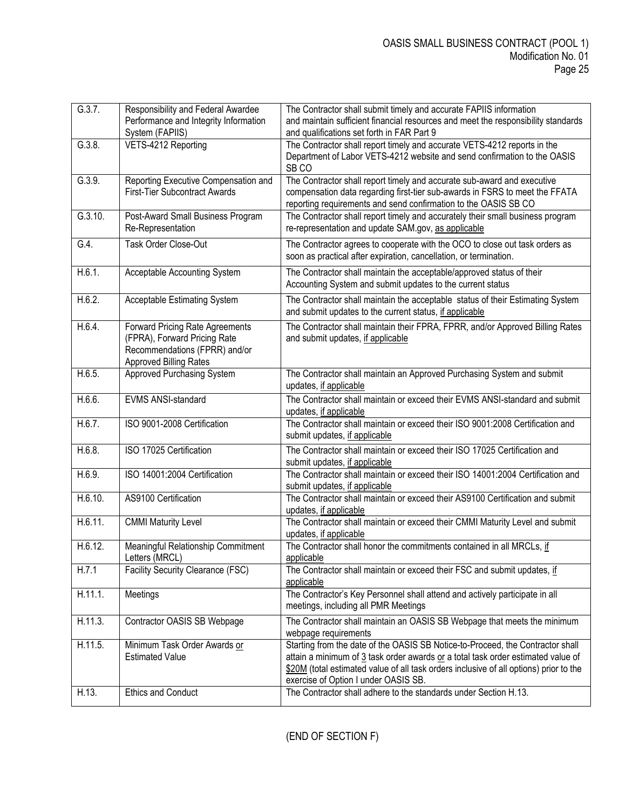| G.3.7.  | Responsibility and Federal Awardee<br>Performance and Integrity Information<br>System (FAPIIS)                                           | The Contractor shall submit timely and accurate FAPIIS information<br>and maintain sufficient financial resources and meet the responsibility standards<br>and qualifications set forth in FAR Part 9                                                                                                |
|---------|------------------------------------------------------------------------------------------------------------------------------------------|------------------------------------------------------------------------------------------------------------------------------------------------------------------------------------------------------------------------------------------------------------------------------------------------------|
| G.3.8.  | VETS-4212 Reporting                                                                                                                      | The Contractor shall report timely and accurate VETS-4212 reports in the<br>Department of Labor VETS-4212 website and send confirmation to the OASIS<br>SB <sub>CO</sub>                                                                                                                             |
| G.3.9.  | Reporting Executive Compensation and<br><b>First-Tier Subcontract Awards</b>                                                             | The Contractor shall report timely and accurate sub-award and executive<br>compensation data regarding first-tier sub-awards in FSRS to meet the FFATA<br>reporting requirements and send confirmation to the OASIS SB CO                                                                            |
| G.3.10. | Post-Award Small Business Program<br>Re-Representation                                                                                   | The Contractor shall report timely and accurately their small business program<br>re-representation and update SAM.gov, as applicable                                                                                                                                                                |
| G.4.    | Task Order Close-Out                                                                                                                     | The Contractor agrees to cooperate with the OCO to close out task orders as<br>soon as practical after expiration, cancellation, or termination.                                                                                                                                                     |
| H.6.1.  | Acceptable Accounting System                                                                                                             | The Contractor shall maintain the acceptable/approved status of their<br>Accounting System and submit updates to the current status                                                                                                                                                                  |
| H.6.2.  | Acceptable Estimating System                                                                                                             | The Contractor shall maintain the acceptable status of their Estimating System<br>and submit updates to the current status, if applicable                                                                                                                                                            |
| H.6.4.  | <b>Forward Pricing Rate Agreements</b><br>(FPRA), Forward Pricing Rate<br>Recommendations (FPRR) and/or<br><b>Approved Billing Rates</b> | The Contractor shall maintain their FPRA, FPRR, and/or Approved Billing Rates<br>and submit updates, if applicable                                                                                                                                                                                   |
| H.6.5.  | <b>Approved Purchasing System</b>                                                                                                        | The Contractor shall maintain an Approved Purchasing System and submit<br>updates, if applicable                                                                                                                                                                                                     |
| H.6.6.  | EVMS ANSI-standard                                                                                                                       | The Contractor shall maintain or exceed their EVMS ANSI-standard and submit<br>updates, if applicable                                                                                                                                                                                                |
| H.6.7.  | ISO 9001-2008 Certification                                                                                                              | The Contractor shall maintain or exceed their ISO 9001:2008 Certification and<br>submit updates, if applicable                                                                                                                                                                                       |
| H.6.8.  | ISO 17025 Certification                                                                                                                  | The Contractor shall maintain or exceed their ISO 17025 Certification and<br>submit updates, if applicable                                                                                                                                                                                           |
| H.6.9.  | ISO 14001:2004 Certification                                                                                                             | The Contractor shall maintain or exceed their ISO 14001:2004 Certification and<br>submit updates, if applicable                                                                                                                                                                                      |
| H.6.10. | AS9100 Certification                                                                                                                     | The Contractor shall maintain or exceed their AS9100 Certification and submit<br>updates, if applicable                                                                                                                                                                                              |
| H.6.11. | <b>CMMI Maturity Level</b>                                                                                                               | The Contractor shall maintain or exceed their CMMI Maturity Level and submit<br>updates, if applicable                                                                                                                                                                                               |
| H.6.12. | Meaningful Relationship Commitment<br>Letters (MRCL)                                                                                     | The Contractor shall honor the commitments contained in all MRCLs, if<br>applicable                                                                                                                                                                                                                  |
| H.7.1   | <b>Facility Security Clearance (FSC)</b>                                                                                                 | The Contractor shall maintain or exceed their FSC and submit updates, if<br>applicable                                                                                                                                                                                                               |
| H.11.1. | Meetings                                                                                                                                 | The Contractor's Key Personnel shall attend and actively participate in all<br>meetings, including all PMR Meetings                                                                                                                                                                                  |
| H.11.3. | Contractor OASIS SB Webpage                                                                                                              | The Contractor shall maintain an OASIS SB Webpage that meets the minimum<br>webpage requirements                                                                                                                                                                                                     |
| H.11.5. | Minimum Task Order Awards or<br><b>Estimated Value</b>                                                                                   | Starting from the date of the OASIS SB Notice-to-Proceed, the Contractor shall<br>attain a minimum of 3 task order awards or a total task order estimated value of<br>\$20M (total estimated value of all task orders inclusive of all options) prior to the<br>exercise of Option I under OASIS SB. |
| H.13.   | <b>Ethics and Conduct</b>                                                                                                                | The Contractor shall adhere to the standards under Section H.13.                                                                                                                                                                                                                                     |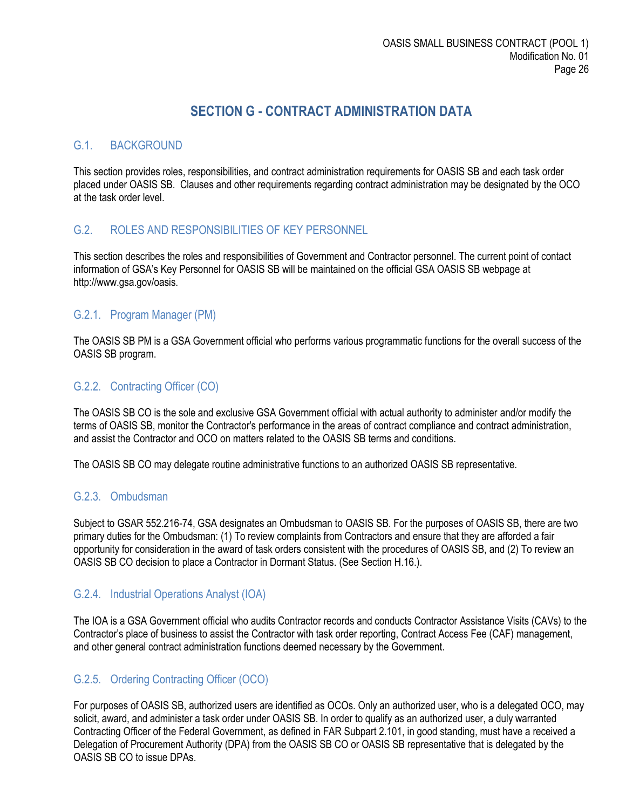# **SECTION G - CONTRACT ADMINISTRATION DATA**

#### <span id="page-25-1"></span><span id="page-25-0"></span>G.1. BACKGROUND

This section provides roles, responsibilities, and contract administration requirements for OASIS SB and each task order placed under OASIS SB. Clauses and other requirements regarding contract administration may be designated by the OCO at the task order level.

#### <span id="page-25-2"></span>G.2. ROLES AND RESPONSIBILITIES OF KEY PERSONNEL

This section describes the roles and responsibilities of Government and Contractor personnel. The current point of contact information of GSA's Key Personnel for OASIS SB will be maintained on the official GSA OASIS SB webpage at http://www.gsa.gov/oasis.

#### <span id="page-25-3"></span>G.2.1. Program Manager (PM)

The OASIS SB PM is a GSA Government official who performs various programmatic functions for the overall success of the OASIS SB program.

#### <span id="page-25-4"></span>G.2.2. Contracting Officer (CO)

The OASIS SB CO is the sole and exclusive GSA Government official with actual authority to administer and/or modify the terms of OASIS SB, monitor the Contractor's performance in the areas of contract compliance and contract administration, and assist the Contractor and OCO on matters related to the OASIS SB terms and conditions.

The OASIS SB CO may delegate routine administrative functions to an authorized OASIS SB representative.

#### <span id="page-25-5"></span>G.2.3. Ombudsman

Subject to GSAR 552.216-74, GSA designates an Ombudsman to OASIS SB. For the purposes of OASIS SB, there are two primary duties for the Ombudsman: (1) To review complaints from Contractors and ensure that they are afforded a fair opportunity for consideration in the award of task orders consistent with the procedures of OASIS SB, and (2) To review an OASIS SB CO decision to place a Contractor in Dormant Status. (See Section H.16.).

#### <span id="page-25-6"></span>G.2.4. Industrial Operations Analyst (IOA)

The IOA is a GSA Government official who audits Contractor records and conducts Contractor Assistance Visits (CAVs) to the Contractor's place of business to assist the Contractor with task order reporting, Contract Access Fee (CAF) management, and other general contract administration functions deemed necessary by the Government.

## <span id="page-25-7"></span>G.2.5. Ordering Contracting Officer (OCO)

For purposes of OASIS SB, authorized users are identified as OCOs. Only an authorized user, who is a delegated OCO, may solicit, award, and administer a task order under OASIS SB. In order to qualify as an authorized user, a duly warranted Contracting Officer of the Federal Government, as defined in FAR Subpart 2.101, in good standing, must have a received a Delegation of Procurement Authority (DPA) from the OASIS SB CO or OASIS SB representative that is delegated by the OASIS SB CO to issue DPAs.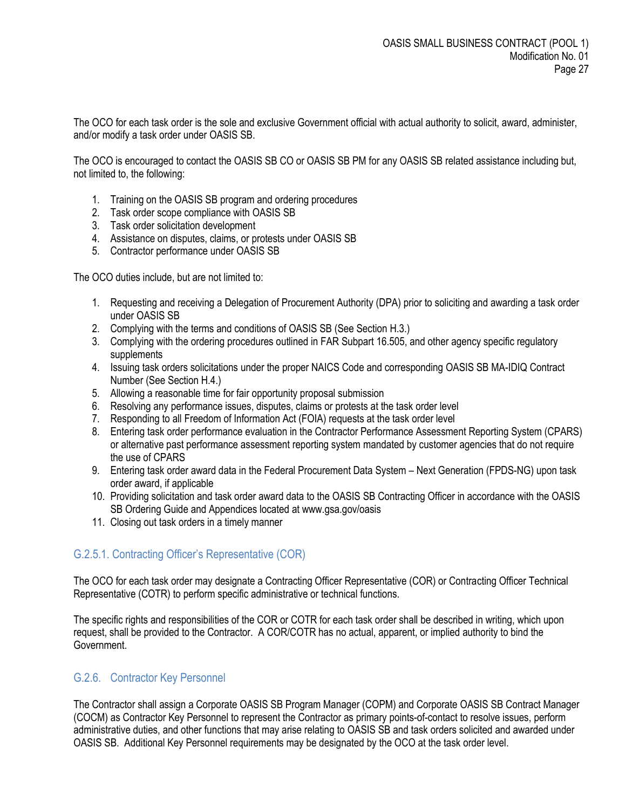The OCO for each task order is the sole and exclusive Government official with actual authority to solicit, award, administer, and/or modify a task order under OASIS SB.

The OCO is encouraged to contact the OASIS SB CO or OASIS SB PM for any OASIS SB related assistance including but, not limited to, the following:

- 1. Training on the OASIS SB program and ordering procedures
- 2. Task order scope compliance with OASIS SB
- 3. Task order solicitation development
- 4. Assistance on disputes, claims, or protests under OASIS SB
- 5. Contractor performance under OASIS SB

The OCO duties include, but are not limited to:

- 1. Requesting and receiving a Delegation of Procurement Authority (DPA) prior to soliciting and awarding a task order under OASIS SB
- 2. Complying with the terms and conditions of OASIS SB (See Section H.3.)
- 3. Complying with the ordering procedures outlined in FAR Subpart 16.505, and other agency specific regulatory supplements
- 4. Issuing task orders solicitations under the proper NAICS Code and corresponding OASIS SB MA-IDIQ Contract Number (See Section H.4.)
- 5. Allowing a reasonable time for fair opportunity proposal submission
- 6. Resolving any performance issues, disputes, claims or protests at the task order level
- 7. Responding to all Freedom of Information Act (FOIA) requests at the task order level
- 8. Entering task order performance evaluation in the Contractor Performance Assessment Reporting System (CPARS) or alternative past performance assessment reporting system mandated by customer agencies that do not require the use of CPARS
- 9. Entering task order award data in the Federal Procurement Data System Next Generation (FPDS-NG) upon task order award, if applicable
- 10. Providing solicitation and task order award data to the OASIS SB Contracting Officer in accordance with the OASIS SB Ordering Guide and Appendices located at www.gsa.gov/oasis
- 11. Closing out task orders in a timely manner

#### <span id="page-26-0"></span>G.2.5.1. Contracting Officer's Representative (COR)

The OCO for each task order may designate a Contracting Officer Representative (COR) or Contracting Officer Technical Representative (COTR) to perform specific administrative or technical functions.

The specific rights and responsibilities of the COR or COTR for each task order shall be described in writing, which upon request, shall be provided to the Contractor. A COR/COTR has no actual, apparent, or implied authority to bind the Government.

#### <span id="page-26-1"></span>G.2.6. Contractor Key Personnel

The Contractor shall assign a Corporate OASIS SB Program Manager (COPM) and Corporate OASIS SB Contract Manager (COCM) as Contractor Key Personnel to represent the Contractor as primary points-of-contact to resolve issues, perform administrative duties, and other functions that may arise relating to OASIS SB and task orders solicited and awarded under OASIS SB. Additional Key Personnel requirements may be designated by the OCO at the task order level.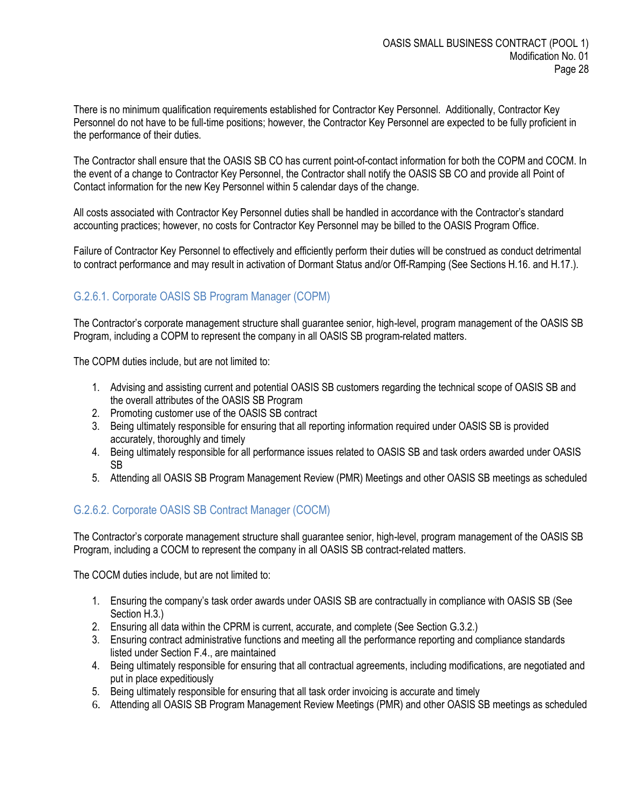There is no minimum qualification requirements established for Contractor Key Personnel. Additionally, Contractor Key Personnel do not have to be full-time positions; however, the Contractor Key Personnel are expected to be fully proficient in the performance of their duties.

The Contractor shall ensure that the OASIS SB CO has current point-of-contact information for both the COPM and COCM. In the event of a change to Contractor Key Personnel, the Contractor shall notify the OASIS SB CO and provide all Point of Contact information for the new Key Personnel within 5 calendar days of the change.

All costs associated with Contractor Key Personnel duties shall be handled in accordance with the Contractor's standard accounting practices; however, no costs for Contractor Key Personnel may be billed to the OASIS Program Office.

Failure of Contractor Key Personnel to effectively and efficiently perform their duties will be construed as conduct detrimental to contract performance and may result in activation of Dormant Status and/or Off-Ramping (See Sections H.16. and H.17.).

# <span id="page-27-0"></span>G.2.6.1. Corporate OASIS SB Program Manager (COPM)

The Contractor's corporate management structure shall guarantee senior, high-level, program management of the OASIS SB Program, including a COPM to represent the company in all OASIS SB program-related matters.

The COPM duties include, but are not limited to:

- 1. Advising and assisting current and potential OASIS SB customers regarding the technical scope of OASIS SB and the overall attributes of the OASIS SB Program
- 2. Promoting customer use of the OASIS SB contract
- 3. Being ultimately responsible for ensuring that all reporting information required under OASIS SB is provided accurately, thoroughly and timely
- 4. Being ultimately responsible for all performance issues related to OASIS SB and task orders awarded under OASIS SB
- 5. Attending all OASIS SB Program Management Review (PMR) Meetings and other OASIS SB meetings as scheduled

## <span id="page-27-1"></span>G.2.6.2. Corporate OASIS SB Contract Manager (COCM)

The Contractor's corporate management structure shall guarantee senior, high-level, program management of the OASIS SB Program, including a COCM to represent the company in all OASIS SB contract-related matters.

The COCM duties include, but are not limited to:

- 1. Ensuring the company's task order awards under OASIS SB are contractually in compliance with OASIS SB (See Section H.3.)
- 2. Ensuring all data within the CPRM is current, accurate, and complete (See Section G.3.2.)
- 3. Ensuring contract administrative functions and meeting all the performance reporting and compliance standards listed under Section F.4., are maintained
- 4. Being ultimately responsible for ensuring that all contractual agreements, including modifications, are negotiated and put in place expeditiously
- 5. Being ultimately responsible for ensuring that all task order invoicing is accurate and timely
- 6. Attending all OASIS SB Program Management Review Meetings (PMR) and other OASIS SB meetings as scheduled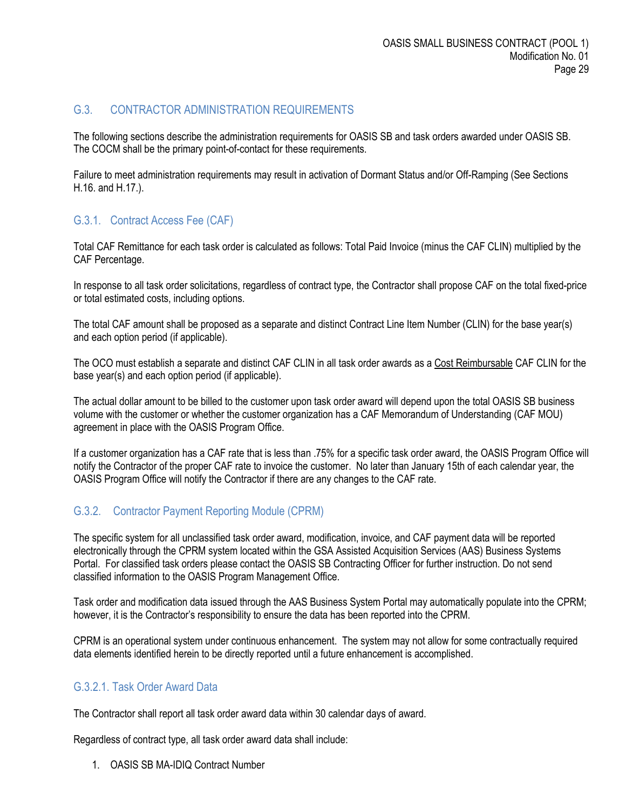# <span id="page-28-0"></span>G.3. CONTRACTOR ADMINISTRATION REQUIREMENTS

The following sections describe the administration requirements for OASIS SB and task orders awarded under OASIS SB. The COCM shall be the primary point-of-contact for these requirements.

Failure to meet administration requirements may result in activation of Dormant Status and/or Off-Ramping (See Sections H.16. and H.17.).

## <span id="page-28-1"></span>G.3.1. Contract Access Fee (CAF)

Total CAF Remittance for each task order is calculated as follows: Total Paid Invoice (minus the CAF CLIN) multiplied by the CAF Percentage.

In response to all task order solicitations, regardless of contract type, the Contractor shall propose CAF on the total fixed-price or total estimated costs, including options.

The total CAF amount shall be proposed as a separate and distinct Contract Line Item Number (CLIN) for the base year(s) and each option period (if applicable).

The OCO must establish a separate and distinct CAF CLIN in all task order awards as a Cost Reimbursable CAF CLIN for the base year(s) and each option period (if applicable).

The actual dollar amount to be billed to the customer upon task order award will depend upon the total OASIS SB business volume with the customer or whether the customer organization has a CAF Memorandum of Understanding (CAF MOU) agreement in place with the OASIS Program Office.

If a customer organization has a CAF rate that is less than .75% for a specific task order award, the OASIS Program Office will notify the Contractor of the proper CAF rate to invoice the customer. No later than January 15th of each calendar year, the OASIS Program Office will notify the Contractor if there are any changes to the CAF rate.

# <span id="page-28-2"></span>G.3.2. Contractor Payment Reporting Module (CPRM)

The specific system for all unclassified task order award, modification, invoice, and CAF payment data will be reported electronically through the CPRM system located within the GSA Assisted Acquisition Services (AAS) Business Systems Portal. For classified task orders please contact the OASIS SB Contracting Officer for further instruction. Do not send classified information to the OASIS Program Management Office.

Task order and modification data issued through the AAS Business System Portal may automatically populate into the CPRM; however, it is the Contractor's responsibility to ensure the data has been reported into the CPRM.

CPRM is an operational system under continuous enhancement. The system may not allow for some contractually required data elements identified herein to be directly reported until a future enhancement is accomplished.

# <span id="page-28-3"></span>G.3.2.1. Task Order Award Data

The Contractor shall report all task order award data within 30 calendar days of award.

Regardless of contract type, all task order award data shall include:

1. OASIS SB MA-IDIQ Contract Number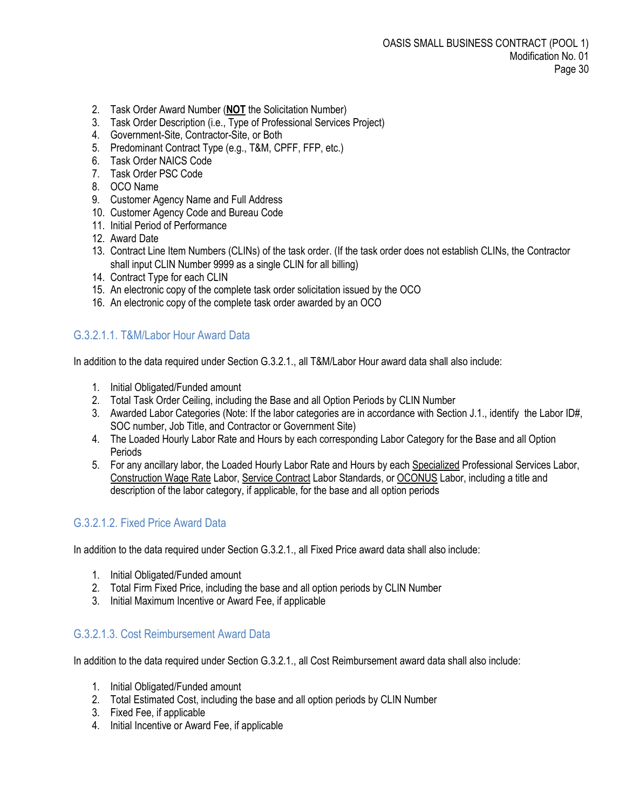- 2. Task Order Award Number (**NOT** the Solicitation Number)
- 3. Task Order Description (i.e., Type of Professional Services Project)
- 4. Government-Site, Contractor-Site, or Both
- 5. Predominant Contract Type (e.g., T&M, CPFF, FFP, etc.)
- 6. Task Order NAICS Code
- 7. Task Order PSC Code
- 8. OCO Name
- 9. Customer Agency Name and Full Address
- 10. Customer Agency Code and Bureau Code
- 11. Initial Period of Performance
- 12. Award Date
- 13. Contract Line Item Numbers (CLINs) of the task order. (If the task order does not establish CLINs, the Contractor shall input CLIN Number 9999 as a single CLIN for all billing)
- 14. Contract Type for each CLIN
- 15. An electronic copy of the complete task order solicitation issued by the OCO
- 16. An electronic copy of the complete task order awarded by an OCO

## <span id="page-29-0"></span>G.3.2.1.1. T&M/Labor Hour Award Data

In addition to the data required under Section G.3.2.1., all T&M/Labor Hour award data shall also include:

- 1. Initial Obligated/Funded amount
- 2. Total Task Order Ceiling, including the Base and all Option Periods by CLIN Number
- 3. Awarded Labor Categories (Note: If the labor categories are in accordance with Section J.1., identify the Labor ID#, SOC number, Job Title, and Contractor or Government Site)
- 4. The Loaded Hourly Labor Rate and Hours by each corresponding Labor Category for the Base and all Option Periods
- 5. For any ancillary labor, the Loaded Hourly Labor Rate and Hours by each Specialized Professional Services Labor, Construction Wage Rate Labor, Service Contract Labor Standards, or OCONUS Labor, including a title and description of the labor category, if applicable, for the base and all option periods

## <span id="page-29-1"></span>G.3.2.1.2. Fixed Price Award Data

In addition to the data required under Section G.3.2.1., all Fixed Price award data shall also include:

- 1. Initial Obligated/Funded amount
- 2. Total Firm Fixed Price, including the base and all option periods by CLIN Number
- 3. Initial Maximum Incentive or Award Fee, if applicable

## <span id="page-29-2"></span>G.3.2.1.3. Cost Reimbursement Award Data

In addition to the data required under Section G.3.2.1., all Cost Reimbursement award data shall also include:

- 1. Initial Obligated/Funded amount
- 2. Total Estimated Cost, including the base and all option periods by CLIN Number
- 3. Fixed Fee, if applicable
- 4. Initial Incentive or Award Fee, if applicable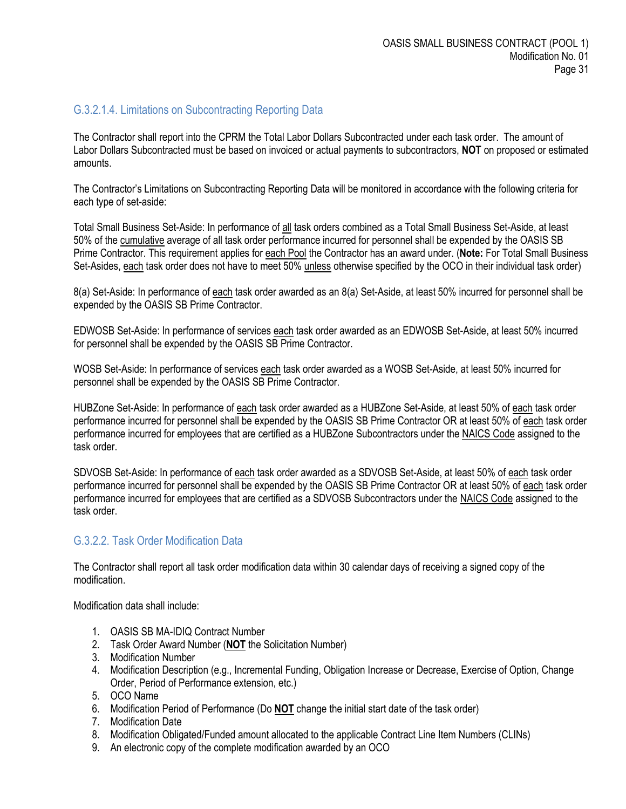#### <span id="page-30-0"></span>G.3.2.1.4. Limitations on Subcontracting Reporting Data

The Contractor shall report into the CPRM the Total Labor Dollars Subcontracted under each task order. The amount of Labor Dollars Subcontracted must be based on invoiced or actual payments to subcontractors, **NOT** on proposed or estimated amounts.

The Contractor's Limitations on Subcontracting Reporting Data will be monitored in accordance with the following criteria for each type of set-aside:

Total Small Business Set-Aside: In performance of all task orders combined as a Total Small Business Set-Aside, at least 50% of the cumulative average of all task order performance incurred for personnel shall be expended by the OASIS SB Prime Contractor. This requirement applies for each Pool the Contractor has an award under. (**Note:** For Total Small Business Set-Asides, each task order does not have to meet 50% unless otherwise specified by the OCO in their individual task order)

8(a) Set-Aside: In performance of each task order awarded as an 8(a) Set-Aside, at least 50% incurred for personnel shall be expended by the OASIS SB Prime Contractor.

EDWOSB Set-Aside: In performance of services each task order awarded as an EDWOSB Set-Aside, at least 50% incurred for personnel shall be expended by the OASIS SB Prime Contractor.

WOSB Set-Aside: In performance of services each task order awarded as a WOSB Set-Aside, at least 50% incurred for personnel shall be expended by the OASIS SB Prime Contractor.

HUBZone Set-Aside: In performance of each task order awarded as a HUBZone Set-Aside, at least 50% of each task order performance incurred for personnel shall be expended by the OASIS SB Prime Contractor OR at least 50% of each task order performance incurred for employees that are certified as a HUBZone Subcontractors under the NAICS Code assigned to the task order.

SDVOSB Set-Aside: In performance of each task order awarded as a SDVOSB Set-Aside, at least 50% of each task order performance incurred for personnel shall be expended by the OASIS SB Prime Contractor OR at least 50% of each task order performance incurred for employees that are certified as a SDVOSB Subcontractors under the NAICS Code assigned to the task order.

#### <span id="page-30-1"></span>G.3.2.2. Task Order Modification Data

The Contractor shall report all task order modification data within 30 calendar days of receiving a signed copy of the modification.

Modification data shall include:

- 1. OASIS SB MA-IDIQ Contract Number
- 2. Task Order Award Number (**NOT** the Solicitation Number)
- 3. Modification Number
- 4. Modification Description (e.g., Incremental Funding, Obligation Increase or Decrease, Exercise of Option, Change Order, Period of Performance extension, etc.)
- 5. OCO Name
- 6. Modification Period of Performance (Do **NOT** change the initial start date of the task order)
- 7. Modification Date
- 8. Modification Obligated/Funded amount allocated to the applicable Contract Line Item Numbers (CLINs)
- 9. An electronic copy of the complete modification awarded by an OCO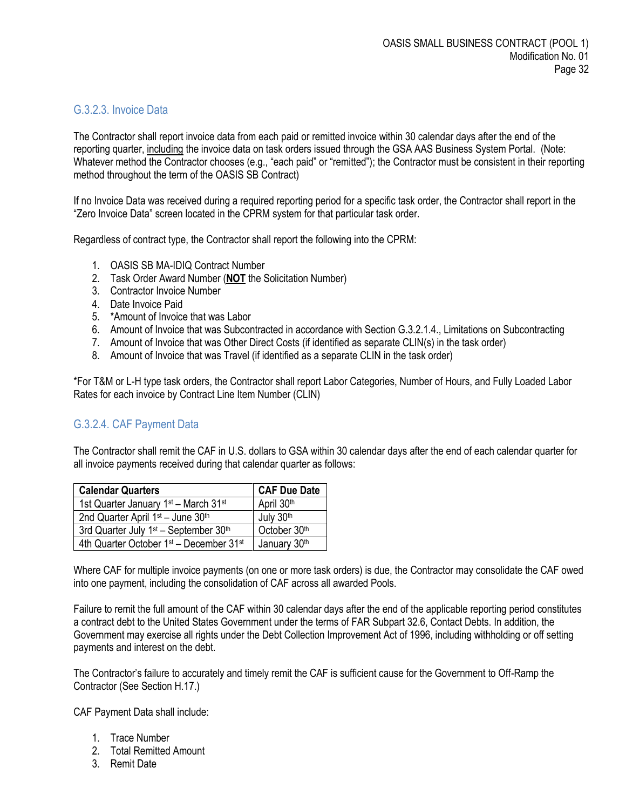#### <span id="page-31-0"></span>G.3.2.3. Invoice Data

The Contractor shall report invoice data from each paid or remitted invoice within 30 calendar days after the end of the reporting quarter, including the invoice data on task orders issued through the GSA AAS Business System Portal. (Note: Whatever method the Contractor chooses (e.g., "each paid" or "remitted"); the Contractor must be consistent in their reporting method throughout the term of the OASIS SB Contract)

If no Invoice Data was received during a required reporting period for a specific task order, the Contractor shall report in the "Zero Invoice Data" screen located in the CPRM system for that particular task order.

Regardless of contract type, the Contractor shall report the following into the CPRM:

- 1. OASIS SB MA-IDIQ Contract Number
- 2. Task Order Award Number (**NOT** the Solicitation Number)
- 3. Contractor Invoice Number
- 4. Date Invoice Paid
- 5. \*Amount of Invoice that was Labor
- 6. Amount of Invoice that was Subcontracted in accordance with Section G.3.2.1.4., Limitations on Subcontracting
- 7. Amount of Invoice that was Other Direct Costs (if identified as separate CLIN(s) in the task order)
- 8. Amount of Invoice that was Travel (if identified as a separate CLIN in the task order)

\*For T&M or L-H type task orders, the Contractor shall report Labor Categories, Number of Hours, and Fully Loaded Labor Rates for each invoice by Contract Line Item Number (CLIN)

#### <span id="page-31-1"></span>G.3.2.4. CAF Payment Data

The Contractor shall remit the CAF in U.S. dollars to GSA within 30 calendar days after the end of each calendar quarter for all invoice payments received during that calendar quarter as follows:

| <b>Calendar Quarters</b>                                        | <b>CAF Due Date</b> |
|-----------------------------------------------------------------|---------------------|
| 1st Quarter January 1 <sup>st</sup> - March 31 <sup>st</sup>    | April 30th          |
| 2nd Quarter April 1st - June 30th                               | July 30th           |
| 3rd Quarter July 1 <sup>st</sup> - September 30 <sup>th</sup>   | October 30th        |
| 4th Quarter October 1 <sup>st</sup> - December 31 <sup>st</sup> | January 30th        |

Where CAF for multiple invoice payments (on one or more task orders) is due, the Contractor may consolidate the CAF owed into one payment, including the consolidation of CAF across all awarded Pools.

Failure to remit the full amount of the CAF within 30 calendar days after the end of the applicable reporting period constitutes a contract debt to the United States Government under the terms of FAR Subpart 32.6, Contact Debts. In addition, the Government may exercise all rights under the Debt Collection Improvement Act of 1996, including withholding or off setting payments and interest on the debt.

The Contractor's failure to accurately and timely remit the CAF is sufficient cause for the Government to Off-Ramp the Contractor (See Section H.17.)

CAF Payment Data shall include:

- 1. Trace Number
- 2. Total Remitted Amount
- 3. Remit Date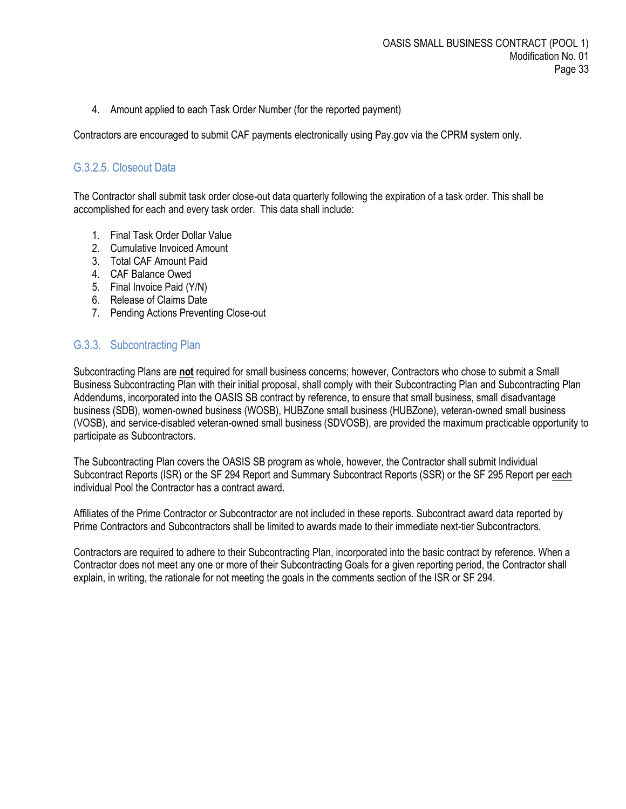4. Amount applied to each Task Order Number (for the reported payment)

Contractors are encouraged to submit CAF payments electronically using Pay.gov via the CPRM system only.

#### <span id="page-32-0"></span>G.3.2.5. Closeout Data

The Contractor shall submit task order close-out data quarterly following the expiration of a task order. This shall be accomplished for each and every task order. This data shall include:

- 1. Final Task Order Dollar Value
- 2. Cumulative Invoiced Amount
- 3. Total CAF Amount Paid
- 4. CAF Balance Owed
- 5. Final Invoice Paid (Y/N)
- 6. Release of Claims Date
- 7. Pending Actions Preventing Close-out

#### <span id="page-32-1"></span>G.3.3. Subcontracting Plan

Subcontracting Plans are **not** required for small business concerns; however, Contractors who chose to submit a Small Business Subcontracting Plan with their initial proposal, shall comply with their Subcontracting Plan and Subcontracting Plan Addendums, incorporated into the OASIS SB contract by reference, to ensure that small business, small disadvantage business (SDB), women-owned business (WOSB), HUBZone small business (HUBZone), veteran-owned small business (VOSB), and service-disabled veteran-owned small business (SDVOSB), are provided the maximum practicable opportunity to participate as Subcontractors.

The Subcontracting Plan covers the OASIS SB program as whole, however, the Contractor shall submit Individual Subcontract Reports (ISR) or the SF 294 Report and Summary Subcontract Reports (SSR) or the SF 295 Report per each individual Pool the Contractor has a contract award.

Affiliates of the Prime Contractor or Subcontractor are not included in these reports. Subcontract award data reported by Prime Contractors and Subcontractors shall be limited to awards made to their immediate next-tier Subcontractors.

Contractors are required to adhere to their Subcontracting Plan, incorporated into the basic contract by reference. When a Contractor does not meet any one or more of their Subcontracting Goals for a given reporting period, the Contractor shall explain, in writing, the rationale for not meeting the goals in the comments section of the ISR or SF 294.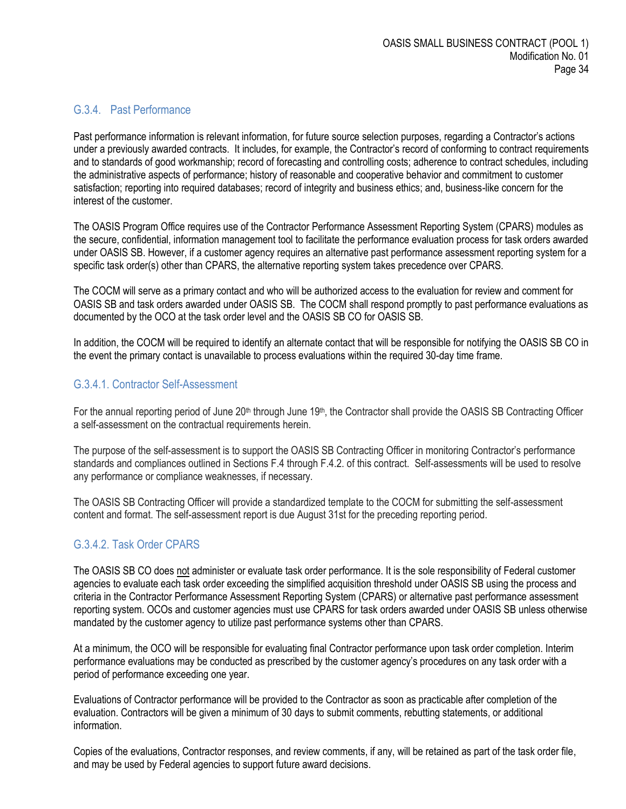#### <span id="page-33-0"></span>G.3.4. Past Performance

Past performance information is relevant information, for future source selection purposes, regarding a Contractor's actions under a previously awarded contracts. It includes, for example, the Contractor's record of conforming to contract requirements and to standards of good workmanship; record of forecasting and controlling costs; adherence to contract schedules, including the administrative aspects of performance; history of reasonable and cooperative behavior and commitment to customer satisfaction; reporting into required databases; record of integrity and business ethics; and, business-like concern for the interest of the customer.

The OASIS Program Office requires use of the Contractor Performance Assessment Reporting System (CPARS) modules as the secure, confidential, information management tool to facilitate the performance evaluation process for task orders awarded under OASIS SB. However, if a customer agency requires an alternative past performance assessment reporting system for a specific task order(s) other than CPARS, the alternative reporting system takes precedence over CPARS.

The COCM will serve as a primary contact and who will be authorized access to the evaluation for review and comment for OASIS SB and task orders awarded under OASIS SB. The COCM shall respond promptly to past performance evaluations as documented by the OCO at the task order level and the OASIS SB CO for OASIS SB.

In addition, the COCM will be required to identify an alternate contact that will be responsible for notifying the OASIS SB CO in the event the primary contact is unavailable to process evaluations within the required 30-day time frame.

#### <span id="page-33-1"></span>G.3.4.1. Contractor Self-Assessment

For the annual reporting period of June  $20<sup>th</sup>$  through June  $19<sup>th</sup>$ , the Contractor shall provide the OASIS SB Contracting Officer a self-assessment on the contractual requirements herein.

The purpose of the self-assessment is to support the OASIS SB Contracting Officer in monitoring Contractor's performance standards and compliances outlined in Sections F.4 through F.4.2. of this contract. Self-assessments will be used to resolve any performance or compliance weaknesses, if necessary.

The OASIS SB Contracting Officer will provide a standardized template to the COCM for submitting the self-assessment content and format. The self-assessment report is due August 31st for the preceding reporting period.

## <span id="page-33-2"></span>G.3.4.2. Task Order CPARS

The OASIS SB CO does not administer or evaluate task order performance. It is the sole responsibility of Federal customer agencies to evaluate each task order exceeding the simplified acquisition threshold under OASIS SB using the process and criteria in the Contractor Performance Assessment Reporting System (CPARS) or alternative past performance assessment reporting system. OCOs and customer agencies must use CPARS for task orders awarded under OASIS SB unless otherwise mandated by the customer agency to utilize past performance systems other than CPARS.

At a minimum, the OCO will be responsible for evaluating final Contractor performance upon task order completion. Interim performance evaluations may be conducted as prescribed by the customer agency's procedures on any task order with a period of performance exceeding one year.

Evaluations of Contractor performance will be provided to the Contractor as soon as practicable after completion of the evaluation. Contractors will be given a minimum of 30 days to submit comments, rebutting statements, or additional information.

Copies of the evaluations, Contractor responses, and review comments, if any, will be retained as part of the task order file, and may be used by Federal agencies to support future award decisions.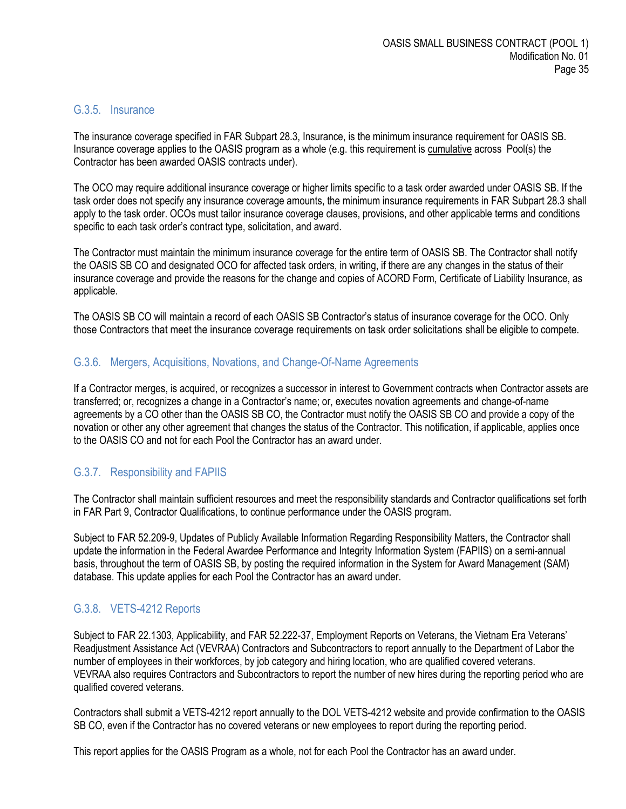#### <span id="page-34-0"></span>G.3.5. Insurance

The insurance coverage specified in FAR Subpart 28.3, Insurance, is the minimum insurance requirement for OASIS SB. Insurance coverage applies to the OASIS program as a whole (e.g. this requirement is cumulative across Pool(s) the Contractor has been awarded OASIS contracts under).

The OCO may require additional insurance coverage or higher limits specific to a task order awarded under OASIS SB. If the task order does not specify any insurance coverage amounts, the minimum insurance requirements in FAR Subpart 28.3 shall apply to the task order. OCOs must tailor insurance coverage clauses, provisions, and other applicable terms and conditions specific to each task order's contract type, solicitation, and award.

The Contractor must maintain the minimum insurance coverage for the entire term of OASIS SB. The Contractor shall notify the OASIS SB CO and designated OCO for affected task orders, in writing, if there are any changes in the status of their insurance coverage and provide the reasons for the change and copies of ACORD Form, Certificate of Liability Insurance, as applicable.

The OASIS SB CO will maintain a record of each OASIS SB Contractor's status of insurance coverage for the OCO. Only those Contractors that meet the insurance coverage requirements on task order solicitations shall be eligible to compete.

#### <span id="page-34-1"></span>G.3.6. Mergers, Acquisitions, Novations, and Change-Of-Name Agreements

If a Contractor merges, is acquired, or recognizes a successor in interest to Government contracts when Contractor assets are transferred; or, recognizes a change in a Contractor's name; or, executes novation agreements and change-of-name agreements by a CO other than the OASIS SB CO, the Contractor must notify the OASIS SB CO and provide a copy of the novation or other any other agreement that changes the status of the Contractor. This notification, if applicable, applies once to the OASIS CO and not for each Pool the Contractor has an award under.

## <span id="page-34-2"></span>G.3.7. Responsibility and FAPIIS

The Contractor shall maintain sufficient resources and meet the responsibility standards and Contractor qualifications set forth in FAR Part 9, Contractor Qualifications, to continue performance under the OASIS program.

Subject to FAR 52.209-9, Updates of Publicly Available Information Regarding Responsibility Matters, the Contractor shall update the information in the Federal Awardee Performance and Integrity Information System (FAPIIS) on a semi-annual basis, throughout the term of OASIS SB, by posting the required information in the System for Award Management (SAM) database. This update applies for each Pool the Contractor has an award under.

## <span id="page-34-3"></span>G.3.8. VETS-4212 Reports

Subject to FAR 22.1303, Applicability, and FAR 52.222-37, Employment Reports on Veterans, the Vietnam Era Veterans' Readjustment Assistance Act (VEVRAA) Contractors and Subcontractors to report annually to the Department of Labor the number of employees in their workforces, by job category and hiring location, who are qualified covered veterans. VEVRAA also requires Contractors and Subcontractors to report the number of new hires during the reporting period who are qualified covered veterans.

Contractors shall submit a VETS-4212 report annually to the DOL VETS-4212 website and provide confirmation to the OASIS SB CO, even if the Contractor has no covered veterans or new employees to report during the reporting period.

This report applies for the OASIS Program as a whole, not for each Pool the Contractor has an award under.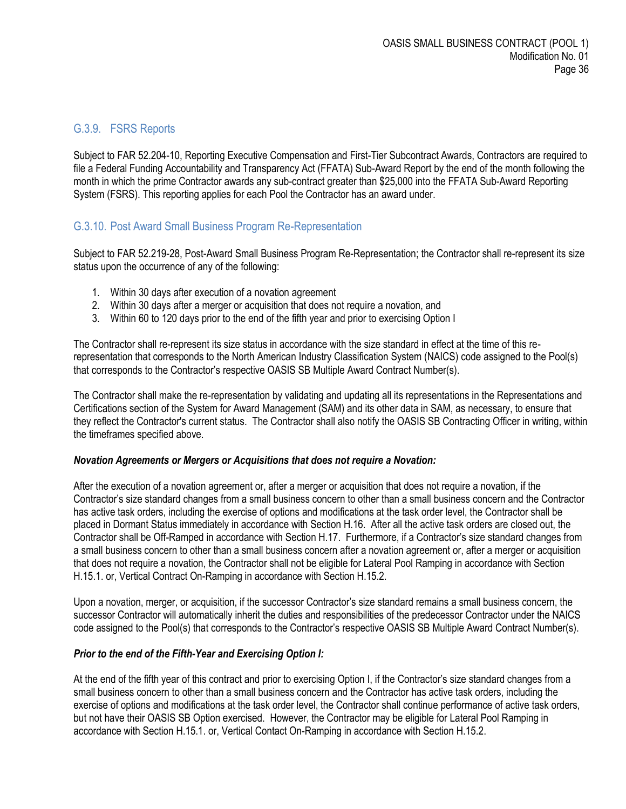#### <span id="page-35-0"></span>G.3.9. FSRS Reports

Subject to FAR 52.204-10, Reporting Executive Compensation and First-Tier Subcontract Awards, Contractors are required to file a Federal Funding Accountability and Transparency Act (FFATA) Sub-Award Report by the end of the month following the month in which the prime Contractor awards any sub-contract greater than \$25,000 into the FFATA Sub-Award Reporting System (FSRS). This reporting applies for each Pool the Contractor has an award under.

#### <span id="page-35-1"></span>G.3.10. Post Award Small Business Program Re-Representation

Subject to FAR 52.219-28, Post-Award Small Business Program Re-Representation; the Contractor shall re-represent its size status upon the occurrence of any of the following:

- 1. Within 30 days after execution of a novation agreement
- 2. Within 30 days after a merger or acquisition that does not require a novation, and
- 3. Within 60 to 120 days prior to the end of the fifth year and prior to exercising Option I

The Contractor shall re-represent its size status in accordance with the size standard in effect at the time of this rerepresentation that corresponds to the North American Industry Classification System (NAICS) code assigned to the Pool(s) that corresponds to the Contractor's respective OASIS SB Multiple Award Contract Number(s).

The Contractor shall make the re-representation by validating and updating all its representations in the Representations and Certifications section of the System for Award Management (SAM) and its other data in SAM, as necessary, to ensure that they reflect the Contractor's current status. The Contractor shall also notify the OASIS SB Contracting Officer in writing, within the timeframes specified above.

#### *Novation Agreements or Mergers or Acquisitions that does not require a Novation:*

After the execution of a novation agreement or, after a merger or acquisition that does not require a novation, if the Contractor's size standard changes from a small business concern to other than a small business concern and the Contractor has active task orders, including the exercise of options and modifications at the task order level, the Contractor shall be placed in Dormant Status immediately in accordance with Section H.16. After all the active task orders are closed out, the Contractor shall be Off-Ramped in accordance with Section H.17. Furthermore, if a Contractor's size standard changes from a small business concern to other than a small business concern after a novation agreement or, after a merger or acquisition that does not require a novation, the Contractor shall not be eligible for Lateral Pool Ramping in accordance with Section H.15.1. or, Vertical Contract On-Ramping in accordance with Section H.15.2.

Upon a novation, merger, or acquisition, if the successor Contractor's size standard remains a small business concern, the successor Contractor will automatically inherit the duties and responsibilities of the predecessor Contractor under the NAICS code assigned to the Pool(s) that corresponds to the Contractor's respective OASIS SB Multiple Award Contract Number(s).

#### *Prior to the end of the Fifth-Year and Exercising Option I:*

At the end of the fifth year of this contract and prior to exercising Option I, if the Contractor's size standard changes from a small business concern to other than a small business concern and the Contractor has active task orders, including the exercise of options and modifications at the task order level, the Contractor shall continue performance of active task orders, but not have their OASIS SB Option exercised. However, the Contractor may be eligible for Lateral Pool Ramping in accordance with Section H.15.1. or, Vertical Contact On-Ramping in accordance with Section H.15.2.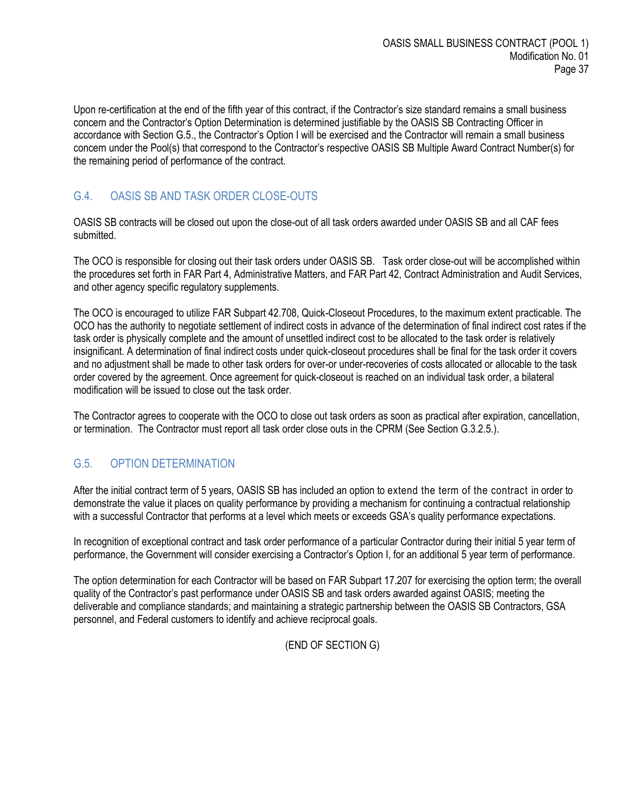Upon re-certification at the end of the fifth year of this contract, if the Contractor's size standard remains a small business concern and the Contractor's Option Determination is determined justifiable by the OASIS SB Contracting Officer in accordance with Section G.5., the Contractor's Option I will be exercised and the Contractor will remain a small business concern under the Pool(s) that correspond to the Contractor's respective OASIS SB Multiple Award Contract Number(s) for the remaining period of performance of the contract.

# <span id="page-36-0"></span>G.4. OASIS SB AND TASK ORDER CLOSE-OUTS

OASIS SB contracts will be closed out upon the close-out of all task orders awarded under OASIS SB and all CAF fees submitted.

The OCO is responsible for closing out their task orders under OASIS SB. Task order close-out will be accomplished within the procedures set forth in FAR Part 4, Administrative Matters, and FAR Part 42, Contract Administration and Audit Services, and other agency specific regulatory supplements.

The OCO is encouraged to utilize FAR Subpart 42.708, Quick-Closeout Procedures, to the maximum extent practicable. The OCO has the authority to negotiate settlement of indirect costs in advance of the determination of final indirect cost rates if the task order is physically complete and the amount of unsettled indirect cost to be allocated to the task order is relatively insignificant. A determination of final indirect costs under quick-closeout procedures shall be final for the task order it covers and no adjustment shall be made to other task orders for over-or under-recoveries of costs allocated or allocable to the task order covered by the agreement. Once agreement for quick-closeout is reached on an individual task order, a bilateral modification will be issued to close out the task order.

The Contractor agrees to cooperate with the OCO to close out task orders as soon as practical after expiration, cancellation, or termination. The Contractor must report all task order close outs in the CPRM (See Section G.3.2.5.).

# <span id="page-36-1"></span>G.5. OPTION DETERMINATION

After the initial contract term of 5 years, OASIS SB has included an option to extend the term of the contract in order to demonstrate the value it places on quality performance by providing a mechanism for continuing a contractual relationship with a successful Contractor that performs at a level which meets or exceeds GSA's quality performance expectations.

In recognition of exceptional contract and task order performance of a particular Contractor during their initial 5 year term of performance, the Government will consider exercising a Contractor's Option I, for an additional 5 year term of performance.

The option determination for each Contractor will be based on FAR Subpart 17.207 for exercising the option term; the overall quality of the Contractor's past performance under OASIS SB and task orders awarded against OASIS; meeting the deliverable and compliance standards; and maintaining a strategic partnership between the OASIS SB Contractors, GSA personnel, and Federal customers to identify and achieve reciprocal goals.

(END OF SECTION G)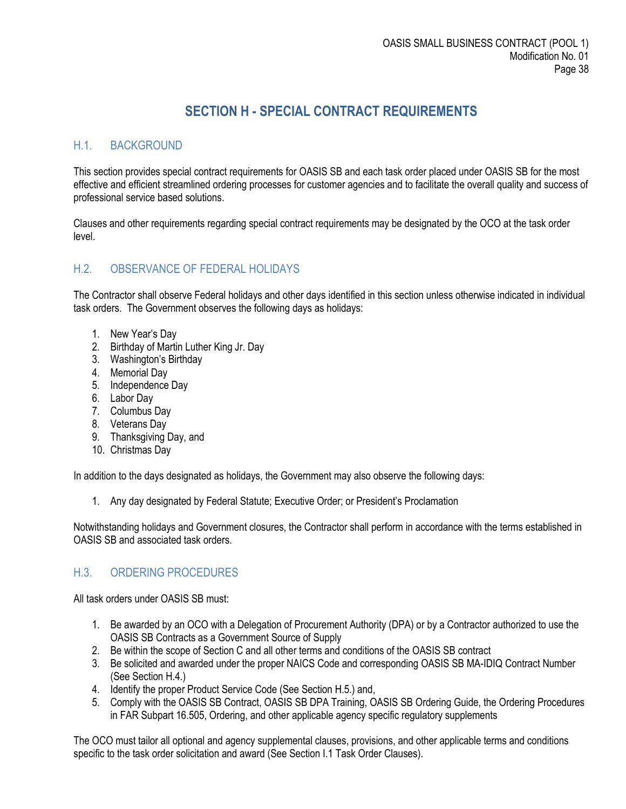# **SECTION H - SPECIAL CONTRACT REQUIREMENTS**

# <span id="page-37-1"></span><span id="page-37-0"></span>H.1. BACKGROUND

This section provides special contract requirements for OASIS SB and each task order placed under OASIS SB for the most effective and efficient streamlined ordering processes for customer agencies and to facilitate the overall quality and success of professional service based solutions.

Clauses and other requirements regarding special contract requirements may be designated by the OCO at the task order level.

#### <span id="page-37-2"></span>H.2. OBSERVANCE OF FEDERAL HOLIDAYS

The Contractor shall observe Federal holidays and other days identified in this section unless otherwise indicated in individual task orders. The Government observes the following days as holidays:

- 1. New Year's Day
- 2. Birthday of Martin Luther King Jr. Day
- 3. Washington's Birthday
- 4. Memorial Day
- 5. Independence Day
- 6. Labor Day
- 7. Columbus Day
- 8. Veterans Day
- 9. Thanksgiving Day, and
- 10. Christmas Day

In addition to the days designated as holidays, the Government may also observe the following days:

1. Any day designated by Federal Statute; Executive Order; or President's Proclamation

Notwithstanding holidays and Government closures, the Contractor shall perform in accordance with the terms established in OASIS SB and associated task orders.

## <span id="page-37-3"></span>H.3. ORDERING PROCEDURES

All task orders under OASIS SB must:

- 1. Be awarded by an OCO with a Delegation of Procurement Authority (DPA) or by a Contractor authorized to use the OASIS SB Contracts as a Government Source of Supply
- 2. Be within the scope of Section C and all other terms and conditions of the OASIS SB contract
- 3. Be solicited and awarded under the proper NAICS Code and corresponding OASIS SB MA-IDIQ Contract Number (See Section H.4.)
- 4. Identify the proper Product Service Code (See Section H.5.) and,
- 5. Comply with the OASIS SB Contract, OASIS SB DPA Training, OASIS SB Ordering Guide, the Ordering Procedures in FAR Subpart 16.505, Ordering, and other applicable agency specific regulatory supplements

The OCO must tailor all optional and agency supplemental clauses, provisions, and other applicable terms and conditions specific to the task order solicitation and award (See Section I.1 Task Order Clauses).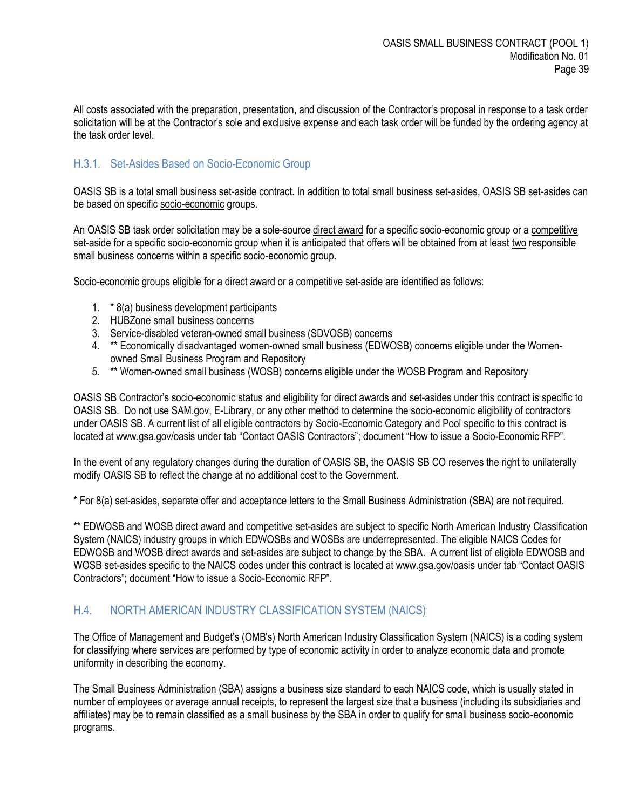All costs associated with the preparation, presentation, and discussion of the Contractor's proposal in response to a task order solicitation will be at the Contractor's sole and exclusive expense and each task order will be funded by the ordering agency at the task order level.

# <span id="page-38-0"></span>H.3.1. Set-Asides Based on Socio-Economic Group

OASIS SB is a total small business set-aside contract. In addition to total small business set-asides, OASIS SB set-asides can be based on specific socio-economic groups.

An OASIS SB task order solicitation may be a sole-source direct award for a specific socio-economic group or a competitive set-aside for a specific socio-economic group when it is anticipated that offers will be obtained from at least two responsible small business concerns within a specific socio-economic group.

Socio-economic groups eligible for a direct award or a competitive set-aside are identified as follows:

- 1. \* 8(a) business development participants
- 2. HUBZone small business concerns
- 3. Service-disabled veteran-owned small business (SDVOSB) concerns
- 4. \*\* Economically disadvantaged women-owned small business (EDWOSB) concerns eligible under the Womenowned Small Business Program and Repository
- 5. \*\* Women-owned small business (WOSB) concerns eligible under the WOSB Program and Repository

OASIS SB Contractor's socio-economic status and eligibility for direct awards and set-asides under this contract is specific to OASIS SB. Do not use SAM.gov, E-Library, or any other method to determine the socio-economic eligibility of contractors under OASIS SB. A current list of all eligible contractors by Socio-Economic Category and Pool specific to this contract is located at www.gsa.gov/oasis under tab "Contact OASIS Contractors"; document "How to issue a Socio-Economic RFP".

In the event of any regulatory changes during the duration of OASIS SB, the OASIS SB CO reserves the right to unilaterally modify OASIS SB to reflect the change at no additional cost to the Government.

\* For 8(a) set-asides, separate offer and acceptance letters to the Small Business Administration (SBA) are not required.

\*\* EDWOSB and WOSB direct award and competitive set-asides are subject to specific North American Industry Classification System (NAICS) industry groups in which EDWOSBs and WOSBs are underrepresented. The eligible NAICS Codes for EDWOSB and WOSB direct awards and set-asides are subject to change by the SBA. A current list of eligible EDWOSB and WOSB set-asides specific to the NAICS codes under this contract is located at www.gsa.gov/oasis under tab "Contact OASIS" Contractors"; document "How to issue a Socio-Economic RFP".

#### <span id="page-38-1"></span>H.4. NORTH AMERICAN INDUSTRY CLASSIFICATION SYSTEM (NAICS)

The Office of Management and Budget's (OMB's) North American Industry Classification System (NAICS) is a coding system for classifying where services are performed by type of economic activity in order to analyze economic data and promote uniformity in describing the economy.

The Small Business Administration (SBA) assigns a business size standard to each NAICS code, which is usually stated in number of employees or average annual receipts, to represent the largest size that a business (including its subsidiaries and affiliates) may be to remain classified as a small business by the SBA in order to qualify for small business socio-economic programs.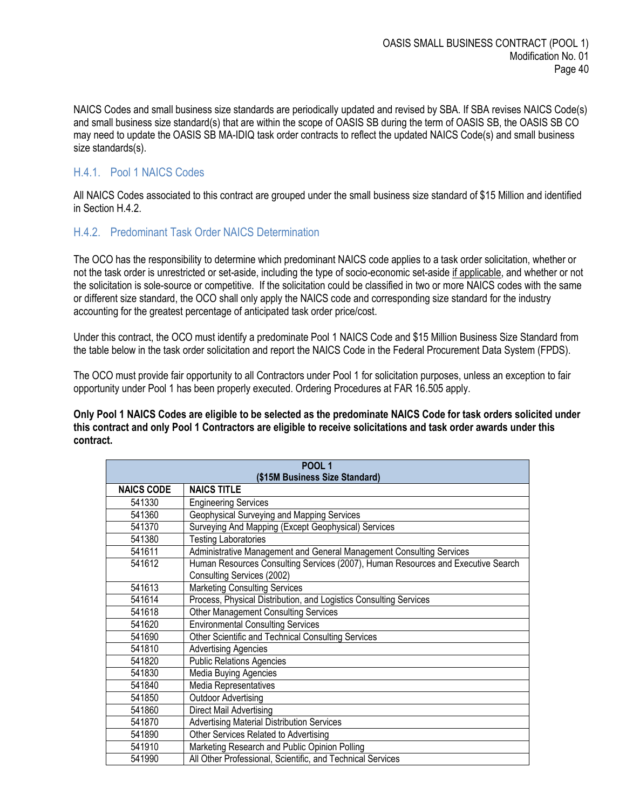NAICS Codes and small business size standards are periodically updated and revised by SBA. If SBA revises NAICS Code(s) and small business size standard(s) that are within the scope of OASIS SB during the term of OASIS SB, the OASIS SB CO may need to update the OASIS SB MA-IDIQ task order contracts to reflect the updated NAICS Code(s) and small business size standards(s).

#### <span id="page-39-0"></span>H.4.1. Pool 1 NAICS Codes

All NAICS Codes associated to this contract are grouped under the small business size standard of \$15 Million and identified in Section H.4.2.

#### <span id="page-39-1"></span>H.4.2. Predominant Task Order NAICS Determination

The OCO has the responsibility to determine which predominant NAICS code applies to a task order solicitation, whether or not the task order is unrestricted or set-aside, including the type of socio-economic set-aside if applicable, and whether or not the solicitation is sole-source or competitive. If the solicitation could be classified in two or more NAICS codes with the same or different size standard, the OCO shall only apply the NAICS code and corresponding size standard for the industry accounting for the greatest percentage of anticipated task order price/cost.

Under this contract, the OCO must identify a predominate Pool 1 NAICS Code and \$15 Million Business Size Standard from the table below in the task order solicitation and report the NAICS Code in the Federal Procurement Data System (FPDS).

The OCO must provide fair opportunity to all Contractors under Pool 1 for solicitation purposes, unless an exception to fair opportunity under Pool 1 has been properly executed. Ordering Procedures at FAR 16.505 apply.

**Only Pool 1 NAICS Codes are eligible to be selected as the predominate NAICS Code for task orders solicited under this contract and only Pool 1 Contractors are eligible to receive solicitations and task order awards under this contract.**

| <b>POOL 1</b>                  |                                                                                  |  |  |  |
|--------------------------------|----------------------------------------------------------------------------------|--|--|--|
| (\$15M Business Size Standard) |                                                                                  |  |  |  |
| <b>NAICS CODE</b>              | <b>NAICS TITLE</b>                                                               |  |  |  |
| 541330                         | <b>Engineering Services</b>                                                      |  |  |  |
| 541360                         | Geophysical Surveying and Mapping Services                                       |  |  |  |
| 541370                         | Surveying And Mapping (Except Geophysical) Services                              |  |  |  |
| 541380                         | <b>Testing Laboratories</b>                                                      |  |  |  |
| 541611                         | Administrative Management and General Management Consulting Services             |  |  |  |
| 541612                         | Human Resources Consulting Services (2007), Human Resources and Executive Search |  |  |  |
|                                | Consulting Services (2002)                                                       |  |  |  |
| 541613                         | <b>Marketing Consulting Services</b>                                             |  |  |  |
| 541614                         | Process, Physical Distribution, and Logistics Consulting Services                |  |  |  |
| 541618                         | <b>Other Management Consulting Services</b>                                      |  |  |  |
| 541620                         | <b>Environmental Consulting Services</b>                                         |  |  |  |
| 541690                         | Other Scientific and Technical Consulting Services                               |  |  |  |
| 541810                         | <b>Advertising Agencies</b>                                                      |  |  |  |
| 541820                         | <b>Public Relations Agencies</b>                                                 |  |  |  |
| 541830                         | Media Buying Agencies                                                            |  |  |  |
| 541840                         | <b>Media Representatives</b>                                                     |  |  |  |
| 541850                         | <b>Outdoor Advertising</b>                                                       |  |  |  |
| 541860                         | Direct Mail Advertising                                                          |  |  |  |
| 541870                         | <b>Advertising Material Distribution Services</b>                                |  |  |  |
| 541890                         | Other Services Related to Advertising                                            |  |  |  |
| 541910                         | Marketing Research and Public Opinion Polling                                    |  |  |  |
| 541990                         | All Other Professional, Scientific, and Technical Services                       |  |  |  |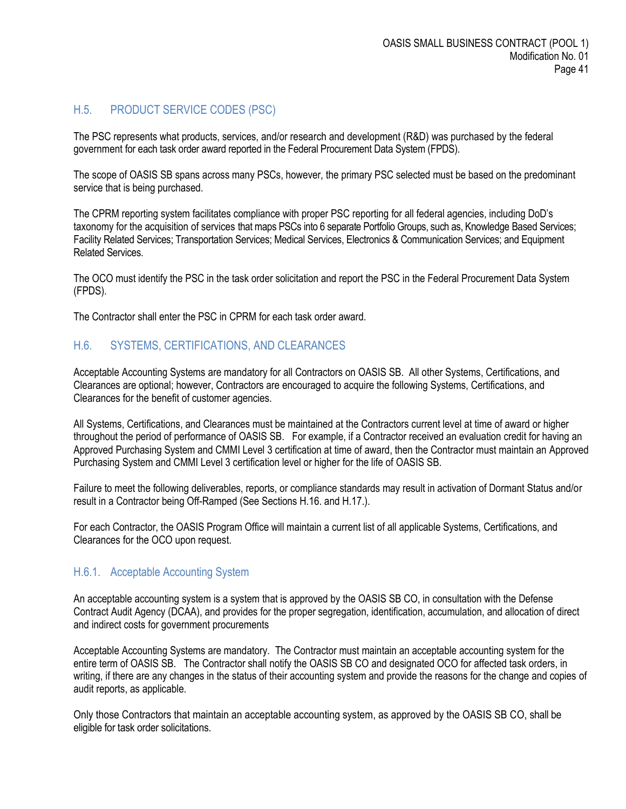# <span id="page-40-0"></span>H.5. PRODUCT SERVICE CODES (PSC)

The PSC represents what products, services, and/or research and development (R&D) was purchased by the federal government for each task order award reported in the Federal Procurement Data System (FPDS).

The scope of OASIS SB spans across many PSCs, however, the primary PSC selected must be based on the predominant service that is being purchased.

The CPRM reporting system facilitates compliance with proper PSC reporting for all federal agencies, including DoD's taxonomy for the acquisition of services that maps PSCs into 6 separate Portfolio Groups, such as, Knowledge Based Services; Facility Related Services; Transportation Services; Medical Services, Electronics & Communication Services; and Equipment Related Services.

The OCO must identify the PSC in the task order solicitation and report the PSC in the Federal Procurement Data System (FPDS).

The Contractor shall enter the PSC in CPRM for each task order award.

## <span id="page-40-1"></span>H.6. SYSTEMS, CERTIFICATIONS, AND CLEARANCES

Acceptable Accounting Systems are mandatory for all Contractors on OASIS SB. All other Systems, Certifications, and Clearances are optional; however, Contractors are encouraged to acquire the following Systems, Certifications, and Clearances for the benefit of customer agencies.

All Systems, Certifications, and Clearances must be maintained at the Contractors current level at time of award or higher throughout the period of performance of OASIS SB. For example, if a Contractor received an evaluation credit for having an Approved Purchasing System and CMMI Level 3 certification at time of award, then the Contractor must maintain an Approved Purchasing System and CMMI Level 3 certification level or higher for the life of OASIS SB.

Failure to meet the following deliverables, reports, or compliance standards may result in activation of Dormant Status and/or result in a Contractor being Off-Ramped (See Sections H.16. and H.17.).

For each Contractor, the OASIS Program Office will maintain a current list of all applicable Systems, Certifications, and Clearances for the OCO upon request.

#### <span id="page-40-2"></span>H.6.1. Acceptable Accounting System

An acceptable accounting system is a system that is approved by the OASIS SB CO, in consultation with the Defense Contract Audit Agency (DCAA), and provides for the proper segregation, identification, accumulation, and allocation of direct and indirect costs for government procurements

Acceptable Accounting Systems are mandatory. The Contractor must maintain an acceptable accounting system for the entire term of OASIS SB. The Contractor shall notify the OASIS SB CO and designated OCO for affected task orders, in writing, if there are any changes in the status of their accounting system and provide the reasons for the change and copies of audit reports, as applicable.

Only those Contractors that maintain an acceptable accounting system, as approved by the OASIS SB CO, shall be eligible for task order solicitations.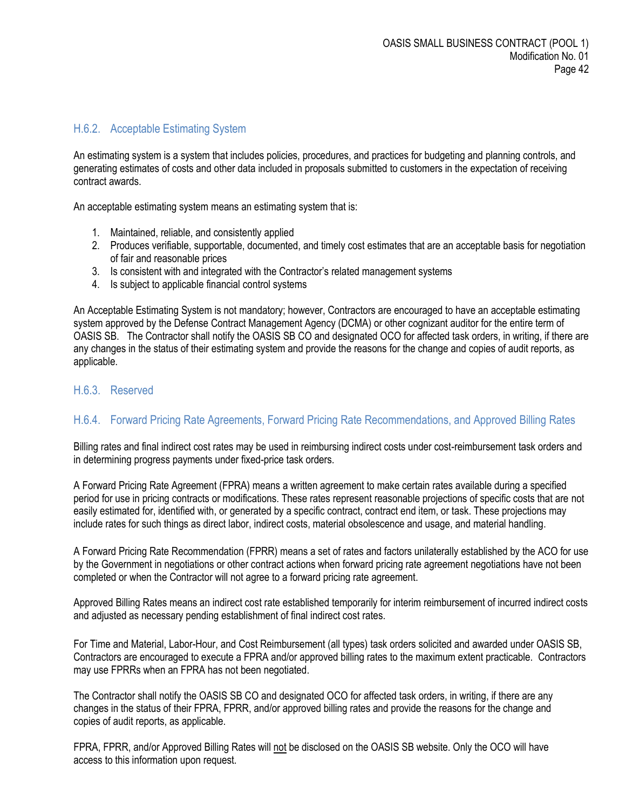#### <span id="page-41-0"></span>H.6.2. Acceptable Estimating System

An estimating system is a system that includes policies, procedures, and practices for budgeting and planning controls, and generating estimates of costs and other data included in proposals submitted to customers in the expectation of receiving contract awards.

An acceptable estimating system means an estimating system that is:

- 1. Maintained, reliable, and consistently applied
- 2. Produces verifiable, supportable, documented, and timely cost estimates that are an acceptable basis for negotiation of fair and reasonable prices
- 3. Is consistent with and integrated with the Contractor's related management systems
- 4. Is subject to applicable financial control systems

An Acceptable Estimating System is not mandatory; however, Contractors are encouraged to have an acceptable estimating system approved by the Defense Contract Management Agency (DCMA) or other cognizant auditor for the entire term of OASIS SB. The Contractor shall notify the OASIS SB CO and designated OCO for affected task orders, in writing, if there are any changes in the status of their estimating system and provide the reasons for the change and copies of audit reports, as applicable.

#### <span id="page-41-1"></span>H.6.3. Reserved

## <span id="page-41-2"></span>H.6.4. Forward Pricing Rate Agreements, Forward Pricing Rate Recommendations, and Approved Billing Rates

Billing rates and final indirect cost rates may be used in reimbursing indirect costs under cost-reimbursement task orders and in determining progress payments under fixed-price task orders.

A Forward Pricing Rate Agreement (FPRA) means a written agreement to make certain rates available during a specified period for use in pricing contracts or modifications. These rates represent reasonable projections of specific costs that are not easily estimated for, identified with, or generated by a specific contract, contract end item, or task. These projections may include rates for such things as direct labor, indirect costs, material obsolescence and usage, and material handling.

A Forward Pricing Rate Recommendation (FPRR) means a set of rates and factors unilaterally established by the ACO for use by the Government in negotiations or other contract actions when forward pricing rate agreement negotiations have not been completed or when the Contractor will not agree to a forward pricing rate agreement.

Approved Billing Rates means an indirect cost rate established temporarily for interim reimbursement of incurred indirect costs and adjusted as necessary pending establishment of final indirect cost rates.

For Time and Material, Labor-Hour, and Cost Reimbursement (all types) task orders solicited and awarded under OASIS SB, Contractors are encouraged to execute a FPRA and/or approved billing rates to the maximum extent practicable. Contractors may use FPRRs when an FPRA has not been negotiated.

The Contractor shall notify the OASIS SB CO and designated OCO for affected task orders, in writing, if there are any changes in the status of their FPRA, FPRR, and/or approved billing rates and provide the reasons for the change and copies of audit reports, as applicable.

FPRA, FPRR, and/or Approved Billing Rates will not be disclosed on the OASIS SB website. Only the OCO will have access to this information upon request.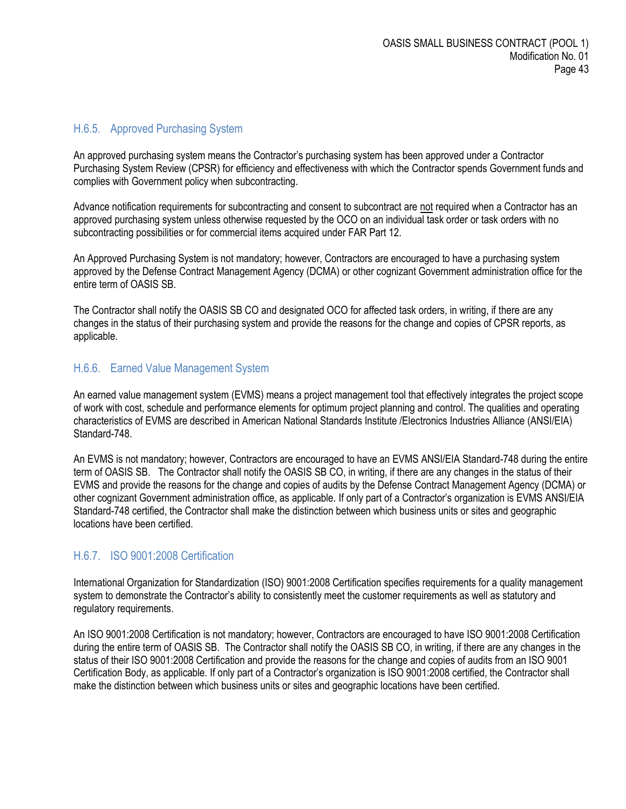#### <span id="page-42-0"></span>H.6.5. Approved Purchasing System

An approved purchasing system means the Contractor's purchasing system has been approved under a Contractor Purchasing System Review (CPSR) for efficiency and effectiveness with which the Contractor spends Government funds and complies with Government policy when subcontracting.

Advance notification requirements for subcontracting and consent to subcontract are not required when a Contractor has an approved purchasing system unless otherwise requested by the OCO on an individual task order or task orders with no subcontracting possibilities or for commercial items acquired under FAR Part 12.

An Approved Purchasing System is not mandatory; however, Contractors are encouraged to have a purchasing system approved by the Defense Contract Management Agency (DCMA) or other cognizant Government administration office for the entire term of OASIS SB.

The Contractor shall notify the OASIS SB CO and designated OCO for affected task orders, in writing, if there are any changes in the status of their purchasing system and provide the reasons for the change and copies of CPSR reports, as applicable.

#### <span id="page-42-1"></span>H.6.6. Earned Value Management System

An earned value management system (EVMS) means a project management tool that effectively integrates the project scope of work with cost, schedule and performance elements for optimum project planning and control. The qualities and operating characteristics of EVMS are described in American National Standards Institute /Electronics Industries Alliance (ANSI/EIA) Standard-748.

An EVMS is not mandatory; however, Contractors are encouraged to have an EVMS ANSI/EIA Standard-748 during the entire term of OASIS SB. The Contractor shall notify the OASIS SB CO, in writing, if there are any changes in the status of their EVMS and provide the reasons for the change and copies of audits by the Defense Contract Management Agency (DCMA) or other cognizant Government administration office, as applicable. If only part of a Contractor's organization is EVMS ANSI/EIA Standard-748 certified, the Contractor shall make the distinction between which business units or sites and geographic locations have been certified.

#### <span id="page-42-2"></span>H.6.7. ISO 9001:2008 Certification

International Organization for Standardization (ISO) 9001:2008 Certification specifies requirements for a quality management system to demonstrate the Contractor's ability to consistently meet the customer requirements as well as statutory and regulatory requirements.

An ISO 9001:2008 Certification is not mandatory; however, Contractors are encouraged to have ISO 9001:2008 Certification during the entire term of OASIS SB. The Contractor shall notify the OASIS SB CO, in writing, if there are any changes in the status of their ISO 9001:2008 Certification and provide the reasons for the change and copies of audits from an ISO 9001 Certification Body, as applicable. If only part of a Contractor's organization is ISO 9001:2008 certified, the Contractor shall make the distinction between which business units or sites and geographic locations have been certified.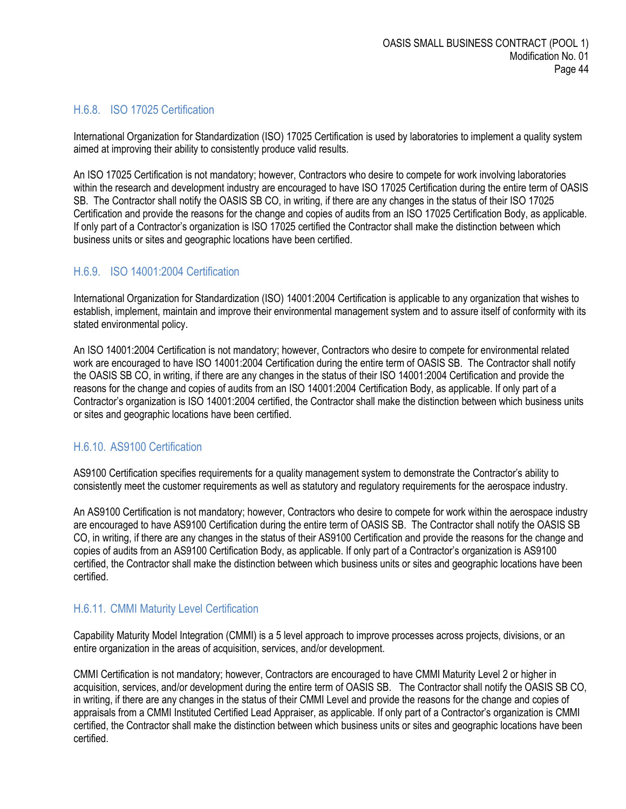## <span id="page-43-0"></span>H.6.8. ISO 17025 Certification

International Organization for Standardization (ISO) 17025 Certification is used by laboratories to implement a quality system aimed at improving their ability to consistently produce valid results.

An ISO 17025 Certification is not mandatory; however, Contractors who desire to compete for work involving laboratories within the research and development industry are encouraged to have ISO 17025 Certification during the entire term of OASIS SB. The Contractor shall notify the OASIS SB CO, in writing, if there are any changes in the status of their ISO 17025 Certification and provide the reasons for the change and copies of audits from an ISO 17025 Certification Body, as applicable. If only part of a Contractor's organization is ISO 17025 certified the Contractor shall make the distinction between which business units or sites and geographic locations have been certified.

#### <span id="page-43-1"></span>H.6.9. ISO 14001:2004 Certification

International Organization for Standardization (ISO) 14001:2004 Certification is applicable to any organization that wishes to establish, implement, maintain and improve their environmental management system and to assure itself of conformity with its stated environmental policy.

An ISO 14001:2004 Certification is not mandatory; however, Contractors who desire to compete for environmental related work are encouraged to have ISO 14001:2004 Certification during the entire term of OASIS SB. The Contractor shall notify the OASIS SB CO, in writing, if there are any changes in the status of their ISO 14001:2004 Certification and provide the reasons for the change and copies of audits from an ISO 14001:2004 Certification Body, as applicable. If only part of a Contractor's organization is ISO 14001:2004 certified, the Contractor shall make the distinction between which business units or sites and geographic locations have been certified.

## <span id="page-43-2"></span>H.6.10. AS9100 Certification

AS9100 Certification specifies requirements for a quality management system to demonstrate the Contractor's ability to consistently meet the customer requirements as well as statutory and regulatory requirements for the aerospace industry.

An AS9100 Certification is not mandatory; however, Contractors who desire to compete for work within the aerospace industry are encouraged to have AS9100 Certification during the entire term of OASIS SB. The Contractor shall notify the OASIS SB CO, in writing, if there are any changes in the status of their AS9100 Certification and provide the reasons for the change and copies of audits from an AS9100 Certification Body, as applicable. If only part of a Contractor's organization is AS9100 certified, the Contractor shall make the distinction between which business units or sites and geographic locations have been certified.

#### <span id="page-43-3"></span>H.6.11. CMMI Maturity Level Certification

Capability Maturity Model Integration (CMMI) is a 5 level approach to improve processes across projects, divisions, or an entire organization in the areas of acquisition, services, and/or development.

CMMI Certification is not mandatory; however, Contractors are encouraged to have CMMI Maturity Level 2 or higher in acquisition, services, and/or development during the entire term of OASIS SB. The Contractor shall notify the OASIS SB CO, in writing, if there are any changes in the status of their CMMI Level and provide the reasons for the change and copies of appraisals from a CMMI Instituted Certified Lead Appraiser, as applicable. If only part of a Contractor's organization is CMMI certified, the Contractor shall make the distinction between which business units or sites and geographic locations have been certified.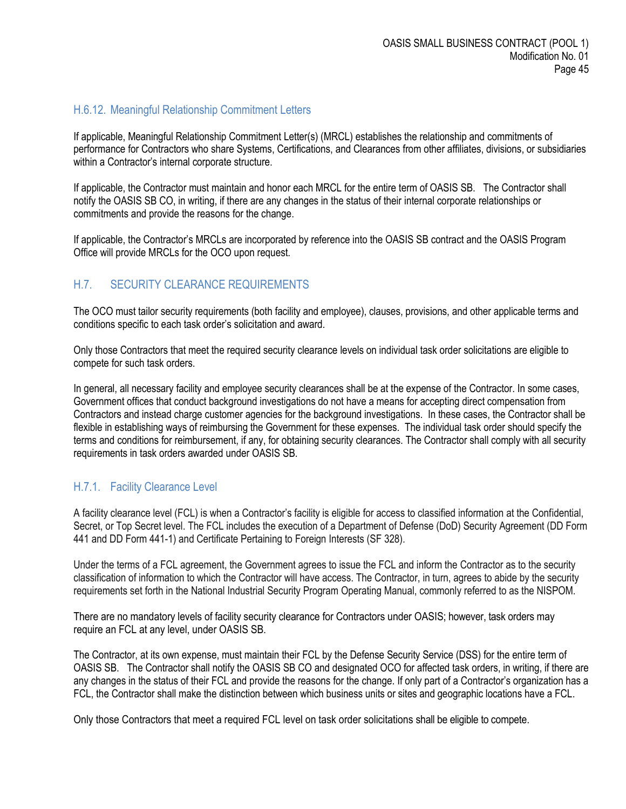#### <span id="page-44-0"></span>H.6.12. Meaningful Relationship Commitment Letters

If applicable, Meaningful Relationship Commitment Letter(s) (MRCL) establishes the relationship and commitments of performance for Contractors who share Systems, Certifications, and Clearances from other affiliates, divisions, or subsidiaries within a Contractor's internal corporate structure.

If applicable, the Contractor must maintain and honor each MRCL for the entire term of OASIS SB. The Contractor shall notify the OASIS SB CO, in writing, if there are any changes in the status of their internal corporate relationships or commitments and provide the reasons for the change.

If applicable, the Contractor's MRCLs are incorporated by reference into the OASIS SB contract and the OASIS Program Office will provide MRCLs for the OCO upon request.

#### <span id="page-44-1"></span>H.7. SECURITY CLEARANCE REQUIREMENTS

The OCO must tailor security requirements (both facility and employee), clauses, provisions, and other applicable terms and conditions specific to each task order's solicitation and award.

Only those Contractors that meet the required security clearance levels on individual task order solicitations are eligible to compete for such task orders.

In general, all necessary facility and employee security clearances shall be at the expense of the Contractor. In some cases, Government offices that conduct background investigations do not have a means for accepting direct compensation from Contractors and instead charge customer agencies for the background investigations. In these cases, the Contractor shall be flexible in establishing ways of reimbursing the Government for these expenses. The individual task order should specify the terms and conditions for reimbursement, if any, for obtaining security clearances. The Contractor shall comply with all security requirements in task orders awarded under OASIS SB.

#### <span id="page-44-2"></span>H.7.1. Facility Clearance Level

A facility clearance level (FCL) is when a Contractor's facility is eligible for access to classified information at the Confidential, Secret, or Top Secret level. The FCL includes the execution of a Department of Defense (DoD) Security Agreement (DD Form 441 and DD Form 441-1) and Certificate Pertaining to Foreign Interests (SF 328).

Under the terms of a FCL agreement, the Government agrees to issue the FCL and inform the Contractor as to the security classification of information to which the Contractor will have access. The Contractor, in turn, agrees to abide by the security requirements set forth in the National Industrial Security Program Operating Manual, commonly referred to as the NISPOM.

There are no mandatory levels of facility security clearance for Contractors under OASIS; however, task orders may require an FCL at any level, under OASIS SB.

The Contractor, at its own expense, must maintain their FCL by the Defense Security Service (DSS) for the entire term of OASIS SB. The Contractor shall notify the OASIS SB CO and designated OCO for affected task orders, in writing, if there are any changes in the status of their FCL and provide the reasons for the change. If only part of a Contractor's organization has a FCL, the Contractor shall make the distinction between which business units or sites and geographic locations have a FCL.

Only those Contractors that meet a required FCL level on task order solicitations shall be eligible to compete.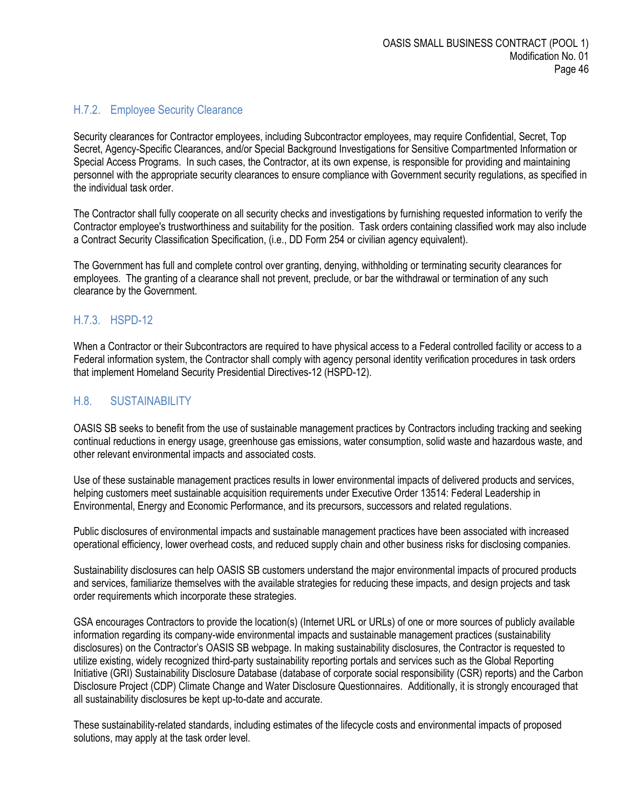# <span id="page-45-0"></span>H.7.2. Employee Security Clearance

Security clearances for Contractor employees, including Subcontractor employees, may require Confidential, Secret, Top Secret, Agency-Specific Clearances, and/or Special Background Investigations for Sensitive Compartmented Information or Special Access Programs. In such cases, the Contractor, at its own expense, is responsible for providing and maintaining personnel with the appropriate security clearances to ensure compliance with Government security regulations, as specified in the individual task order.

The Contractor shall fully cooperate on all security checks and investigations by furnishing requested information to verify the Contractor employee's trustworthiness and suitability for the position. Task orders containing classified work may also include a Contract Security Classification Specification, (i.e., DD Form 254 or civilian agency equivalent).

The Government has full and complete control over granting, denying, withholding or terminating security clearances for employees. The granting of a clearance shall not prevent, preclude, or bar the withdrawal or termination of any such clearance by the Government.

## <span id="page-45-1"></span>H.7.3. HSPD-12

When a Contractor or their Subcontractors are required to have physical access to a Federal controlled facility or access to a Federal information system, the Contractor shall comply with agency personal identity verification procedures in task orders that implement Homeland Security Presidential Directives-12 (HSPD-12).

# <span id="page-45-2"></span>H.8. SUSTAINABILITY

OASIS SB seeks to benefit from the use of sustainable management practices by Contractors including tracking and seeking continual reductions in energy usage, greenhouse gas emissions, water consumption, solid waste and hazardous waste, and other relevant environmental impacts and associated costs.

Use of these sustainable management practices results in lower environmental impacts of delivered products and services, helping customers meet sustainable acquisition requirements under Executive Order 13514: Federal Leadership in Environmental, Energy and Economic Performance, and its precursors, successors and related regulations.

Public disclosures of environmental impacts and sustainable management practices have been associated with increased operational efficiency, lower overhead costs, and reduced supply chain and other business risks for disclosing companies.

Sustainability disclosures can help OASIS SB customers understand the major environmental impacts of procured products and services, familiarize themselves with the available strategies for reducing these impacts, and design projects and task order requirements which incorporate these strategies.

GSA encourages Contractors to provide the location(s) (Internet URL or URLs) of one or more sources of publicly available information regarding its company-wide environmental impacts and sustainable management practices (sustainability disclosures) on the Contractor's OASIS SB webpage. In making sustainability disclosures, the Contractor is requested to utilize existing, widely recognized third-party sustainability reporting portals and services such as the Global Reporting Initiative (GRI) Sustainability Disclosure Database (database of corporate social responsibility (CSR) reports) and the Carbon Disclosure Project (CDP) Climate Change and Water Disclosure Questionnaires. Additionally, it is strongly encouraged that all sustainability disclosures be kept up-to-date and accurate.

These sustainability-related standards, including estimates of the lifecycle costs and environmental impacts of proposed solutions, may apply at the task order level.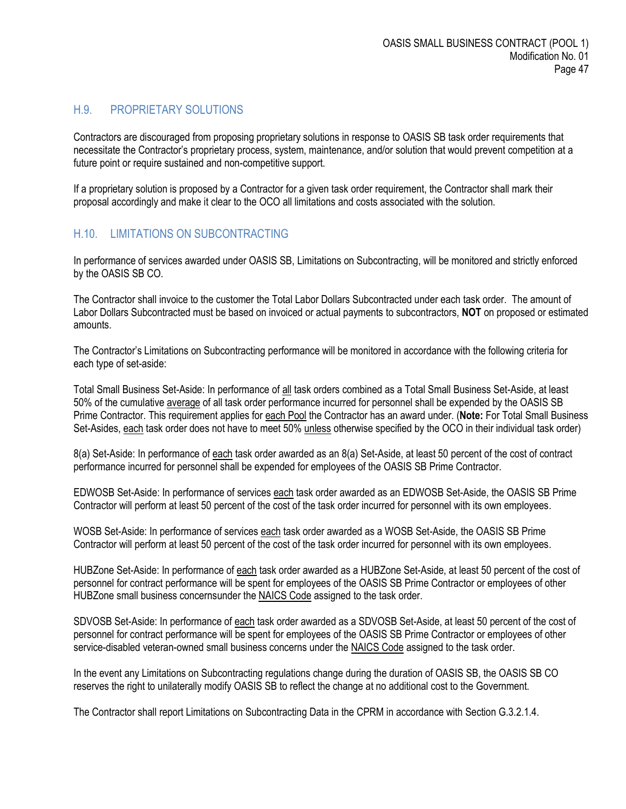#### <span id="page-46-0"></span>H.9. PROPRIETARY SOLUTIONS

Contractors are discouraged from proposing proprietary solutions in response to OASIS SB task order requirements that necessitate the Contractor's proprietary process, system, maintenance, and/or solution that would prevent competition at a future point or require sustained and non-competitive support.

If a proprietary solution is proposed by a Contractor for a given task order requirement, the Contractor shall mark their proposal accordingly and make it clear to the OCO all limitations and costs associated with the solution.

#### <span id="page-46-1"></span>H.10. LIMITATIONS ON SUBCONTRACTING

In performance of services awarded under OASIS SB, Limitations on Subcontracting, will be monitored and strictly enforced by the OASIS SB CO.

The Contractor shall invoice to the customer the Total Labor Dollars Subcontracted under each task order. The amount of Labor Dollars Subcontracted must be based on invoiced or actual payments to subcontractors, **NOT** on proposed or estimated amounts.

The Contractor's Limitations on Subcontracting performance will be monitored in accordance with the following criteria for each type of set-aside:

Total Small Business Set-Aside: In performance of all task orders combined as a Total Small Business Set-Aside, at least 50% of the cumulative average of all task order performance incurred for personnel shall be expended by the OASIS SB Prime Contractor. This requirement applies for each Pool the Contractor has an award under. (**Note:** For Total Small Business Set-Asides, each task order does not have to meet 50% unless otherwise specified by the OCO in their individual task order)

8(a) Set-Aside: In performance of each task order awarded as an 8(a) Set-Aside, at least 50 percent of the cost of contract performance incurred for personnel shall be expended for employees of the OASIS SB Prime Contractor.

EDWOSB Set-Aside: In performance of services each task order awarded as an EDWOSB Set-Aside, the OASIS SB Prime Contractor will perform at least 50 percent of the cost of the task order incurred for personnel with its own employees.

WOSB Set-Aside: In performance of services each task order awarded as a WOSB Set-Aside, the OASIS SB Prime Contractor will perform at least 50 percent of the cost of the task order incurred for personnel with its own employees.

HUBZone Set-Aside: In performance of each task order awarded as a HUBZone Set-Aside, at least 50 percent of the cost of personnel for contract performance will be spent for employees of the OASIS SB Prime Contractor or employees of other HUBZone small business concernsunder the NAICS Code assigned to the task order.

SDVOSB Set-Aside: In performance of each task order awarded as a SDVOSB Set-Aside, at least 50 percent of the cost of personnel for contract performance will be spent for employees of the OASIS SB Prime Contractor or employees of other service-disabled veteran-owned small business concerns under the NAICS Code assigned to the task order.

In the event any Limitations on Subcontracting regulations change during the duration of OASIS SB, the OASIS SB CO reserves the right to unilaterally modify OASIS SB to reflect the change at no additional cost to the Government.

The Contractor shall report Limitations on Subcontracting Data in the CPRM in accordance with Section G.3.2.1.4.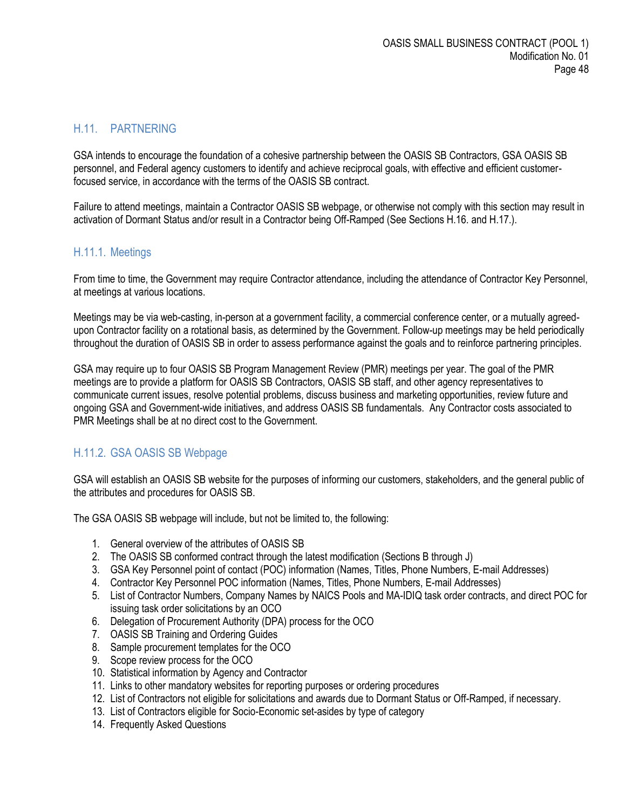## <span id="page-47-0"></span>H.11. PARTNERING

GSA intends to encourage the foundation of a cohesive partnership between the OASIS SB Contractors, GSA OASIS SB personnel, and Federal agency customers to identify and achieve reciprocal goals, with effective and efficient customerfocused service, in accordance with the terms of the OASIS SB contract.

Failure to attend meetings, maintain a Contractor OASIS SB webpage, or otherwise not comply with this section may result in activation of Dormant Status and/or result in a Contractor being Off-Ramped (See Sections H.16. and H.17.).

## <span id="page-47-1"></span>H.11.1. Meetings

From time to time, the Government may require Contractor attendance, including the attendance of Contractor Key Personnel, at meetings at various locations.

Meetings may be via web-casting, in-person at a government facility, a commercial conference center, or a mutually agreedupon Contractor facility on a rotational basis, as determined by the Government. Follow-up meetings may be held periodically throughout the duration of OASIS SB in order to assess performance against the goals and to reinforce partnering principles.

GSA may require up to four OASIS SB Program Management Review (PMR) meetings per year. The goal of the PMR meetings are to provide a platform for OASIS SB Contractors, OASIS SB staff, and other agency representatives to communicate current issues, resolve potential problems, discuss business and marketing opportunities, review future and ongoing GSA and Government-wide initiatives, and address OASIS SB fundamentals. Any Contractor costs associated to PMR Meetings shall be at no direct cost to the Government.

## <span id="page-47-2"></span>H.11.2. GSA OASIS SB Webpage

GSA will establish an OASIS SB website for the purposes of informing our customers, stakeholders, and the general public of the attributes and procedures for OASIS SB.

The GSA OASIS SB webpage will include, but not be limited to, the following:

- 1. General overview of the attributes of OASIS SB
- 2. The OASIS SB conformed contract through the latest modification (Sections B through J)
- 3. GSA Key Personnel point of contact (POC) information (Names, Titles, Phone Numbers, E-mail Addresses)
- 4. Contractor Key Personnel POC information (Names, Titles, Phone Numbers, E-mail Addresses)
- 5. List of Contractor Numbers, Company Names by NAICS Pools and MA-IDIQ task order contracts, and direct POC for issuing task order solicitations by an OCO
- 6. Delegation of Procurement Authority (DPA) process for the OCO
- 7. OASIS SB Training and Ordering Guides
- 8. Sample procurement templates for the OCO
- 9. Scope review process for the OCO
- 10. Statistical information by Agency and Contractor
- 11. Links to other mandatory websites for reporting purposes or ordering procedures
- 12. List of Contractors not eligible for solicitations and awards due to Dormant Status or Off-Ramped, if necessary.
- 13. List of Contractors eligible for Socio-Economic set-asides by type of category
- 14. Frequently Asked Questions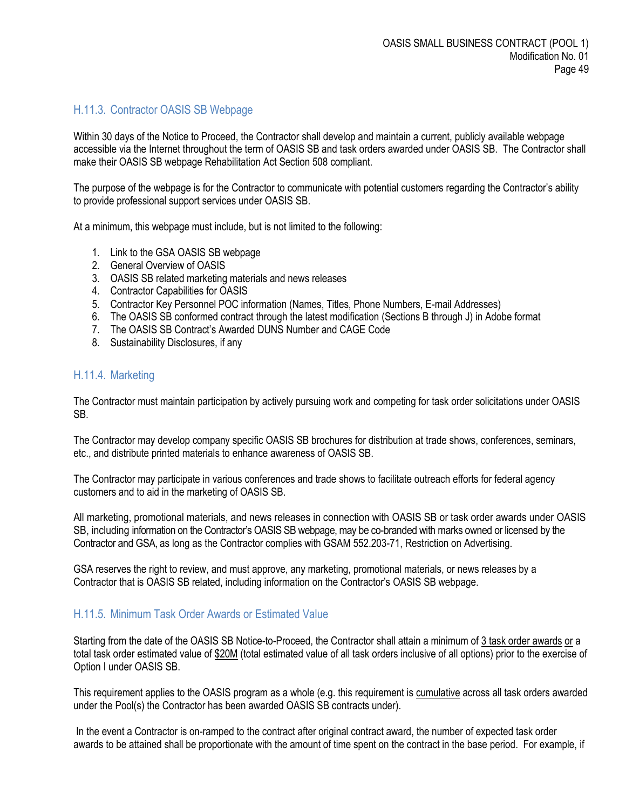#### <span id="page-48-0"></span>H.11.3. Contractor OASIS SB Webpage

Within 30 days of the Notice to Proceed, the Contractor shall develop and maintain a current, publicly available webpage accessible via the Internet throughout the term of OASIS SB and task orders awarded under OASIS SB. The Contractor shall make their OASIS SB webpage Rehabilitation Act Section 508 compliant.

The purpose of the webpage is for the Contractor to communicate with potential customers regarding the Contractor's ability to provide professional support services under OASIS SB.

At a minimum, this webpage must include, but is not limited to the following:

- 1. Link to the GSA OASIS SB webpage
- 2. General Overview of OASIS
- 3. OASIS SB related marketing materials and news releases
- 4. Contractor Capabilities for OASIS
- 5. Contractor Key Personnel POC information (Names, Titles, Phone Numbers, E-mail Addresses)
- 6. The OASIS SB conformed contract through the latest modification (Sections B through J) in Adobe format
- 7. The OASIS SB Contract's Awarded DUNS Number and CAGE Code
- 8. Sustainability Disclosures, if any

#### <span id="page-48-1"></span>H.11.4. Marketing

The Contractor must maintain participation by actively pursuing work and competing for task order solicitations under OASIS SB.

The Contractor may develop company specific OASIS SB brochures for distribution at trade shows, conferences, seminars, etc., and distribute printed materials to enhance awareness of OASIS SB.

The Contractor may participate in various conferences and trade shows to facilitate outreach efforts for federal agency customers and to aid in the marketing of OASIS SB.

All marketing, promotional materials, and news releases in connection with OASIS SB or task order awards under OASIS SB, including information on the Contractor's OASIS SB webpage, may be co-branded with marks owned or licensed by the Contractor and GSA, as long as the Contractor complies with GSAM 552.203-71, Restriction on Advertising.

GSA reserves the right to review, and must approve, any marketing, promotional materials, or news releases by a Contractor that is OASIS SB related, including information on the Contractor's OASIS SB webpage.

#### <span id="page-48-2"></span>H.11.5. Minimum Task Order Awards or Estimated Value

Starting from the date of the OASIS SB Notice-to-Proceed, the Contractor shall attain a minimum of 3 task order awards or a total task order estimated value of \$20M (total estimated value of all task orders inclusive of all options) prior to the exercise of Option I under OASIS SB.

This requirement applies to the OASIS program as a whole (e.g. this requirement is cumulative across all task orders awarded under the Pool(s) the Contractor has been awarded OASIS SB contracts under).

In the event a Contractor is on-ramped to the contract after original contract award, the number of expected task order awards to be attained shall be proportionate with the amount of time spent on the contract in the base period. For example, if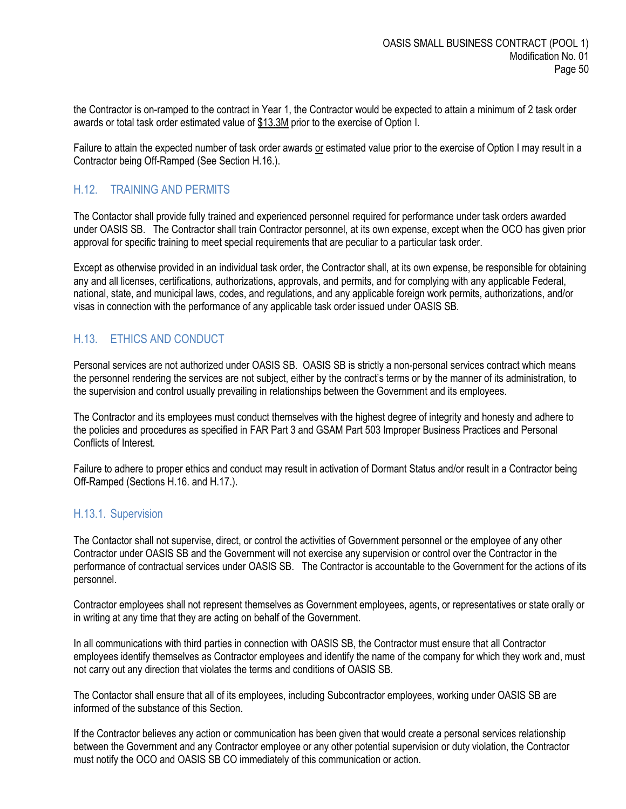the Contractor is on-ramped to the contract in Year 1, the Contractor would be expected to attain a minimum of 2 task order awards or total task order estimated value of \$13.3M prior to the exercise of Option I.

Failure to attain the expected number of task order awards or estimated value prior to the exercise of Option I may result in a Contractor being Off-Ramped (See Section H.16.).

#### <span id="page-49-0"></span>H.12. TRAINING AND PERMITS

The Contactor shall provide fully trained and experienced personnel required for performance under task orders awarded under OASIS SB. The Contractor shall train Contractor personnel, at its own expense, except when the OCO has given prior approval for specific training to meet special requirements that are peculiar to a particular task order.

Except as otherwise provided in an individual task order, the Contractor shall, at its own expense, be responsible for obtaining any and all licenses, certifications, authorizations, approvals, and permits, and for complying with any applicable Federal, national, state, and municipal laws, codes, and regulations, and any applicable foreign work permits, authorizations, and/or visas in connection with the performance of any applicable task order issued under OASIS SB.

#### <span id="page-49-1"></span>H.13. ETHICS AND CONDUCT

Personal services are not authorized under OASIS SB. OASIS SB is strictly a non-personal services contract which means the personnel rendering the services are not subject, either by the contract's terms or by the manner of its administration, to the supervision and control usually prevailing in relationships between the Government and its employees.

The Contractor and its employees must conduct themselves with the highest degree of integrity and honesty and adhere to the policies and procedures as specified in FAR Part 3 and GSAM Part 503 Improper Business Practices and Personal Conflicts of Interest.

Failure to adhere to proper ethics and conduct may result in activation of Dormant Status and/or result in a Contractor being Off-Ramped (Sections H.16. and H.17.).

#### <span id="page-49-2"></span>H.13.1. Supervision

The Contactor shall not supervise, direct, or control the activities of Government personnel or the employee of any other Contractor under OASIS SB and the Government will not exercise any supervision or control over the Contractor in the performance of contractual services under OASIS SB. The Contractor is accountable to the Government for the actions of its personnel.

Contractor employees shall not represent themselves as Government employees, agents, or representatives or state orally or in writing at any time that they are acting on behalf of the Government.

In all communications with third parties in connection with OASIS SB, the Contractor must ensure that all Contractor employees identify themselves as Contractor employees and identify the name of the company for which they work and, must not carry out any direction that violates the terms and conditions of OASIS SB.

The Contactor shall ensure that all of its employees, including Subcontractor employees, working under OASIS SB are informed of the substance of this Section.

If the Contractor believes any action or communication has been given that would create a personal services relationship between the Government and any Contractor employee or any other potential supervision or duty violation, the Contractor must notify the OCO and OASIS SB CO immediately of this communication or action.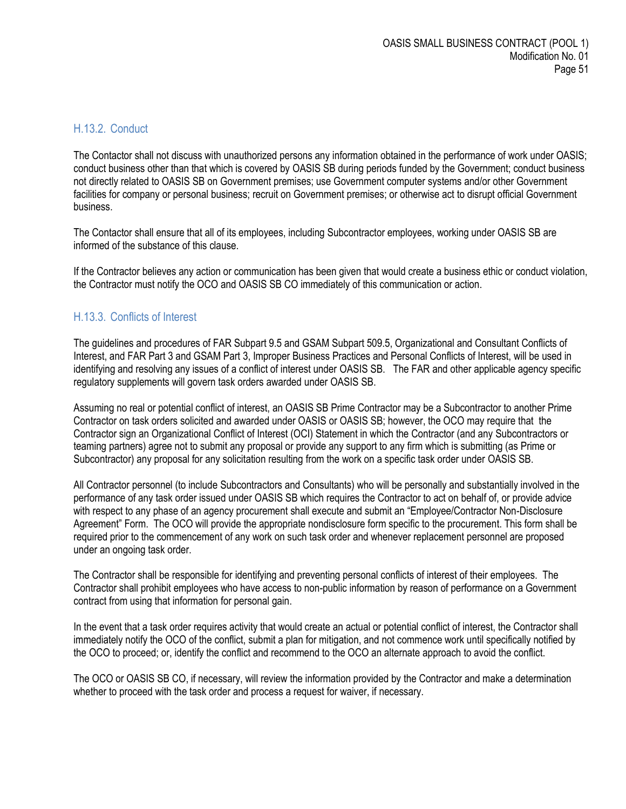#### <span id="page-50-0"></span>H.13.2. Conduct

The Contactor shall not discuss with unauthorized persons any information obtained in the performance of work under OASIS; conduct business other than that which is covered by OASIS SB during periods funded by the Government; conduct business not directly related to OASIS SB on Government premises; use Government computer systems and/or other Government facilities for company or personal business; recruit on Government premises; or otherwise act to disrupt official Government business.

The Contactor shall ensure that all of its employees, including Subcontractor employees, working under OASIS SB are informed of the substance of this clause.

If the Contractor believes any action or communication has been given that would create a business ethic or conduct violation, the Contractor must notify the OCO and OASIS SB CO immediately of this communication or action.

## <span id="page-50-1"></span>H.13.3. Conflicts of Interest

The guidelines and procedures of FAR Subpart 9.5 and GSAM Subpart 509.5, Organizational and Consultant Conflicts of Interest, and FAR Part 3 and GSAM Part 3, Improper Business Practices and Personal Conflicts of Interest, will be used in identifying and resolving any issues of a conflict of interest under OASIS SB. The FAR and other applicable agency specific regulatory supplements will govern task orders awarded under OASIS SB.

Assuming no real or potential conflict of interest, an OASIS SB Prime Contractor may be a Subcontractor to another Prime Contractor on task orders solicited and awarded under OASIS or OASIS SB; however, the OCO may require that the Contractor sign an Organizational Conflict of Interest (OCI) Statement in which the Contractor (and any Subcontractors or teaming partners) agree not to submit any proposal or provide any support to any firm which is submitting (as Prime or Subcontractor) any proposal for any solicitation resulting from the work on a specific task order under OASIS SB.

All Contractor personnel (to include Subcontractors and Consultants) who will be personally and substantially involved in the performance of any task order issued under OASIS SB which requires the Contractor to act on behalf of, or provide advice with respect to any phase of an agency procurement shall execute and submit an "Employee/Contractor Non-Disclosure Agreement" Form. The OCO will provide the appropriate nondisclosure form specific to the procurement. This form shall be required prior to the commencement of any work on such task order and whenever replacement personnel are proposed under an ongoing task order.

The Contractor shall be responsible for identifying and preventing personal conflicts of interest of their employees. The Contractor shall prohibit employees who have access to non-public information by reason of performance on a Government contract from using that information for personal gain.

In the event that a task order requires activity that would create an actual or potential conflict of interest, the Contractor shall immediately notify the OCO of the conflict, submit a plan for mitigation, and not commence work until specifically notified by the OCO to proceed; or, identify the conflict and recommend to the OCO an alternate approach to avoid the conflict.

The OCO or OASIS SB CO, if necessary, will review the information provided by the Contractor and make a determination whether to proceed with the task order and process a request for waiver, if necessary.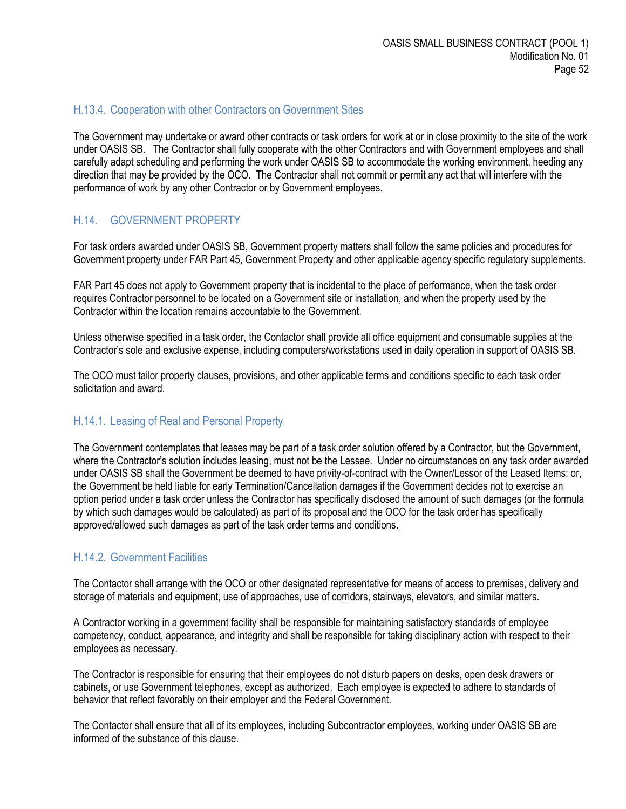#### <span id="page-51-0"></span>H.13.4. Cooperation with other Contractors on Government Sites

The Government may undertake or award other contracts or task orders for work at or in close proximity to the site of the work under OASIS SB. The Contractor shall fully cooperate with the other Contractors and with Government employees and shall carefully adapt scheduling and performing the work under OASIS SB to accommodate the working environment, heeding any direction that may be provided by the OCO. The Contractor shall not commit or permit any act that will interfere with the performance of work by any other Contractor or by Government employees.

#### <span id="page-51-1"></span>H.14. GOVERNMENT PROPERTY

For task orders awarded under OASIS SB, Government property matters shall follow the same policies and procedures for Government property under FAR Part 45, Government Property and other applicable agency specific regulatory supplements.

FAR Part 45 does not apply to Government property that is incidental to the place of performance, when the task order requires Contractor personnel to be located on a Government site or installation, and when the property used by the Contractor within the location remains accountable to the Government.

Unless otherwise specified in a task order, the Contactor shall provide all office equipment and consumable supplies at the Contractor's sole and exclusive expense, including computers/workstations used in daily operation in support of OASIS SB.

The OCO must tailor property clauses, provisions, and other applicable terms and conditions specific to each task order solicitation and award.

#### <span id="page-51-2"></span>H.14.1. Leasing of Real and Personal Property

The Government contemplates that leases may be part of a task order solution offered by a Contractor, but the Government, where the Contractor's solution includes leasing, must not be the Lessee. Under no circumstances on any task order awarded under OASIS SB shall the Government be deemed to have privity-of-contract with the Owner/Lessor of the Leased Items; or, the Government be held liable for early Termination/Cancellation damages if the Government decides not to exercise an option period under a task order unless the Contractor has specifically disclosed the amount of such damages (or the formula by which such damages would be calculated) as part of its proposal and the OCO for the task order has specifically approved/allowed such damages as part of the task order terms and conditions.

#### <span id="page-51-3"></span>H.14.2. Government Facilities

The Contactor shall arrange with the OCO or other designated representative for means of access to premises, delivery and storage of materials and equipment, use of approaches, use of corridors, stairways, elevators, and similar matters.

A Contractor working in a government facility shall be responsible for maintaining satisfactory standards of employee competency, conduct, appearance, and integrity and shall be responsible for taking disciplinary action with respect to their employees as necessary.

The Contractor is responsible for ensuring that their employees do not disturb papers on desks, open desk drawers or cabinets, or use Government telephones, except as authorized. Each employee is expected to adhere to standards of behavior that reflect favorably on their employer and the Federal Government.

The Contactor shall ensure that all of its employees, including Subcontractor employees, working under OASIS SB are informed of the substance of this clause.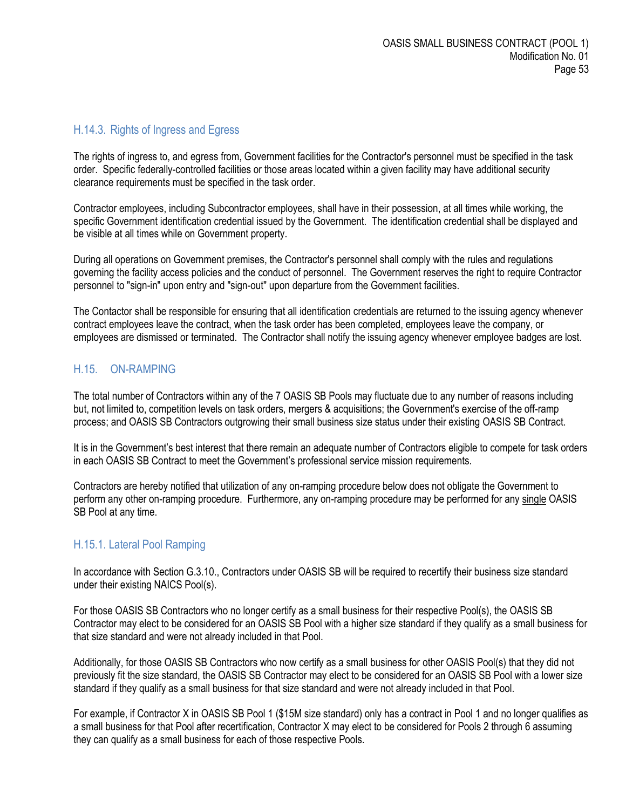#### <span id="page-52-0"></span>H.14.3. Rights of Ingress and Egress

The rights of ingress to, and egress from, Government facilities for the Contractor's personnel must be specified in the task order. Specific federally-controlled facilities or those areas located within a given facility may have additional security clearance requirements must be specified in the task order.

Contractor employees, including Subcontractor employees, shall have in their possession, at all times while working, the specific Government identification credential issued by the Government. The identification credential shall be displayed and be visible at all times while on Government property.

During all operations on Government premises, the Contractor's personnel shall comply with the rules and regulations governing the facility access policies and the conduct of personnel. The Government reserves the right to require Contractor personnel to "sign-in" upon entry and "sign-out" upon departure from the Government facilities.

The Contactor shall be responsible for ensuring that all identification credentials are returned to the issuing agency whenever contract employees leave the contract, when the task order has been completed, employees leave the company, or employees are dismissed or terminated. The Contractor shall notify the issuing agency whenever employee badges are lost.

#### <span id="page-52-1"></span>H.15. ON-RAMPING

The total number of Contractors within any of the 7 OASIS SB Pools may fluctuate due to any number of reasons including but, not limited to, competition levels on task orders, mergers & acquisitions; the Government's exercise of the off-ramp process; and OASIS SB Contractors outgrowing their small business size status under their existing OASIS SB Contract.

It is in the Government's best interest that there remain an adequate number of Contractors eligible to compete for task orders in each OASIS SB Contract to meet the Government's professional service mission requirements.

Contractors are hereby notified that utilization of any on-ramping procedure below does not obligate the Government to perform any other on-ramping procedure. Furthermore, any on-ramping procedure may be performed for any single OASIS SB Pool at any time.

#### <span id="page-52-2"></span>H.15.1. Lateral Pool Ramping

In accordance with Section G.3.10., Contractors under OASIS SB will be required to recertify their business size standard under their existing NAICS Pool(s).

For those OASIS SB Contractors who no longer certify as a small business for their respective Pool(s), the OASIS SB Contractor may elect to be considered for an OASIS SB Pool with a higher size standard if they qualify as a small business for that size standard and were not already included in that Pool.

Additionally, for those OASIS SB Contractors who now certify as a small business for other OASIS Pool(s) that they did not previously fit the size standard, the OASIS SB Contractor may elect to be considered for an OASIS SB Pool with a lower size standard if they qualify as a small business for that size standard and were not already included in that Pool.

For example, if Contractor X in OASIS SB Pool 1 (\$15M size standard) only has a contract in Pool 1 and no longer qualifies as a small business for that Pool after recertification, Contractor X may elect to be considered for Pools 2 through 6 assuming they can qualify as a small business for each of those respective Pools.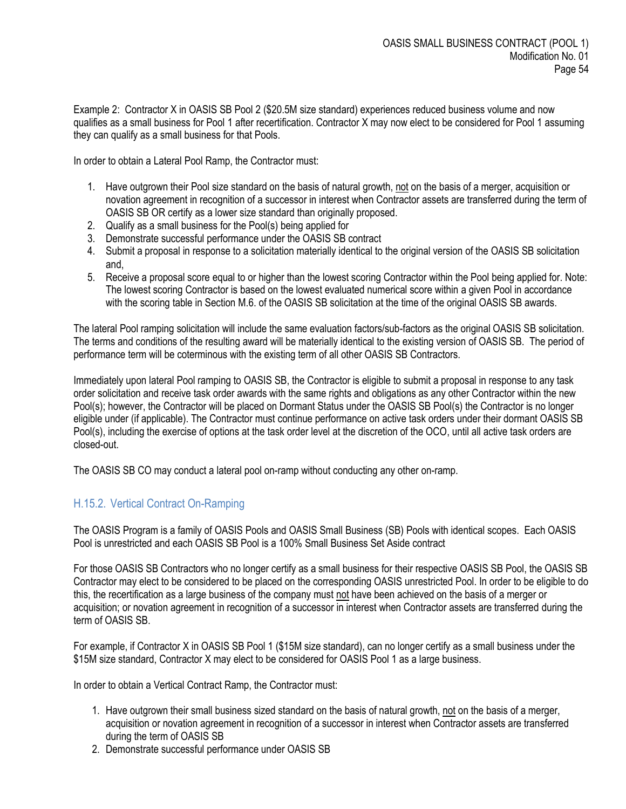Example 2: Contractor X in OASIS SB Pool 2 (\$20.5M size standard) experiences reduced business volume and now qualifies as a small business for Pool 1 after recertification. Contractor X may now elect to be considered for Pool 1 assuming they can qualify as a small business for that Pools.

In order to obtain a Lateral Pool Ramp, the Contractor must:

- 1. Have outgrown their Pool size standard on the basis of natural growth, not on the basis of a merger, acquisition or novation agreement in recognition of a successor in interest when Contractor assets are transferred during the term of OASIS SB OR certify as a lower size standard than originally proposed.
- 2. Qualify as a small business for the Pool(s) being applied for
- 3. Demonstrate successful performance under the OASIS SB contract
- 4. Submit a proposal in response to a solicitation materially identical to the original version of the OASIS SB solicitation and,
- 5. Receive a proposal score equal to or higher than the lowest scoring Contractor within the Pool being applied for. Note: The lowest scoring Contractor is based on the lowest evaluated numerical score within a given Pool in accordance with the scoring table in Section M.6. of the OASIS SB solicitation at the time of the original OASIS SB awards.

The lateral Pool ramping solicitation will include the same evaluation factors/sub-factors as the original OASIS SB solicitation. The terms and conditions of the resulting award will be materially identical to the existing version of OASIS SB. The period of performance term will be coterminous with the existing term of all other OASIS SB Contractors.

Immediately upon lateral Pool ramping to OASIS SB, the Contractor is eligible to submit a proposal in response to any task order solicitation and receive task order awards with the same rights and obligations as any other Contractor within the new Pool(s); however, the Contractor will be placed on Dormant Status under the OASIS SB Pool(s) the Contractor is no longer eligible under (if applicable). The Contractor must continue performance on active task orders under their dormant OASIS SB Pool(s), including the exercise of options at the task order level at the discretion of the OCO, until all active task orders are closed-out.

The OASIS SB CO may conduct a lateral pool on-ramp without conducting any other on-ramp.

## <span id="page-53-0"></span>H.15.2. Vertical Contract On-Ramping

The OASIS Program is a family of OASIS Pools and OASIS Small Business (SB) Pools with identical scopes. Each OASIS Pool is unrestricted and each OASIS SB Pool is a 100% Small Business Set Aside contract

For those OASIS SB Contractors who no longer certify as a small business for their respective OASIS SB Pool, the OASIS SB Contractor may elect to be considered to be placed on the corresponding OASIS unrestricted Pool. In order to be eligible to do this, the recertification as a large business of the company must not have been achieved on the basis of a merger or acquisition; or novation agreement in recognition of a successor in interest when Contractor assets are transferred during the term of OASIS SB.

For example, if Contractor X in OASIS SB Pool 1 (\$15M size standard), can no longer certify as a small business under the \$15M size standard, Contractor X may elect to be considered for OASIS Pool 1 as a large business.

In order to obtain a Vertical Contract Ramp, the Contractor must:

- 1. Have outgrown their small business sized standard on the basis of natural growth, not on the basis of a merger, acquisition or novation agreement in recognition of a successor in interest when Contractor assets are transferred during the term of OASIS SB
- 2. Demonstrate successful performance under OASIS SB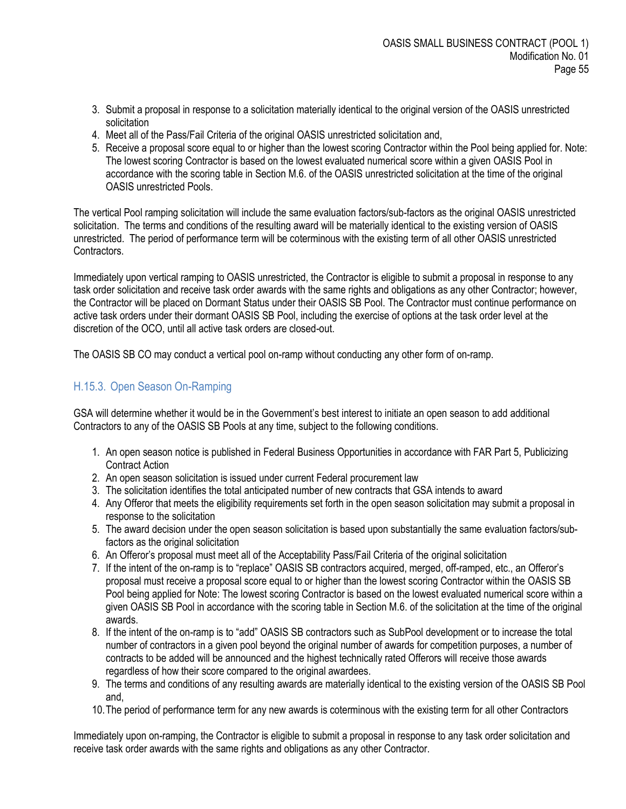- 3. Submit a proposal in response to a solicitation materially identical to the original version of the OASIS unrestricted solicitation
- 4. Meet all of the Pass/Fail Criteria of the original OASIS unrestricted solicitation and,
- 5. Receive a proposal score equal to or higher than the lowest scoring Contractor within the Pool being applied for. Note: The lowest scoring Contractor is based on the lowest evaluated numerical score within a given OASIS Pool in accordance with the scoring table in Section M.6. of the OASIS unrestricted solicitation at the time of the original OASIS unrestricted Pools.

The vertical Pool ramping solicitation will include the same evaluation factors/sub-factors as the original OASIS unrestricted solicitation. The terms and conditions of the resulting award will be materially identical to the existing version of OASIS unrestricted. The period of performance term will be coterminous with the existing term of all other OASIS unrestricted Contractors.

Immediately upon vertical ramping to OASIS unrestricted, the Contractor is eligible to submit a proposal in response to any task order solicitation and receive task order awards with the same rights and obligations as any other Contractor; however, the Contractor will be placed on Dormant Status under their OASIS SB Pool. The Contractor must continue performance on active task orders under their dormant OASIS SB Pool, including the exercise of options at the task order level at the discretion of the OCO, until all active task orders are closed-out.

The OASIS SB CO may conduct a vertical pool on-ramp without conducting any other form of on-ramp.

## <span id="page-54-0"></span>H.15.3. Open Season On-Ramping

GSA will determine whether it would be in the Government's best interest to initiate an open season to add additional Contractors to any of the OASIS SB Pools at any time, subject to the following conditions.

- 1. An open season notice is published in Federal Business Opportunities in accordance with FAR Part 5, Publicizing Contract Action
- 2. An open season solicitation is issued under current Federal procurement law
- 3. The solicitation identifies the total anticipated number of new contracts that GSA intends to award
- 4. Any Offeror that meets the eligibility requirements set forth in the open season solicitation may submit a proposal in response to the solicitation
- 5. The award decision under the open season solicitation is based upon substantially the same evaluation factors/subfactors as the original solicitation
- 6. An Offeror's proposal must meet all of the Acceptability Pass/Fail Criteria of the original solicitation
- 7. If the intent of the on-ramp is to "replace" OASIS SB contractors acquired, merged, off-ramped, etc., an Offeror's proposal must receive a proposal score equal to or higher than the lowest scoring Contractor within the OASIS SB Pool being applied for Note: The lowest scoring Contractor is based on the lowest evaluated numerical score within a given OASIS SB Pool in accordance with the scoring table in Section M.6. of the solicitation at the time of the original awards.
- 8. If the intent of the on-ramp is to "add" OASIS SB contractors such as SubPool development or to increase the total number of contractors in a given pool beyond the original number of awards for competition purposes, a number of contracts to be added will be announced and the highest technically rated Offerors will receive those awards regardless of how their score compared to the original awardees.
- 9. The terms and conditions of any resulting awards are materially identical to the existing version of the OASIS SB Pool and,
- 10.The period of performance term for any new awards is coterminous with the existing term for all other Contractors

Immediately upon on-ramping, the Contractor is eligible to submit a proposal in response to any task order solicitation and receive task order awards with the same rights and obligations as any other Contractor.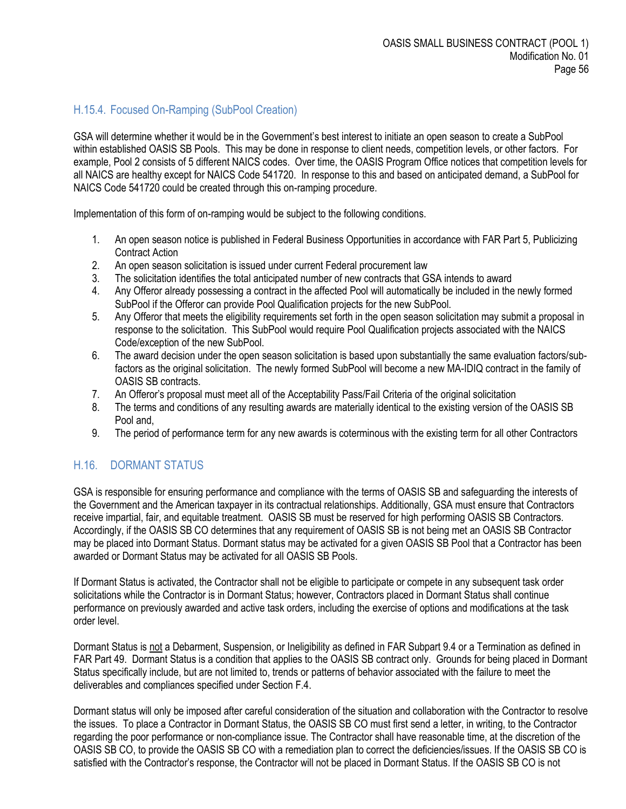# <span id="page-55-0"></span>H.15.4. Focused On-Ramping (SubPool Creation)

GSA will determine whether it would be in the Government's best interest to initiate an open season to create a SubPool within established OASIS SB Pools. This may be done in response to client needs, competition levels, or other factors. For example, Pool 2 consists of 5 different NAICS codes. Over time, the OASIS Program Office notices that competition levels for all NAICS are healthy except for NAICS Code 541720. In response to this and based on anticipated demand, a SubPool for NAICS Code 541720 could be created through this on-ramping procedure.

Implementation of this form of on-ramping would be subject to the following conditions.

- 1. An open season notice is published in Federal Business Opportunities in accordance with FAR Part 5, Publicizing Contract Action
- 2. An open season solicitation is issued under current Federal procurement law
- 3. The solicitation identifies the total anticipated number of new contracts that GSA intends to award
- 4. Any Offeror already possessing a contract in the affected Pool will automatically be included in the newly formed SubPool if the Offeror can provide Pool Qualification projects for the new SubPool.
- 5. Any Offeror that meets the eligibility requirements set forth in the open season solicitation may submit a proposal in response to the solicitation. This SubPool would require Pool Qualification projects associated with the NAICS Code/exception of the new SubPool.
- 6. The award decision under the open season solicitation is based upon substantially the same evaluation factors/subfactors as the original solicitation. The newly formed SubPool will become a new MA-IDIQ contract in the family of OASIS SB contracts.
- 7. An Offeror's proposal must meet all of the Acceptability Pass/Fail Criteria of the original solicitation
- 8. The terms and conditions of any resulting awards are materially identical to the existing version of the OASIS SB Pool and,
- 9. The period of performance term for any new awards is coterminous with the existing term for all other Contractors

## <span id="page-55-1"></span>H.16. DORMANT STATUS

GSA is responsible for ensuring performance and compliance with the terms of OASIS SB and safeguarding the interests of the Government and the American taxpayer in its contractual relationships. Additionally, GSA must ensure that Contractors receive impartial, fair, and equitable treatment. OASIS SB must be reserved for high performing OASIS SB Contractors. Accordingly, if the OASIS SB CO determines that any requirement of OASIS SB is not being met an OASIS SB Contractor may be placed into Dormant Status. Dormant status may be activated for a given OASIS SB Pool that a Contractor has been awarded or Dormant Status may be activated for all OASIS SB Pools.

If Dormant Status is activated, the Contractor shall not be eligible to participate or compete in any subsequent task order solicitations while the Contractor is in Dormant Status; however, Contractors placed in Dormant Status shall continue performance on previously awarded and active task orders, including the exercise of options and modifications at the task order level.

Dormant Status is not a Debarment, Suspension, or Ineligibility as defined in FAR Subpart 9.4 or a Termination as defined in FAR Part 49. Dormant Status is a condition that applies to the OASIS SB contract only. Grounds for being placed in Dormant Status specifically include, but are not limited to, trends or patterns of behavior associated with the failure to meet the deliverables and compliances specified under Section F.4.

Dormant status will only be imposed after careful consideration of the situation and collaboration with the Contractor to resolve the issues. To place a Contractor in Dormant Status, the OASIS SB CO must first send a letter, in writing, to the Contractor regarding the poor performance or non-compliance issue. The Contractor shall have reasonable time, at the discretion of the OASIS SB CO, to provide the OASIS SB CO with a remediation plan to correct the deficiencies/issues. If the OASIS SB CO is satisfied with the Contractor's response, the Contractor will not be placed in Dormant Status. If the OASIS SB CO is not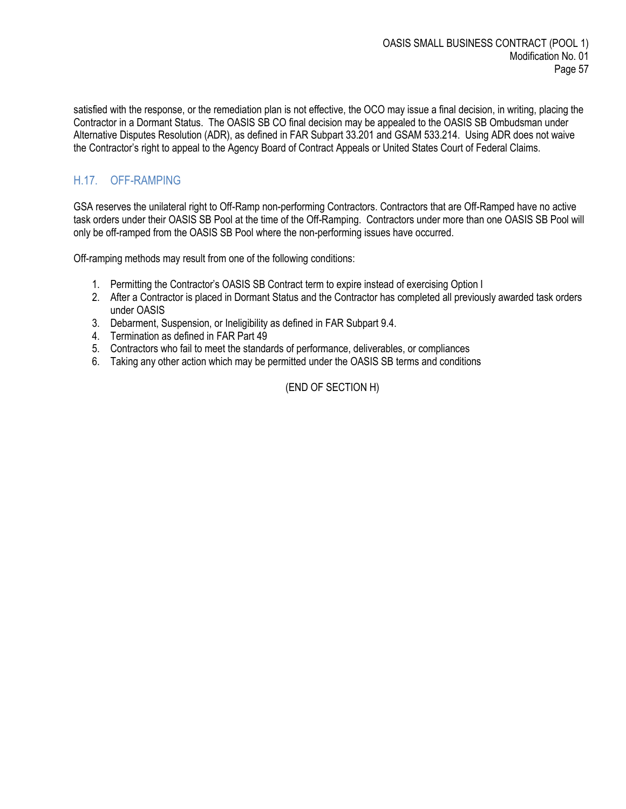satisfied with the response, or the remediation plan is not effective, the OCO may issue a final decision, in writing, placing the Contractor in a Dormant Status. The OASIS SB CO final decision may be appealed to the OASIS SB Ombudsman under Alternative Disputes Resolution (ADR), as defined in FAR Subpart 33.201 and GSAM 533.214. Using ADR does not waive the Contractor's right to appeal to the Agency Board of Contract Appeals or United States Court of Federal Claims.

# <span id="page-56-0"></span>H.17. OFF-RAMPING

GSA reserves the unilateral right to Off-Ramp non-performing Contractors. Contractors that are Off-Ramped have no active task orders under their OASIS SB Pool at the time of the Off-Ramping. Contractors under more than one OASIS SB Pool will only be off-ramped from the OASIS SB Pool where the non-performing issues have occurred.

Off-ramping methods may result from one of the following conditions:

- 1. Permitting the Contractor's OASIS SB Contract term to expire instead of exercising Option I
- 2. After a Contractor is placed in Dormant Status and the Contractor has completed all previously awarded task orders under OASIS
- 3. Debarment, Suspension, or Ineligibility as defined in FAR Subpart 9.4.
- 4. Termination as defined in FAR Part 49
- 5. Contractors who fail to meet the standards of performance, deliverables, or compliances
- 6. Taking any other action which may be permitted under the OASIS SB terms and conditions

(END OF SECTION H)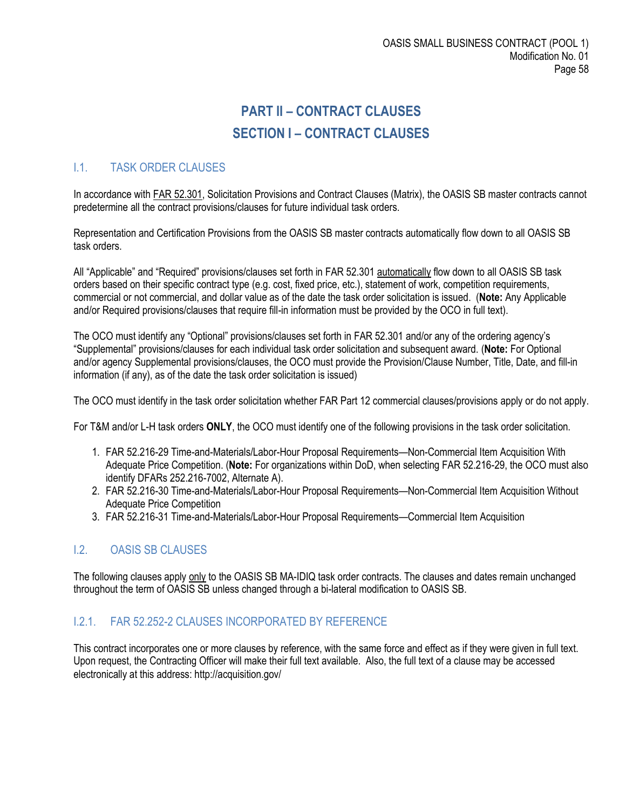# **PART II – CONTRACT CLAUSES SECTION I – CONTRACT CLAUSES**

# <span id="page-57-2"></span><span id="page-57-1"></span><span id="page-57-0"></span>I.1. TASK ORDER CLAUSES

In accordance with FAR 52.301, Solicitation Provisions and Contract Clauses (Matrix), the OASIS SB master contracts cannot predetermine all the contract provisions/clauses for future individual task orders.

Representation and Certification Provisions from the OASIS SB master contracts automatically flow down to all OASIS SB task orders.

All "Applicable" and "Required" provisions/clauses set forth in FAR 52.301 automatically flow down to all OASIS SB task orders based on their specific contract type (e.g. cost, fixed price, etc.), statement of work, competition requirements, commercial or not commercial, and dollar value as of the date the task order solicitation is issued. (**Note:** Any Applicable and/or Required provisions/clauses that require fill-in information must be provided by the OCO in full text).

The OCO must identify any "Optional" provisions/clauses set forth in FAR 52.301 and/or any of the ordering agency's "Supplemental" provisions/clauses for each individual task order solicitation and subsequent award. (**Note:** For Optional and/or agency Supplemental provisions/clauses, the OCO must provide the Provision/Clause Number, Title, Date, and fill-in information (if any), as of the date the task order solicitation is issued)

The OCO must identify in the task order solicitation whether FAR Part 12 commercial clauses/provisions apply or do not apply.

For T&M and/or L-H task orders **ONLY**, the OCO must identify one of the following provisions in the task order solicitation.

- 1. FAR 52.216-29 Time-and-Materials/Labor-Hour Proposal Requirements—Non-Commercial Item Acquisition With Adequate Price Competition. (**Note:** For organizations within DoD, when selecting FAR 52.216-29, the OCO must also identify DFARs 252.216-7002, Alternate A).
- 2. FAR 52.216-30 Time-and-Materials/Labor-Hour Proposal Requirements—Non-Commercial Item Acquisition Without Adequate Price Competition
- 3. FAR 52.216-31 Time-and-Materials/Labor-Hour Proposal Requirements—Commercial Item Acquisition

## <span id="page-57-3"></span>I.2. OASIS SB CLAUSES

The following clauses apply only to the OASIS SB MA-IDIQ task order contracts. The clauses and dates remain unchanged throughout the term of OASIS SB unless changed through a bi-lateral modification to OASIS SB.

#### <span id="page-57-4"></span>I.2.1. FAR 52.252-2 CLAUSES INCORPORATED BY REFERENCE

This contract incorporates one or more clauses by reference, with the same force and effect as if they were given in full text. Upon request, the Contracting Officer will make their full text available. Also, the full text of a clause may be accessed electronically at this address: http://acquisition.gov/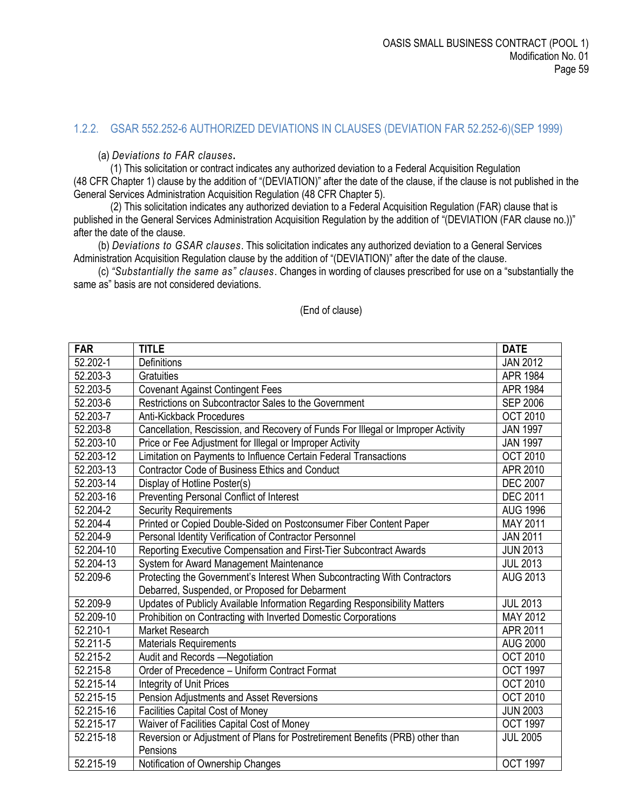#### <span id="page-58-0"></span>1.2.2. GSAR 552.252-6 AUTHORIZED DEVIATIONS IN CLAUSES (DEVIATION FAR 52.252-6)(SEP 1999)

(a) *Deviations to FAR clauses***.** 

(1) This solicitation or contract indicates any authorized deviation to a Federal Acquisition Regulation (48 CFR Chapter 1) clause by the addition of "(DEVIATION)" after the date of the clause, if the clause is not published in the General Services Administration Acquisition Regulation (48 CFR Chapter 5).

(2) This solicitation indicates any authorized deviation to a Federal Acquisition Regulation (FAR) clause that is published in the General Services Administration Acquisition Regulation by the addition of "(DEVIATION (FAR clause no.))" after the date of the clause.

(b) *Deviations to GSAR clauses*. This solicitation indicates any authorized deviation to a General Services Administration Acquisition Regulation clause by the addition of "(DEVIATION)" after the date of the clause.

(c) *"Substantially the same as" clauses*. Changes in wording of clauses prescribed for use on a "substantially the same as" basis are not considered deviations.

| <b>FAR</b>              | <b>TITLE</b>                                                                     | <b>DATE</b>     |
|-------------------------|----------------------------------------------------------------------------------|-----------------|
| 52.202-1                | Definitions                                                                      | <b>JAN 2012</b> |
| 52.203-3                | <b>Gratuities</b>                                                                | <b>APR 1984</b> |
| 52.203-5                | <b>Covenant Against Contingent Fees</b>                                          | <b>APR 1984</b> |
| 52.203-6                | Restrictions on Subcontractor Sales to the Government                            | <b>SEP 2006</b> |
| 52.203-7                | <b>Anti-Kickback Procedures</b>                                                  | <b>OCT 2010</b> |
| 52.203-8                | Cancellation, Rescission, and Recovery of Funds For Illegal or Improper Activity | <b>JAN 1997</b> |
| 52.203-10               | Price or Fee Adjustment for Illegal or Improper Activity                         | <b>JAN 1997</b> |
| 52.203-12               | Limitation on Payments to Influence Certain Federal Transactions                 | <b>OCT 2010</b> |
| 52.203-13               | <b>Contractor Code of Business Ethics and Conduct</b>                            | APR 2010        |
| 52.203-14               | Display of Hotline Poster(s)                                                     | <b>DEC 2007</b> |
| 52.203-16               | Preventing Personal Conflict of Interest                                         | <b>DEC 2011</b> |
| 52.204-2                | <b>Security Requirements</b>                                                     | <b>AUG 1996</b> |
| 52.204-4                | Printed or Copied Double-Sided on Postconsumer Fiber Content Paper               | MAY 2011        |
| 52.204-9                | Personal Identity Verification of Contractor Personnel                           | <b>JAN 2011</b> |
| 52.204-10               | Reporting Executive Compensation and First-Tier Subcontract Awards               | <b>JUN 2013</b> |
| 52.204-13               | System for Award Management Maintenance                                          | <b>JUL 2013</b> |
| 52.209-6                | Protecting the Government's Interest When Subcontracting With Contractors        | <b>AUG 2013</b> |
|                         | Debarred, Suspended, or Proposed for Debarment                                   |                 |
| 52.209-9                | Updates of Publicly Available Information Regarding Responsibility Matters       | <b>JUL 2013</b> |
| 52.209-10               | Prohibition on Contracting with Inverted Domestic Corporations                   | MAY 2012        |
| 52.210-1                | <b>Market Research</b>                                                           | APR 2011        |
| 52.211-5                | <b>Materials Requirements</b>                                                    | <b>AUG 2000</b> |
| 52.215-2                | Audit and Records -Negotiation                                                   | <b>OCT 2010</b> |
| 52.215-8                | Order of Precedence - Uniform Contract Format                                    | <b>OCT 1997</b> |
| 52.215-14               | Integrity of Unit Prices                                                         | <b>OCT 2010</b> |
| 52.215-15               | Pension Adjustments and Asset Reversions                                         | <b>OCT 2010</b> |
| 52.215-16               | <b>Facilities Capital Cost of Money</b>                                          | <b>JUN 2003</b> |
| 52.215-17               | Waiver of Facilities Capital Cost of Money                                       | <b>OCT 1997</b> |
| 52.215-18               | Reversion or Adjustment of Plans for Postretirement Benefits (PRB) other than    | <b>JUL 2005</b> |
|                         | Pensions                                                                         |                 |
| $\overline{52.215}$ -19 | Notification of Ownership Changes                                                | <b>OCT 1997</b> |

(End of clause)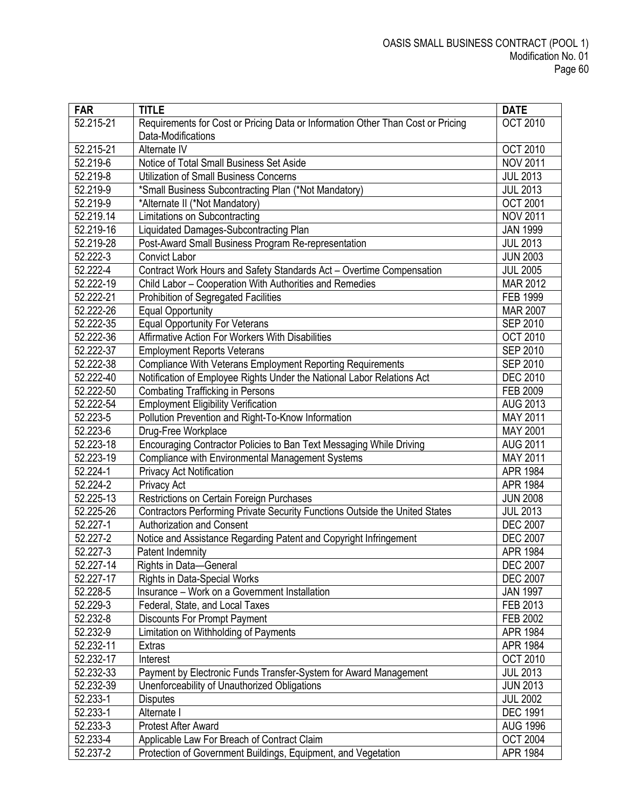| <b>FAR</b> | <b>TITLE</b>                                                                    | <b>DATE</b>     |
|------------|---------------------------------------------------------------------------------|-----------------|
| 52.215-21  | Requirements for Cost or Pricing Data or Information Other Than Cost or Pricing | <b>OCT 2010</b> |
|            | Data-Modifications                                                              |                 |
| 52.215-21  | Alternate IV                                                                    | <b>OCT 2010</b> |
| 52.219-6   | Notice of Total Small Business Set Aside                                        | <b>NOV 2011</b> |
| 52.219-8   | <b>Utilization of Small Business Concerns</b>                                   | <b>JUL 2013</b> |
| 52.219-9   | *Small Business Subcontracting Plan (*Not Mandatory)                            | <b>JUL 2013</b> |
| 52.219-9   | *Alternate II (*Not Mandatory)                                                  | <b>OCT 2001</b> |
| 52.219.14  | Limitations on Subcontracting                                                   | <b>NOV 2011</b> |
| 52.219-16  | Liquidated Damages-Subcontracting Plan                                          | <b>JAN 1999</b> |
| 52.219-28  | Post-Award Small Business Program Re-representation                             | <b>JUL 2013</b> |
| 52.222-3   | <b>Convict Labor</b>                                                            | <b>JUN 2003</b> |
| 52.222-4   | Contract Work Hours and Safety Standards Act - Overtime Compensation            | <b>JUL 2005</b> |
| 52.222-19  | Child Labor - Cooperation With Authorities and Remedies                         | MAR 2012        |
| 52.222-21  | Prohibition of Segregated Facilities                                            | FEB 1999        |
| 52.222-26  | <b>Equal Opportunity</b>                                                        | <b>MAR 2007</b> |
| 52.222-35  | <b>Equal Opportunity For Veterans</b>                                           | <b>SEP 2010</b> |
| 52.222-36  | Affirmative Action For Workers With Disabilities                                | <b>OCT 2010</b> |
| 52.222-37  | <b>Employment Reports Veterans</b>                                              | <b>SEP 2010</b> |
| 52.222-38  | <b>Compliance With Veterans Employment Reporting Requirements</b>               | <b>SEP 2010</b> |
| 52.222-40  | Notification of Employee Rights Under the National Labor Relations Act          | <b>DEC 2010</b> |
| 52.222-50  | <b>Combating Trafficking in Persons</b>                                         | FEB 2009        |
| 52.222-54  | <b>Employment Eligibility Verification</b>                                      | <b>AUG 2013</b> |
| 52.223-5   | Pollution Prevention and Right-To-Know Information                              | MAY 2011        |
| 52.223-6   | Drug-Free Workplace                                                             | MAY 2001        |
| 52.223-18  | Encouraging Contractor Policies to Ban Text Messaging While Driving             | <b>AUG 2011</b> |
| 52.223-19  | <b>Compliance with Environmental Management Systems</b>                         | MAY 2011        |
| 52.224-1   | <b>Privacy Act Notification</b>                                                 | APR 1984        |
| 52.224-2   | Privacy Act                                                                     | APR 1984        |
| 52.225-13  | Restrictions on Certain Foreign Purchases                                       | <b>JUN 2008</b> |
| 52.225-26  | Contractors Performing Private Security Functions Outside the United States     | <b>JUL 2013</b> |
| 52.227-1   | <b>Authorization and Consent</b>                                                | <b>DEC 2007</b> |
| 52.227-2   | Notice and Assistance Regarding Patent and Copyright Infringement               | <b>DEC 2007</b> |
| 52.227-3   | Patent Indemnity                                                                | APR 1984        |
| 52.227-14  | Rights in Data-General                                                          | <b>DEC 2007</b> |
| 52.227-17  | <b>Rights in Data-Special Works</b>                                             | <b>DEC 2007</b> |
| 52.228-5   | Insurance - Work on a Government Installation                                   | <b>JAN 1997</b> |
| 52.229-3   | Federal, State, and Local Taxes                                                 | FEB 2013        |
| 52.232-8   | <b>Discounts For Prompt Payment</b>                                             | FEB 2002        |
| 52.232-9   | Limitation on Withholding of Payments                                           | APR 1984        |
| 52.232-11  | Extras                                                                          | APR 1984        |
| 52.232-17  | Interest                                                                        | <b>OCT 2010</b> |
| 52.232-33  | Payment by Electronic Funds Transfer-System for Award Management                | <b>JUL 2013</b> |
| 52.232-39  | Unenforceability of Unauthorized Obligations                                    | <b>JUN 2013</b> |
| 52.233-1   | <b>Disputes</b>                                                                 | <b>JUL 2002</b> |
| 52.233-1   | Alternate I                                                                     | <b>DEC 1991</b> |
| 52.233-3   | <b>Protest After Award</b>                                                      | <b>AUG 1996</b> |
| 52.233-4   | Applicable Law For Breach of Contract Claim                                     | <b>OCT 2004</b> |
| 52.237-2   | Protection of Government Buildings, Equipment, and Vegetation                   | APR 1984        |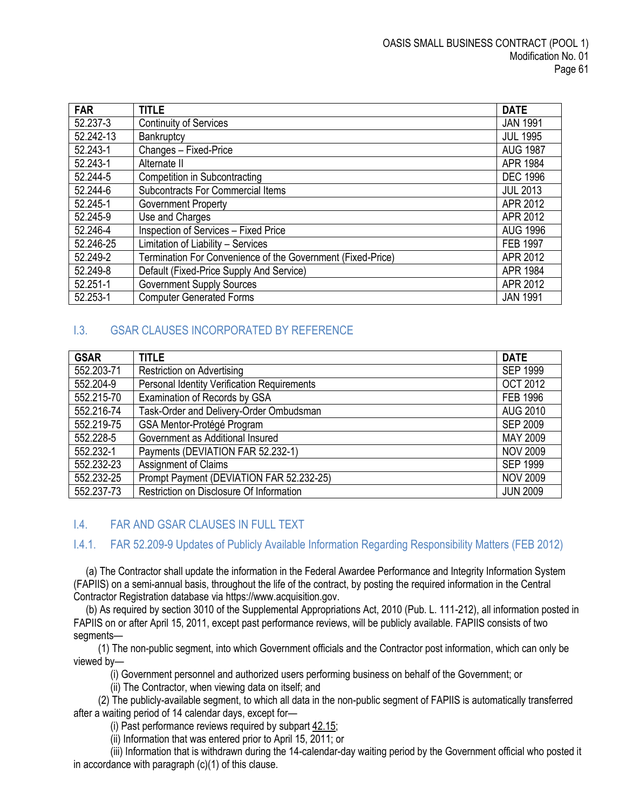| <b>FAR</b> | <b>TITLE</b>                                                | <b>DATE</b>     |
|------------|-------------------------------------------------------------|-----------------|
| 52.237-3   | <b>Continuity of Services</b>                               | <b>JAN 1991</b> |
| 52.242-13  | Bankruptcy                                                  | <b>JUL 1995</b> |
| 52.243-1   | Changes - Fixed-Price                                       | <b>AUG 1987</b> |
| 52.243-1   | Alternate II                                                | APR 1984        |
| 52.244-5   | <b>Competition in Subcontracting</b>                        | <b>DEC 1996</b> |
| 52.244-6   | <b>Subcontracts For Commercial Items</b>                    | <b>JUL 2013</b> |
| 52.245-1   | <b>Government Property</b>                                  | APR 2012        |
| 52.245-9   | Use and Charges                                             | APR 2012        |
| 52.246-4   | Inspection of Services - Fixed Price                        | <b>AUG 1996</b> |
| 52.246-25  | Limitation of Liability - Services                          | <b>FEB 1997</b> |
| 52.249-2   | Termination For Convenience of the Government (Fixed-Price) | APR 2012        |
| 52.249-8   | Default (Fixed-Price Supply And Service)                    | APR 1984        |
| 52.251-1   | <b>Government Supply Sources</b>                            | APR 2012        |
| 52.253-1   | <b>Computer Generated Forms</b>                             | <b>JAN 1991</b> |

# <span id="page-60-0"></span>I.3. GSAR CLAUSES INCORPORATED BY REFERENCE

| <b>GSAR</b> | <b>TITLE</b>                                | <b>DATE</b>     |
|-------------|---------------------------------------------|-----------------|
| 552.203-71  | <b>Restriction on Advertising</b>           | <b>SEP 1999</b> |
| 552.204-9   | Personal Identity Verification Requirements | <b>OCT 2012</b> |
| 552.215-70  | Examination of Records by GSA               | <b>FEB 1996</b> |
| 552.216-74  | Task-Order and Delivery-Order Ombudsman     | <b>AUG 2010</b> |
| 552.219-75  | GSA Mentor-Protégé Program                  | <b>SEP 2009</b> |
| 552.228-5   | Government as Additional Insured            | MAY 2009        |
| 552.232-1   | Payments (DEVIATION FAR 52.232-1)           | <b>NOV 2009</b> |
| 552.232-23  | Assignment of Claims                        | <b>SEP 1999</b> |
| 552.232-25  | Prompt Payment (DEVIATION FAR 52.232-25)    | <b>NOV 2009</b> |
| 552.237-73  | Restriction on Disclosure Of Information    | <b>JUN 2009</b> |

## <span id="page-60-1"></span>I.4. FAR AND GSAR CLAUSES IN FULL TEXT

# <span id="page-60-2"></span>I.4.1. FAR 52.209-9 Updates of Publicly Available Information Regarding Responsibility Matters (FEB 2012)

(a) The Contractor shall update the information in the Federal Awardee Performance and Integrity Information System (FAPIIS) on a semi-annual basis, throughout the life of the contract, by posting the required information in the Central Contractor Registration database via https://www.acquisition.gov.

(b) As required by section 3010 of the Supplemental Appropriations Act, 2010 (Pub. L. 111-212), all information posted in FAPIIS on or after April 15, 2011, except past performance reviews, will be publicly available. FAPIIS consists of two segments—

(1) The non-public segment, into which Government officials and the Contractor post information, which can only be viewed by—

(i) Government personnel and authorized users performing business on behalf of the Government; or

(ii) The Contractor, when viewing data on itself; and

(2) The publicly-available segment, to which all data in the non-public segment of FAPIIS is automatically transferred after a waiting period of 14 calendar days, except for—

(i) Past performance reviews required by subpart  $42.15$ ;

(ii) Information that was entered prior to April 15, 2011; or

(iii) Information that is withdrawn during the 14-calendar-day waiting period by the Government official who posted it in accordance with paragraph (c)(1) of this clause.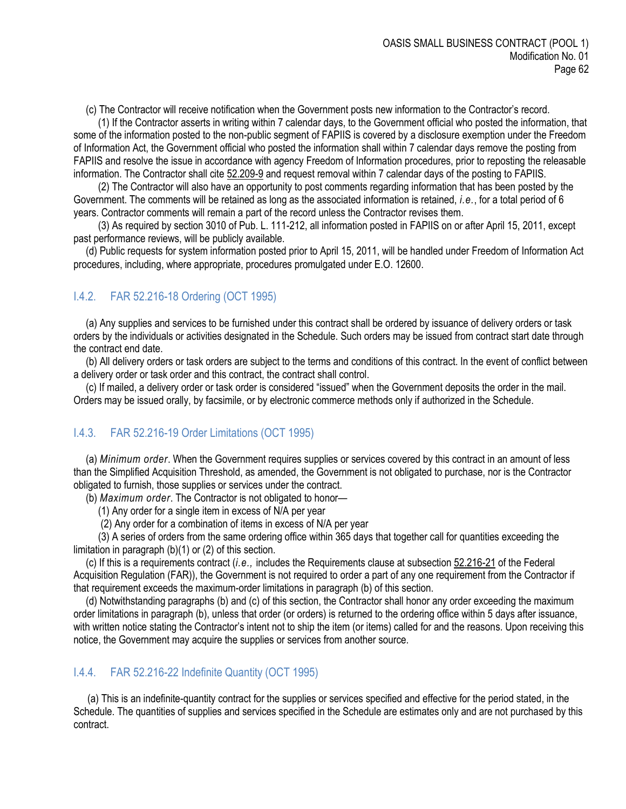(c) The Contractor will receive notification when the Government posts new information to the Contractor's record.

(1) If the Contractor asserts in writing within 7 calendar days, to the Government official who posted the information, that some of the information posted to the non-public segment of FAPIIS is covered by a disclosure exemption under the Freedom of Information Act, the Government official who posted the information shall within 7 calendar days remove the posting from FAPIIS and resolve the issue in accordance with agency Freedom of Information procedures, prior to reposting the releasable information. The Contractor shall cite [52.209-9](https://www.acquisition.gov/far/current/html/52_207_211.html#wp1145644) and request removal within 7 calendar days of the posting to FAPIIS.

(2) The Contractor will also have an opportunity to post comments regarding information that has been posted by the Government. The comments will be retained as long as the associated information is retained, *i.e.*, for a total period of 6 years. Contractor comments will remain a part of the record unless the Contractor revises them.

(3) As required by section 3010 of Pub. L. 111-212, all information posted in FAPIIS on or after April 15, 2011, except past performance reviews, will be publicly available.

(d) Public requests for system information posted prior to April 15, 2011, will be handled under Freedom of Information Act procedures, including, where appropriate, procedures promulgated under E.O. 12600.

## <span id="page-61-0"></span>I.4.2. FAR 52.216-18 Ordering (OCT 1995)

(a) Any supplies and services to be furnished under this contract shall be ordered by issuance of delivery orders or task orders by the individuals or activities designated in the Schedule. Such orders may be issued from contract start date through the contract end date.

(b) All delivery orders or task orders are subject to the terms and conditions of this contract. In the event of conflict between a delivery order or task order and this contract, the contract shall control.

(c) If mailed, a delivery order or task order is considered "issued" when the Government deposits the order in the mail. Orders may be issued orally, by facsimile, or by electronic commerce methods only if authorized in the Schedule.

#### <span id="page-61-1"></span>I.4.3. FAR 52.216-19 Order Limitations (OCT 1995)

(a) *Minimum order*. When the Government requires supplies or services covered by this contract in an amount of less than the Simplified Acquisition Threshold, as amended, the Government is not obligated to purchase, nor is the Contractor obligated to furnish, those supplies or services under the contract.

(b) *Maximum order*. The Contractor is not obligated to honor—

- (1) Any order for a single item in excess of N/A per year
- (2) Any order for a combination of items in excess of N/A per year

(3) A series of orders from the same ordering office within 365 days that together call for quantities exceeding the limitation in paragraph (b)(1) or (2) of this section.

(c) If this is a requirements contract (*i.e.,* includes the Requirements clause at subsection [52.216-21](https://www.acquisition.gov/far/current/html/52_216.html#wp1115057) of the Federal Acquisition Regulation (FAR)), the Government is not required to order a part of any one requirement from the Contractor if that requirement exceeds the maximum-order limitations in paragraph (b) of this section.

(d) Notwithstanding paragraphs (b) and (c) of this section, the Contractor shall honor any order exceeding the maximum order limitations in paragraph (b), unless that order (or orders) is returned to the ordering office within 5 days after issuance, with written notice stating the Contractor's intent not to ship the item (or items) called for and the reasons. Upon receiving this notice, the Government may acquire the supplies or services from another source.

#### <span id="page-61-2"></span>I.4.4. FAR 52.216-22 Indefinite Quantity (OCT 1995)

(a) This is an indefinite-quantity contract for the supplies or services specified and effective for the period stated, in the Schedule. The quantities of supplies and services specified in the Schedule are estimates only and are not purchased by this contract.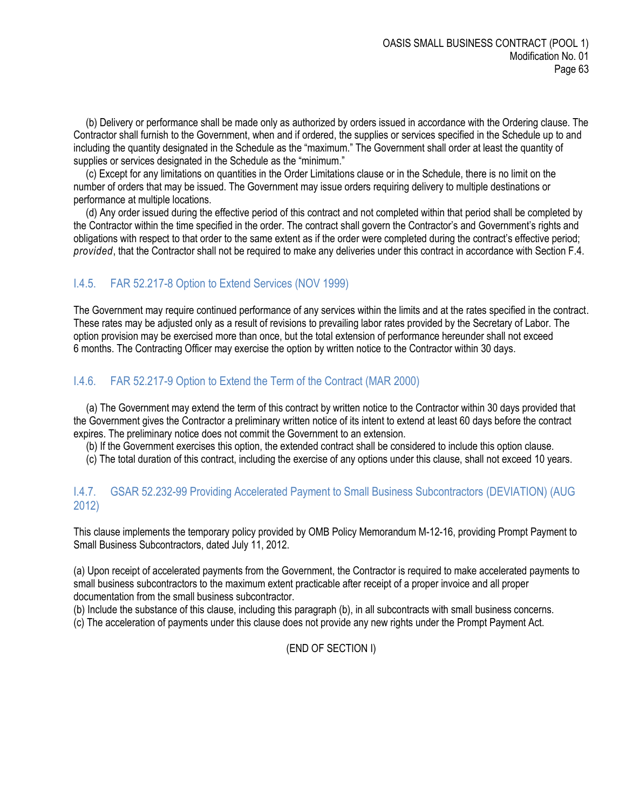(b) Delivery or performance shall be made only as authorized by orders issued in accordance with the Ordering clause. The Contractor shall furnish to the Government, when and if ordered, the supplies or services specified in the Schedule up to and including the quantity designated in the Schedule as the "maximum." The Government shall order at least the quantity of supplies or services designated in the Schedule as the "minimum."

(c) Except for any limitations on quantities in the Order Limitations clause or in the Schedule, there is no limit on the number of orders that may be issued. The Government may issue orders requiring delivery to multiple destinations or performance at multiple locations.

(d) Any order issued during the effective period of this contract and not completed within that period shall be completed by the Contractor within the time specified in the order. The contract shall govern the Contractor's and Government's rights and obligations with respect to that order to the same extent as if the order were completed during the contract's effective period; *provided*, that the Contractor shall not be required to make any deliveries under this contract in accordance with Section F.4.

# <span id="page-62-0"></span>I.4.5. FAR 52.217-8 Option to Extend Services (NOV 1999)

The Government may require continued performance of any services within the limits and at the rates specified in the contract. These rates may be adjusted only as a result of revisions to prevailing labor rates provided by the Secretary of Labor. The option provision may be exercised more than once, but the total extension of performance hereunder shall not exceed 6 months. The Contracting Officer may exercise the option by written notice to the Contractor within 30 days.

# <span id="page-62-1"></span>I.4.6. FAR 52.217-9 Option to Extend the Term of the Contract (MAR 2000)

(a) The Government may extend the term of this contract by written notice to the Contractor within 30 days provided that the Government gives the Contractor a preliminary written notice of its intent to extend at least 60 days before the contract expires. The preliminary notice does not commit the Government to an extension.

(b) If the Government exercises this option, the extended contract shall be considered to include this option clause.

(c) The total duration of this contract, including the exercise of any options under this clause, shall not exceed 10 years.

## <span id="page-62-2"></span>I.4.7. GSAR 52.232-99 Providing Accelerated Payment to Small Business Subcontractors (DEVIATION) (AUG 2012)

This clause implements the temporary policy provided by OMB Policy Memorandum M-12-16, providing Prompt Payment to Small Business Subcontractors, dated July 11, 2012.

(a) Upon receipt of accelerated payments from the Government, the Contractor is required to make accelerated payments to small business subcontractors to the maximum extent practicable after receipt of a proper invoice and all proper documentation from the small business subcontractor.

(b) Include the substance of this clause, including this paragraph (b), in all subcontracts with small business concerns.

(c) The acceleration of payments under this clause does not provide any new rights under the Prompt Payment Act.

## (END OF SECTION I)